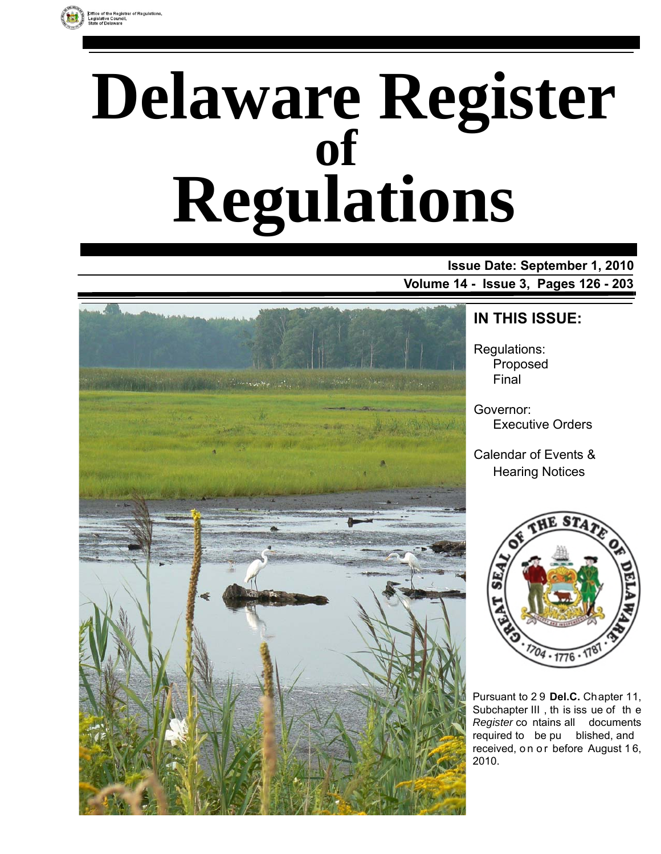

# **Delaware Register Regulations of**

**Issue Date: September 1, 2010 Volume 14 - Issue 3, Pages 126 - 203**



# **IN THIS ISSUE:**

Regulations: Proposed Final

Governor: Executive Orders

Calendar of Events & Hearing Notices



Pursuant to 2 9 **Del.C.** Chapter 11, Subchapter III , th is iss ue of th e *Register* co ntains all documents required to be pu blished, and received, on or before August 16, 2010.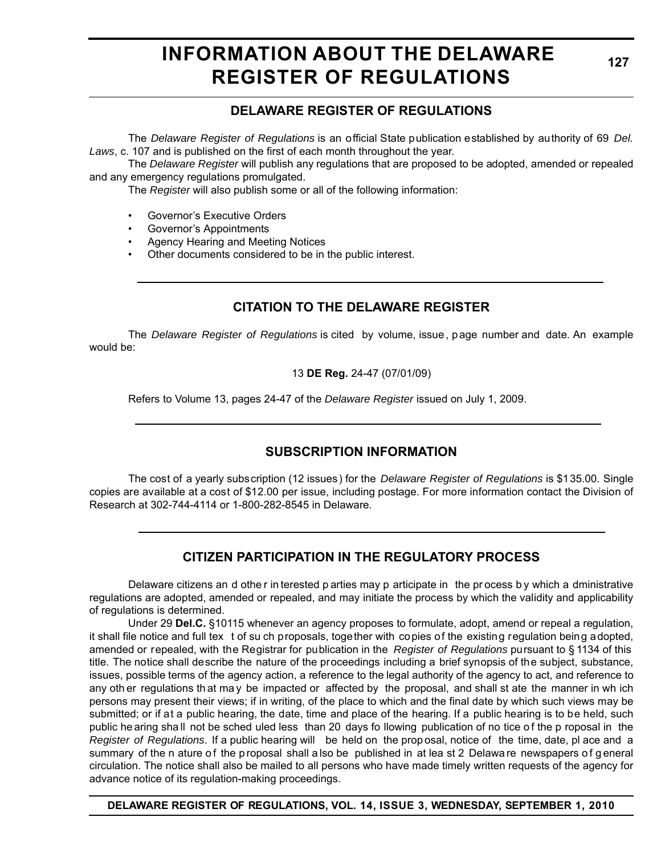# **INFORMATION ABOUT THE DELAWARE REGISTER OF REGULATIONS**

# **DELAWARE REGISTER OF REGULATIONS**

The *Delaware Register of Regulations* is an official State publication established by authority of 69 *Del. Laws*, c. 107 and is published on the first of each month throughout the year.

The *Delaware Register* will publish any regulations that are proposed to be adopted, amended or repealed and any emergency regulations promulgated.

The *Register* will also publish some or all of the following information:

- Governor's Executive Orders
- Governor's Appointments
- Agency Hearing and Meeting Notices
- Other documents considered to be in the public interest.

# **CITATION TO THE DELAWARE REGISTER**

The *Delaware Register of Regulations* is cited by volume, issue , p age number and date. An example would be:

13 **DE Reg.** 24-47 (07/01/09)

Refers to Volume 13, pages 24-47 of the *Delaware Register* issued on July 1, 2009.

# **SUBSCRIPTION INFORMATION**

The cost of a yearly subscription (12 issues) for the *Delaware Register of Regulations* is \$135.00. Single copies are available at a cost of \$12.00 per issue, including postage. For more information contact the Division of Research at 302-744-4114 or 1-800-282-8545 in Delaware.

# **CITIZEN PARTICIPATION IN THE REGULATORY PROCESS**

Delaware citizens an d othe r in terested p arties may p articipate in the pr ocess b y which a dministrative regulations are adopted, amended or repealed, and may initiate the process by which the validity and applicability of regulations is determined.

Under 29 **Del.C.** §10115 whenever an agency proposes to formulate, adopt, amend or repeal a regulation, it shall file notice and full tex t of su ch proposals, together with copies of the existing regulation being adopted, amended or repealed, with the Registrar for publication in the *Register of Regulations* pursuant to § 1134 of this title. The notice shall describe the nature of the proceedings including a brief synopsis of the subject, substance, issues, possible terms of the agency action, a reference to the legal authority of the agency to act, and reference to any oth er regulations th at ma y be impacted or affected by the proposal, and shall st ate the manner in wh ich persons may present their views; if in writing, of the place to which and the final date by which such views may be submitted; or if at a public hearing, the date, time and place of the hearing. If a public hearing is to be held, such public he aring shall not be sched uled less than 20 days fo llowing publication of no tice of the p roposal in the *Register of Regulations*. If a public hearing will be held on the prop osal, notice of the time, date, pl ace and a summary of the n ature of the p roposal shall a lso be published in at lea st 2 Delawa re newspapers of general circulation. The notice shall also be mailed to all persons who have made timely written requests of the agency for advance notice of its regulation-making proceedings.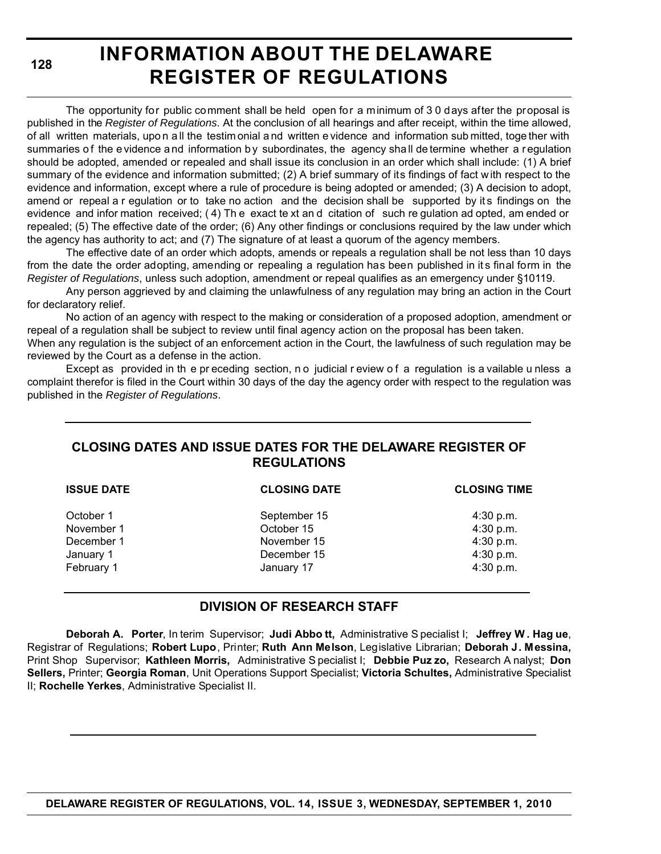**128**

# **INFORMATION ABOUT THE DELAWARE REGISTER OF REGULATIONS**

The opportunity for public comment shall be held open for a minimum of 3 0 days after the proposal is published in the *Register of Regulations*. At the conclusion of all hearings and after receipt, within the time allowed, of all written materials, upo n a ll the testim onial a nd written e vidence and information sub mitted, toge ther with summaries of the e vidence and information by subordinates, the agency shall de termine whether a regulation should be adopted, amended or repealed and shall issue its conclusion in an order which shall include: (1) A brief summary of the evidence and information submitted; (2) A brief summary of its findings of fact w ith respect to the evidence and information, except where a rule of procedure is being adopted or amended; (3) A decision to adopt, amend or repeal a r egulation or to take no action and the decision shall be supported by its findings on the evidence and infor mation received; ( 4) Th e exact te xt an d citation of such re gulation ad opted, am ended or repealed; (5) The effective date of the order; (6) Any other findings or conclusions required by the law under which the agency has authority to act; and (7) The signature of at least a quorum of the agency members.

The effective date of an order which adopts, amends or repeals a regulation shall be not less than 10 days from the date the order adopting, amending or repealing a regulation has been published in it s final form in the *Register of Regulations*, unless such adoption, amendment or repeal qualifies as an emergency under §10119.

Any person aggrieved by and claiming the unlawfulness of any regulation may bring an action in the Court for declaratory relief.

No action of an agency with respect to the making or consideration of a proposed adoption, amendment or repeal of a regulation shall be subject to review until final agency action on the proposal has been taken.

When any regulation is the subject of an enforcement action in the Court, the lawfulness of such regulation may be reviewed by the Court as a defense in the action.

Except as provided in the preceding section, no judicial review of a regulation is a vailable unless a complaint therefor is filed in the Court within 30 days of the day the agency order with respect to the regulation was published in the *Register of Regulations*.

# **CLOSING DATES AND ISSUE DATES FOR THE DELAWARE REGISTER OF REGULATIONS**

| <b>ISSUE DATE</b> | <b>CLOSING DATE</b> | <b>CLOSING TIME</b> |  |
|-------------------|---------------------|---------------------|--|
| October 1         | September 15        | $4:30$ p.m.         |  |
| November 1        | October 15          | 4:30 p.m.           |  |
| December 1        | November 15         | 4:30 p.m.           |  |
| January 1         | December 15         | 4:30 p.m.           |  |
| February 1        | January 17          | 4:30 p.m.           |  |
|                   |                     |                     |  |

# **DIVISION OF RESEARCH STAFF**

**Deborah A. Porter**, In terim Supervisor; **Judi Abbo tt,** Administrative S pecialist I; **Jeffrey W . Hag ue**, Registrar of Regulations; **Robert Lupo**, Printer; **Ruth Ann Melson**, Legislative Librarian; **Deborah J. Messina,** Print Shop Supervisor; **Kathleen Morris,** Administrative S pecialist I; **Debbie Puz zo,** Research A nalyst; **Don Sellers,** Printer; **Georgia Roman**, Unit Operations Support Specialist; **Victoria Schultes,** Administrative Specialist II; **Rochelle Yerkes**, Administrative Specialist II.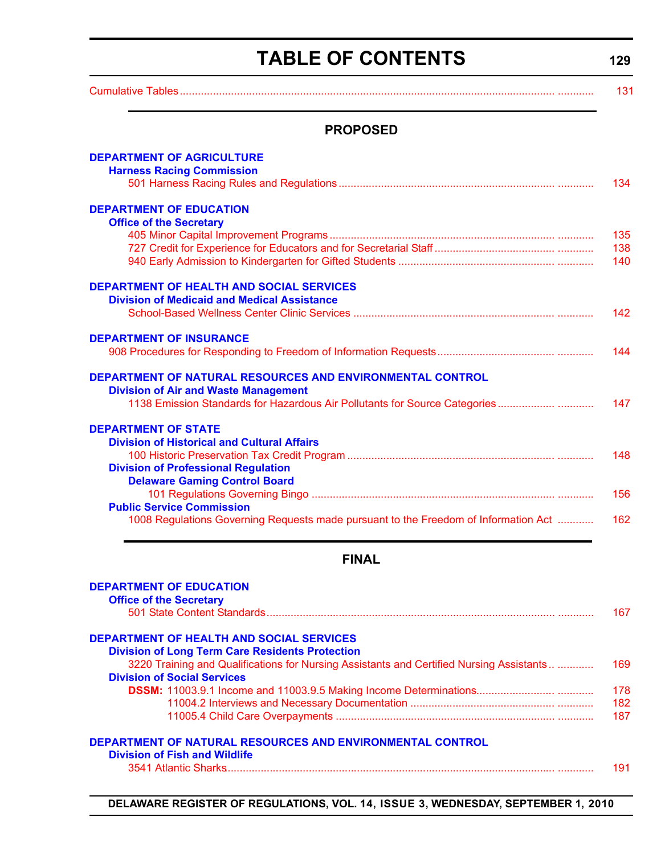# **TABLE OF CONTENTS**

**129**

<span id="page-3-0"></span>

|                                                                                          | 131 |
|------------------------------------------------------------------------------------------|-----|
| <b>PROPOSED</b>                                                                          |     |
| <b>DEPARTMENT OF AGRICULTURE</b>                                                         |     |
| <b>Harness Racing Commission</b>                                                         |     |
|                                                                                          | 134 |
| <b>DEPARTMENT OF EDUCATION</b>                                                           |     |
| <b>Office of the Secretary</b>                                                           |     |
|                                                                                          | 135 |
|                                                                                          | 138 |
|                                                                                          | 140 |
| <b>DEPARTMENT OF HEALTH AND SOCIAL SERVICES</b>                                          |     |
| <b>Division of Medicaid and Medical Assistance</b>                                       |     |
|                                                                                          | 142 |
| <b>DEPARTMENT OF INSURANCE</b>                                                           |     |
|                                                                                          | 144 |
| DEPARTMENT OF NATURAL RESOURCES AND ENVIRONMENTAL CONTROL                                |     |
| <b>Division of Air and Waste Management</b>                                              |     |
|                                                                                          | 147 |
| <b>DEPARTMENT OF STATE</b>                                                               |     |
| <b>Division of Historical and Cultural Affairs</b>                                       |     |
|                                                                                          | 148 |
| <b>Division of Professional Regulation</b>                                               |     |
| <b>Delaware Gaming Control Board</b>                                                     |     |
| <b>Public Service Commission</b>                                                         | 156 |
| 1008 Regulations Governing Requests made pursuant to the Freedom of Information Act      | 162 |
|                                                                                          |     |
| <b>FINAL</b>                                                                             |     |
| <b>DEPARTMENT OF EDUCATION</b>                                                           |     |
| <b>Office of the Secretary</b>                                                           |     |
|                                                                                          | 167 |
| <b>DEPARTMENT OF HEALTH AND SOCIAL SERVICES</b>                                          |     |
| <b>Division of Long Term Care Residents Protection</b>                                   |     |
| 3220 Training and Qualifications for Nursing Assistants and Certified Nursing Assistants | 169 |
| <b>Division of Social Services</b>                                                       |     |

|  | DEPARTMENT OF NATURAL RESOURCES AND ENVIRONMENTAL CONTROL |  |
|--|-----------------------------------------------------------|--|
|  |                                                           |  |

#### **Division of Fish and Wildlife**

[3541 Atlantic Sharks.............................................................................................................. ............ 191](#page-65-0)

**DSSM:** [11003.9.1 Income and 11003.9.5 Making Income Determinations.......................... ............ 178](#page-52-0)

...... ..... [11004.2 Interviews and Necessary Documentation ................................................ ............ 182](#page-56-0) ...... ..... [11005.4 Child Care Overpayments ......................................................................... ............ 187](#page-61-0)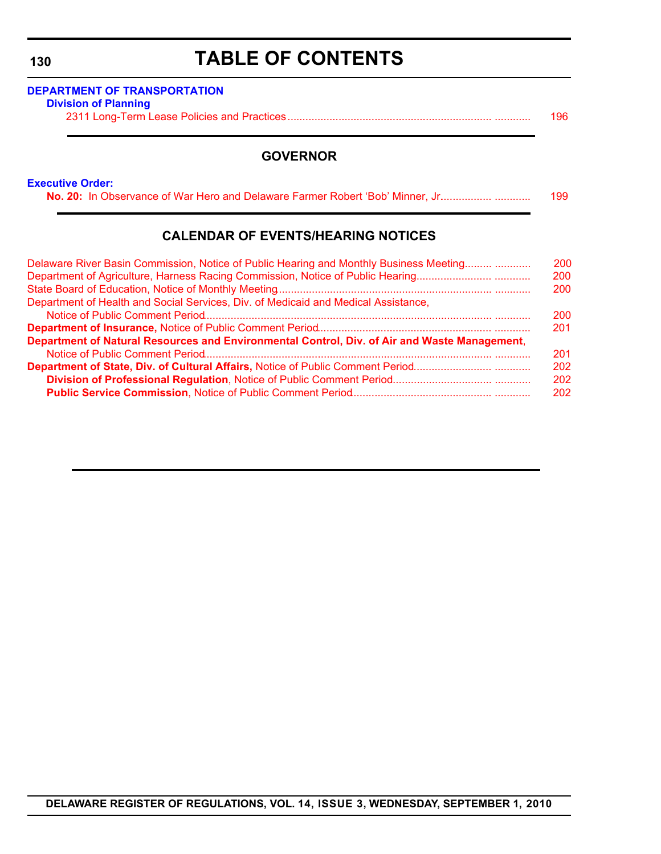# **TABLE OF CONTENTS**

| <b>Division of Planning</b> |     |
|-----------------------------|-----|
|                             | 196 |

# **GOVERNOR**

### **[Executive Order:](http://governor.delaware.gov/orders/index.shtml)**

| No. 20: In Observance of War Hero and Delaware Farmer Robert 'Bob' Minner, Jr | 199 |
|-------------------------------------------------------------------------------|-----|
|-------------------------------------------------------------------------------|-----|

# **CALENDAR OF EVENTS/HEARING NOTICES**

| 200 |
|-----|
| 200 |
| 200 |
|     |
| 200 |
| 201 |
|     |
| 201 |
| 202 |
| 202 |
| 202 |
|     |

# **DELAWARE REGISTER OF REGULATIONS, VOL. 14, ISSUE 3, WEDNESDAY, SEPTEMBER 1, 2010**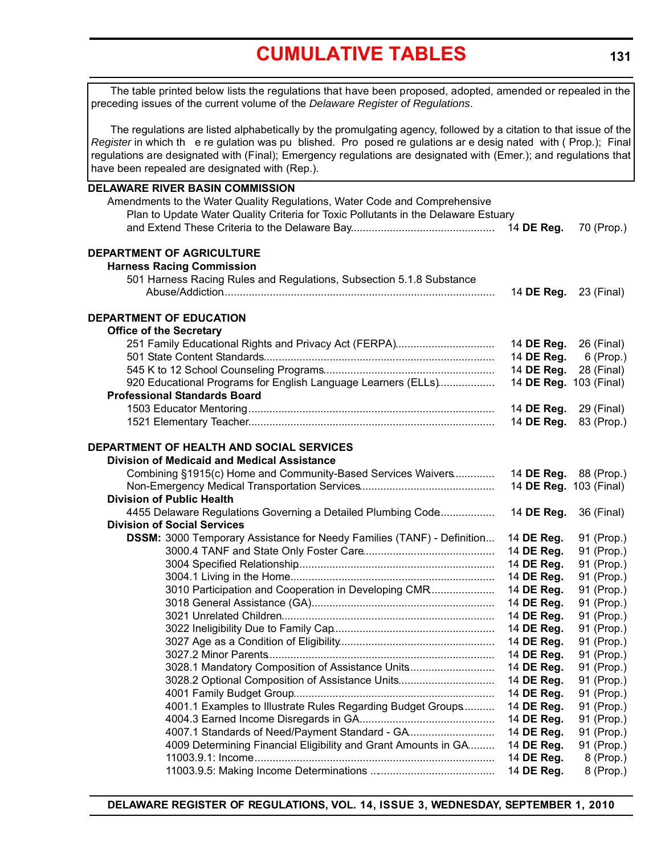# **[CUMULATIVE TABLES](#page-3-0)**

<span id="page-5-0"></span>**DELAWARE RIVER BASIN COMMISSION** Amendments to the Water Quality Regulations, Water Code and Comprehensive Plan to Update Water Quality Criteria for Toxic Pollutants in the Delaware Estuary and Extend These Criteria to the Delaware Bay................................................ 14 **DE Reg.** 70 (Prop.) **DEPARTMENT OF AGRICULTURE Harness Racing Commission** 501 Harness Racing Rules and Regulations, Subsection 5.1.8 Substance Abuse/Addiction........................................................................................... 14 **DE Reg.** 23 (Final) **DEPARTMENT OF EDUCATION Office of the Secretary** 251 Family Educational Rights and Privacy Act (FERPA)................................. 14 **DE Reg.** 26 (Final) 501 State Content Standards............................................................................. 14 **DE Reg.** 6 (Prop.) 545 K to 12 School Counseling Programs......................................................... 14 **DE Reg.** 28 (Final) 920 Educational Programs for English Language Learners (ELLs)................... 14 **DE Reg.** 103 (Final) **Professional Standards Board** 1503 Educator Mentoring .................................................................................. 14 **DE Reg.** 29 (Final) 1521 Elementary Teacher.................................................................................. 14 **DE Reg.** 83 (Prop.) **DEPARTMENT OF HEALTH AND SOCIAL SERVICES Division of Medicaid and Medical Assistance** Combining §1915(c) Home and Community-Based Services Waivers.............. 14 **DE Reg.** 88 (Prop.) Non-Emergency Medical Transportation Services............................................. 14 **DE Reg.** 103 (Final) **Division of Public Health** 4455 Delaware Regulations Governing a Detailed Plumbing Code................... 14 **DE Reg.** 36 (Final) **Division of Social Services DSSM:** 3000 Temporary Assistance for Needy Families (TANF) - Definition.... 14 **DE Reg.** 91 (Prop.) 3000.4 TANF and State Only Foster Care............................................ 14 **DE Reg.** 91 (Prop.) 3004 Specified Relationship.................................................................. 14 **DE Reg.** 91 (Prop.) 3004.1 Living in the Home.................................................................... 14 **DE Reg.** 91 (Prop.) 3010 Participation and Cooperation in Developing CMR...................... 14 **DE Reg.** 91 (Prop.) 3018 General Assistance (GA)............................................................. 14 **DE Reg.** 91 (Prop.) 3021 Unrelated Children....................................................................... 14 **DE Reg.** 91 (Prop.) 3022 Ineligibility Due to Family Cap...................................................... 14 **DE Reg.** 91 (Prop.) 3027 Age as a Condition of Eligibility.................................................... 14 **DE Reg.** 91 (Prop.) 3027.2 Minor Parents............................................................................ 14 **DE Reg.** 91 (Prop.) 3028.1 Mandatory Composition of Assistance Units............................. 14 **DE Reg.** 91 (Prop.) 3028.2 Optional Composition of Assistance Units................................ 14 **DE Reg.** 91 (Prop.) 4001 Family Budget Group................................................................... 14 **DE Reg.** 91 (Prop.) 4001.1 Examples to Illustrate Rules Regarding Budget Groups........... 14 **DE Reg.** 91 (Prop.) 4004.3 Earned Income Disregards in GA............................................. 14 **DE Reg.** 91 (Prop.) 4007.1 Standards of Need/Payment Standard - GA............................. 14 **DE Reg.** 91 (Prop.) 4009 Determining Financial Eligibility and Grant Amounts in GA......... 14 **DE Reg.** 91 (Prop.) 11003.9.1: Income ................................................................................ 14 **DE Reg.** 8 (Prop.) 11003.9.5: Making Income Determinations .......................................... 14 **DE Reg.** 8 (Prop.) The table printed below lists the regulations that have been proposed, adopted, amended or repealed in the preceding issues of the current volume of the *Delaware Register of Regulations*. The regulations are listed alphabetically by the promulgating agency, followed by a citation to that issue of the *Register* in which th e re gulation was pu blished. Pro posed re gulations ar e desig nated with ( Prop.); Final regulations are designated with (Final); Emergency regulations are designated with (Emer.); and regulations that have been repealed are designated with (Rep.).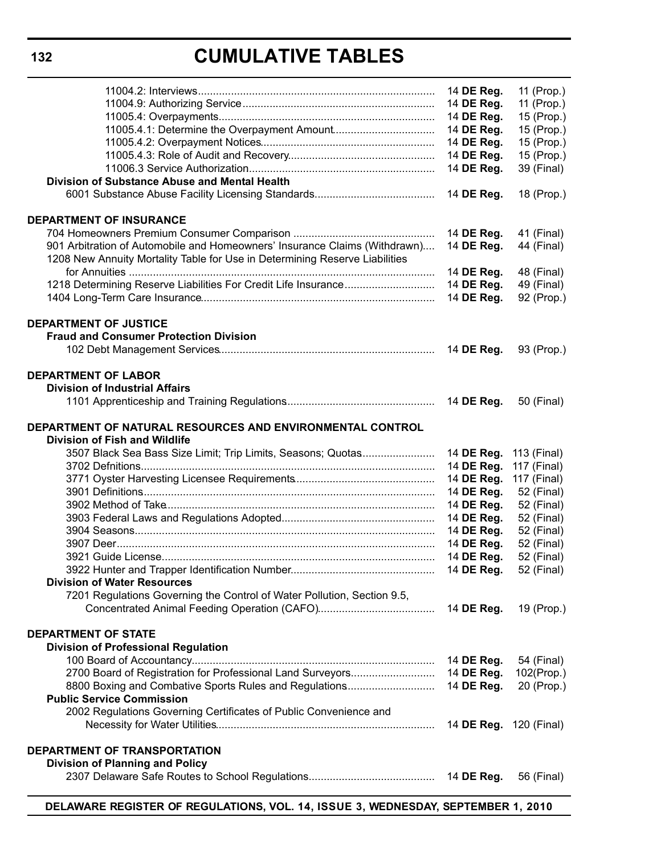# **CUMULATIVE TABLES**

| Division of Substance Abuse and Mental Health                                                                                                             | 14 DE Reg.<br>14 DE Reg.<br>14 DE Reg.<br>14 DE Reg.<br>14 DE Reg.<br>14 DE Reg.<br>14 DE Reg. | 11 (Prop.)<br>11 (Prop.)<br>15 (Prop.)<br>15 (Prop.)<br>15 (Prop.)<br>15 (Prop.)<br>39 (Final) |
|-----------------------------------------------------------------------------------------------------------------------------------------------------------|------------------------------------------------------------------------------------------------|------------------------------------------------------------------------------------------------|
|                                                                                                                                                           | 14 DE Reg.                                                                                     | 18 (Prop.)                                                                                     |
| <b>DEPARTMENT OF INSURANCE</b>                                                                                                                            |                                                                                                |                                                                                                |
| 901 Arbitration of Automobile and Homeowners' Insurance Claims (Withdrawn)<br>1208 New Annuity Mortality Table for Use in Determining Reserve Liabilities | 14 DE Reg.<br>14 DE Reg.                                                                       | 41 (Final)<br>44 (Final)                                                                       |
|                                                                                                                                                           | 14 DE Reg.                                                                                     | 48 (Final)                                                                                     |
|                                                                                                                                                           | 14 DE Reg.                                                                                     | 49 (Final)                                                                                     |
|                                                                                                                                                           | 14 DE Reg.                                                                                     | 92 (Prop.)                                                                                     |
| <b>DEPARTMENT OF JUSTICE</b><br><b>Fraud and Consumer Protection Division</b>                                                                             | 14 DE Reg.                                                                                     | 93 (Prop.)                                                                                     |
|                                                                                                                                                           |                                                                                                |                                                                                                |
| <b>DEPARTMENT OF LABOR</b><br><b>Division of Industrial Affairs</b>                                                                                       |                                                                                                |                                                                                                |
|                                                                                                                                                           | 14 DE Reg.                                                                                     | 50 (Final)                                                                                     |
|                                                                                                                                                           |                                                                                                |                                                                                                |
| DEPARTMENT OF NATURAL RESOURCES AND ENVIRONMENTAL CONTROL                                                                                                 |                                                                                                |                                                                                                |
| <b>Division of Fish and Wildlife</b><br>3507 Black Sea Bass Size Limit; Trip Limits, Seasons; Quotas                                                      | 14 DE Reg.                                                                                     | 113 (Final)                                                                                    |
|                                                                                                                                                           | 14 DE Reg.                                                                                     | 117 (Final)                                                                                    |
|                                                                                                                                                           | 14 DE Reg.                                                                                     | 117 (Final)                                                                                    |
|                                                                                                                                                           | 14 DE Reg.                                                                                     | 52 (Final)                                                                                     |
|                                                                                                                                                           | 14 DE Reg.                                                                                     | 52 (Final)                                                                                     |
|                                                                                                                                                           | 14 DE Reg.                                                                                     | 52 (Final)                                                                                     |
|                                                                                                                                                           | 14 DE Reg.                                                                                     | 52 (Final)                                                                                     |
|                                                                                                                                                           | 14 DE Reg.                                                                                     | 52 (Final)                                                                                     |
|                                                                                                                                                           | 14 DE Reg.                                                                                     | 52 (Final)                                                                                     |
| <b>Division of Water Resources</b>                                                                                                                        | 14 DE Reg.                                                                                     | 52 (Final)                                                                                     |
| 7201 Regulations Governing the Control of Water Pollution, Section 9.5,                                                                                   |                                                                                                |                                                                                                |
|                                                                                                                                                           | 14 DE Reg.                                                                                     | 19 (Prop.)                                                                                     |
|                                                                                                                                                           |                                                                                                |                                                                                                |
| <b>DEPARTMENT OF STATE</b>                                                                                                                                |                                                                                                |                                                                                                |
| <b>Division of Professional Regulation</b>                                                                                                                |                                                                                                |                                                                                                |
|                                                                                                                                                           | 14 DE Reg.                                                                                     | 54 (Final)                                                                                     |
| 2700 Board of Registration for Professional Land Surveyors                                                                                                | 14 DE Reg.                                                                                     | 102(Prop.)                                                                                     |
| 8800 Boxing and Combative Sports Rules and Regulations<br><b>Public Service Commission</b>                                                                | 14 DE Reg.                                                                                     | 20 (Prop.)                                                                                     |
| 2002 Regulations Governing Certificates of Public Convenience and                                                                                         |                                                                                                |                                                                                                |
|                                                                                                                                                           | 14 <b>DE Reg.</b> 120 (Final)                                                                  |                                                                                                |
|                                                                                                                                                           |                                                                                                |                                                                                                |
| DEPARTMENT OF TRANSPORTATION<br><b>Division of Planning and Policy</b>                                                                                    |                                                                                                |                                                                                                |
|                                                                                                                                                           | 14 DE Reg.                                                                                     | 56 (Final)                                                                                     |
|                                                                                                                                                           |                                                                                                |                                                                                                |

**DELAWARE REGISTER OF REGULATIONS, VOL. 14, ISSUE 3, WEDNESDAY, SEPTEMBER 1, 2010**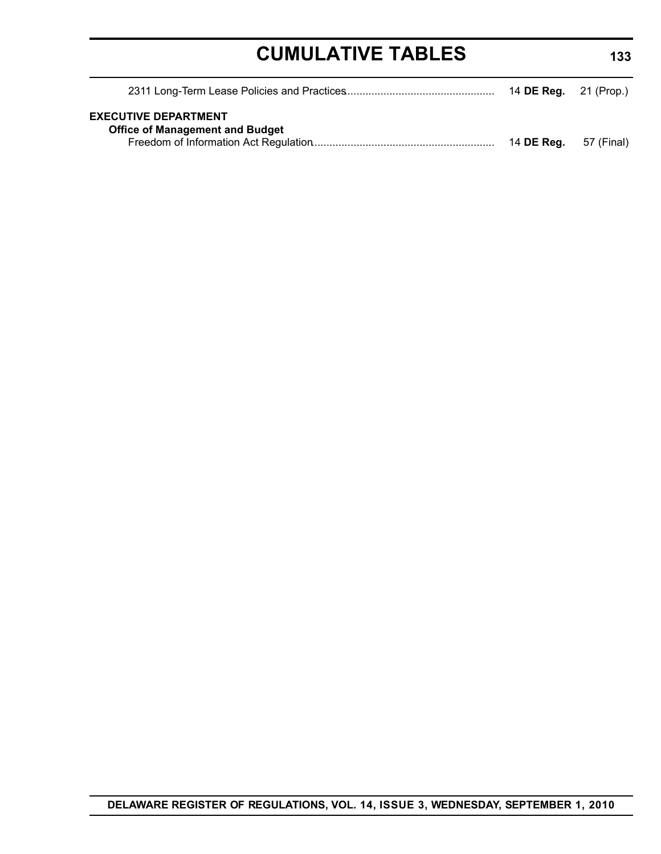# **CUMULATIVE TABLES**

| <b>EXECUTIVE DEPARTMENT</b><br><b>Office of Management and Budget</b> |                              |  |
|-----------------------------------------------------------------------|------------------------------|--|
|                                                                       | 14 <b>DE Reg.</b> 57 (Final) |  |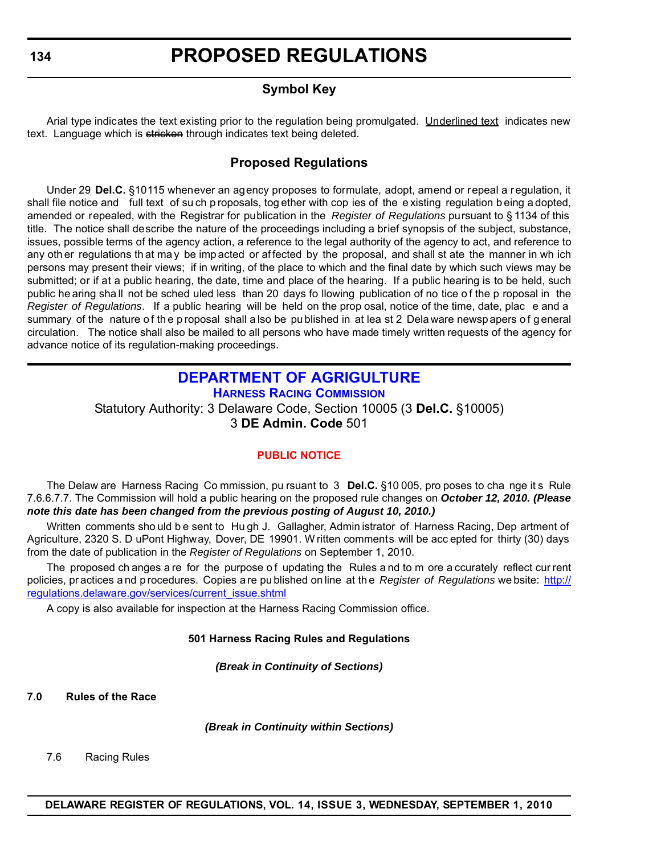# **Symbol Key**

<span id="page-8-0"></span>Arial type indicates the text existing prior to the regulation being promulgated. Underlined text indicates new text. Language which is stricken through indicates text being deleted.

# **Proposed Regulations**

Under 29 **Del.C.** §10115 whenever an agency proposes to formulate, adopt, amend or repeal a regulation, it shall file notice and full text of su ch p roposals, tog ether with cop ies of the e xisting regulation b eing a dopted, amended or repealed, with the Registrar for publication in the *Register of Regulations* pursuant to § 1134 of this title. The notice shall describe the nature of the proceedings including a brief synopsis of the subject, substance, issues, possible terms of the agency action, a reference to the legal authority of the agency to act, and reference to any oth er regulations th at ma y be imp acted or af fected by the proposal, and shall st ate the manner in wh ich persons may present their views; if in writing, of the place to which and the final date by which such views may be submitted; or if at a public hearing, the date, time and place of the hearing. If a public hearing is to be held, such public he aring sha ll not be sched uled less than 20 days fo llowing publication of no tice o f the p roposal in the *Register of Regulations*. If a public hearing will be held on the prop osal, notice of the time, date, plac e and a summary of the nature of the p roposal shall a lso be pu blished in at lea st 2 Dela ware newsp apers of general circulation. The notice shall also be mailed to all persons who have made timely written requests of the agency for advance notice of its regulation-making proceedings.

# **[DEPARTMENT OF AGRIGULTURE](http://dda.delaware.gov/harness/index.shtml)**

**HARNESS RACING COMMISSION** Statutory Authority: 3 Delaware Code, Section 10005 (3 **Del.C.** §10005) 3 **DE Admin. Code** 501

# **[PUBLIC NOTICE](#page-3-0)**

The Delaw are Harness Racing Co mmission, pu rsuant to 3 **Del.C.** §10 005, pro poses to cha nge it s Rule 7.6.6.7.7. The Commission will hold a public hearing on the proposed rule changes on *October 12, 2010. (Please note this date has been changed from the previous posting of August 10, 2010.)*

Written comments sho uld be sent to Hu gh J. Gallagher, Admin istrator of Harness Racing, Dep artment of Agriculture, 2320 S. D uPont Highway, Dover, DE 19901. W ritten comments will be acc epted for thirty (30) days from the date of publication in the *Register of Regulations* on September 1, 2010.

The proposed ch anges a re for the purpose of updating the Rules and to m ore a ccurately reflect cur rent policies, pr actices a nd p rocedures. Copies a re pu blished on line at th e *Register of Regulations* we bsite: http:// regulations.delaware.gov/services/current\_issue.shtml

A copy is also available for inspection at the Harness Racing Commission office.

### **501 Harness Racing Rules and Regulations**

*(Break in Continuity of Sections)*

**7.0 Rules of the Race**

*(Break in Continuity within Sections)*

7.6 Racing Rules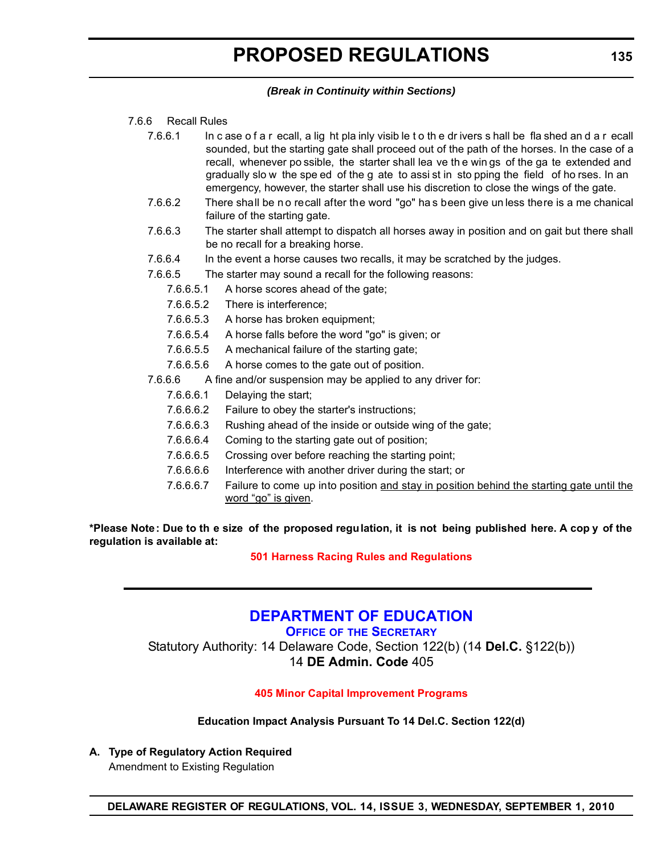## *(Break in Continuity within Sections)*

### <span id="page-9-0"></span>7.6.6 Recall Rules

- 7.6.6.1 In c ase o f a r ecall, a lig ht pla inly visib le t o th e dr ivers s hall be fla shed an d a r ecall sounded, but the starting gate shall proceed out of the path of the horses. In the case of a recall, whenever po ssible, the starter shall lea ve th e win gs of the ga te extended and gradually slo w the spe ed of the g ate to assi st in sto pping the field of ho rses. In an emergency, however, the starter shall use his discretion to close the wings of the gate.
- 7.6.6.2 There shall be n o recall after the word "go" ha s been give un less there is a me chanical failure of the starting gate.
- 7.6.6.3 The starter shall attempt to dispatch all horses away in position and on gait but there shall be no recall for a breaking horse.
- 7.6.6.4 In the event a horse causes two recalls, it may be scratched by the judges.
- 7.6.6.5 The starter may sound a recall for the following reasons:
	- 7.6.6.5.1 A horse scores ahead of the gate;
	- 7.6.6.5.2 There is interference;
	- 7.6.6.5.3 A horse has broken equipment;
	- 7.6.6.5.4 A horse falls before the word "go" is given; or
	- 7.6.6.5.5 A mechanical failure of the starting gate;
	- 7.6.6.5.6 A horse comes to the gate out of position.
- 7.6.6.6 A fine and/or suspension may be applied to any driver for:
	- 7.6.6.6.1 Delaying the start;
	- 7.6.6.6.2 Failure to obey the starter's instructions;
	- 7.6.6.6.3 Rushing ahead of the inside or outside wing of the gate;
	- 7.6.6.6.4 Coming to the starting gate out of position;
	- 7.6.6.6.5 Crossing over before reaching the starting point;
	- 7.6.6.6.6 Interference with another driver during the start; or
	- 7.6.6.6.7 Failure to come up into position and stay in position behind the starting gate until the word "go" is given.

**\*Please Note: Due to th e size of the proposed regulation, it is not being published here. A cop y of the regulation is available at:**

# **[501 Harness Racing Rules and Regulations](http://regulations.delaware.gov/register/september2010/proposed/14 DE Reg 134 09-01-10.htm)**

# **[DEPARTMENT OF EDUCATION](http://www.doe.k12.de.us/)**

**OFFICE OF THE SECRETARY**

Statutory Authority: 14 Delaware Code, Section 122(b) (14 **Del.C.** §122(b)) 14 **DE Admin. Code** 405

# **[405 Minor Capital Improvement Programs](#page-3-0)**

**Education Impact Analysis Pursuant To 14 Del.C. Section 122(d)**

**A. Type of Regulatory Action Required**

Amendment to Existing Regulation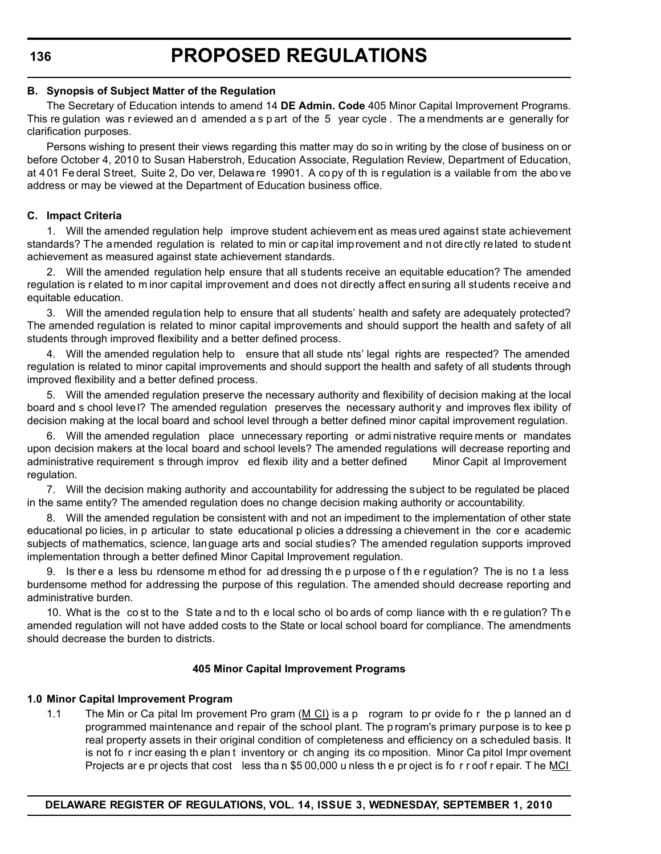**136**

#### **B. Synopsis of Subject Matter of the Regulation**

The Secretary of Education intends to amend 14 **DE Admin. Code** 405 Minor Capital Improvement Programs. This re gulation was r eviewed an d amended a s p art of the 5 year cycle . The a mendments ar e generally for clarification purposes.

Persons wishing to present their views regarding this matter may do so in writing by the close of business on or before October 4, 2010 to Susan Haberstroh, Education Associate, Regulation Review, Department of Education, at 4 01 Fe deral Street, Suite 2, Do ver, Delawa re 19901. A co py of th is r egulation is a vailable fr om the abo ve address or may be viewed at the Department of Education business office.

### **C. Impact Criteria**

1. Will the amended regulation help improve student achievem ent as meas ured against state achievement standards? The amended regulation is related to min or capital improvement and not directly related to student achievement as measured against state achievement standards.

2. Will the amended regulation help ensure that all students receive an equitable education? The amended regulation is r elated to m inor capital improvement and does not directly affect ensuring all students receive and equitable education.

3. Will the amended regulation help to ensure that all students' health and safety are adequately protected? The amended regulation is related to minor capital improvements and should support the health and safety of all students through improved flexibility and a better defined process.

4. Will the amended regulation help to ensure that all stude nts' legal rights are respected? The amended regulation is related to minor capital improvements and should support the health and safety of all students through improved flexibility and a better defined process.

5. Will the amended regulation preserve the necessary authority and flexibility of decision making at the local board and s chool leve l? The amended regulation preserves the necessary authority and improves flex ibility of decision making at the local board and school level through a better defined minor capital improvement regulation.

6. Will the amended regulation place unnecessary reporting or admi nistrative require ments or mandates upon decision makers at the local board and school levels? The amended regulations will decrease reporting and administrative requirement s through improv ed flexib ility and a better defined Minor Capit al Improvement regulation.

7. Will the decision making authority and accountability for addressing the subject to be regulated be placed in the same entity? The amended regulation does no change decision making authority or accountability.

8. Will the amended regulation be consistent with and not an impediment to the implementation of other state educational po licies, in p articular to state educational p olicies a ddressing a chievement in the cor e academic subjects of mathematics, science, language arts and social studies? The amended regulation supports improved implementation through a better defined Minor Capital Improvement regulation.

9. Is ther e a less bu rdensome m ethod for ad dressing th e p urpose o f th e r egulation? The is no t a less burdensome method for addressing the purpose of this regulation. The amended should decrease reporting and administrative burden.

10. What is the co st to the S tate a nd to th e local scho ol bo ards of comp liance with th e re gulation? Th e amended regulation will not have added costs to the State or local school board for compliance. The amendments should decrease the burden to districts.

### **405 Minor Capital Improvement Programs**

### **1.0 Minor Capital Improvement Program**

1.1 The Min or Ca pital Im provement Pro gram  $(M Cl)$  is a p rogram to pr ovide fo r the p lanned an d programmed maintenance and repair of the school plant. The p rogram's primary purpose is to kee p real property assets in their original condition of completeness and efficiency on a scheduled basis. It is not fo r incr easing th e plan t inventory or ch anging its co mposition. Minor Ca pitol Impr ovement Projects are pr ojects that cost less than \$5 00,000 u nless the project is fo r r oof r epair. The MCI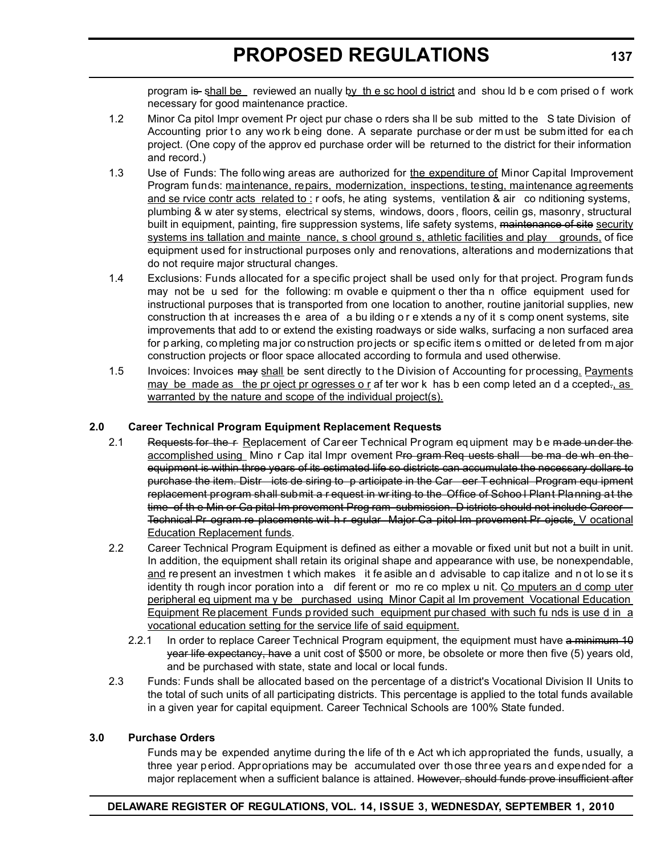program is shall be reviewed an nually by the sc hool d istrict and shou ld b e com prised o f work necessary for good maintenance practice.

- 1.2 Minor Ca pitol Impr ovement Pr oject pur chase o rders sha ll be sub mitted to the S tate Division of Accounting prior to any wo rk b eing done. A separate purchase or der must be submitted for each project. (One copy of the approv ed purchase order will be returned to the district for their information and record.)
- 1.3 Use of Funds: The follo wing areas are authorized for the expenditure of Minor Capital Improvement Program funds: maintenance, repairs, modernization, inspections, testing, maintenance agreements and se rvice contr acts related to : r oofs, he ating systems, ventilation & air co nditioning systems, plumbing & w ater sy stems, electrical sy stems, windows, doors , floors, ceilin gs, masonry, structural built in equipment, painting, fire suppression systems, life safety systems, maintenance of site security systems ins tallation and mainte nance, s chool ground s, athletic facilities and play grounds, of fice equipment used for instructional purposes only and renovations, alterations and modernizations that do not require major structural changes.
- 1.4 Exclusions: Funds allocated for a specific project shall be used only for that project. Program funds may not be u sed for the following: m ovable e quipment o ther tha n office equipment used for instructional purposes that is transported from one location to another, routine janitorial supplies, new construction th at increases the area of a building or extends a ny of it s comp onent systems, site improvements that add to or extend the existing roadways or side walks, surfacing a non surfaced area for parking, co mpleting ma jor co nstruction pro jects or sp ecific item s o mitted or de leted fr om m ajor construction projects or floor space allocated according to formula and used otherwise.
- 1.5 Invoices: Invoices may shall be sent directly to the Division of Accounting for processing. Payments may be made as the pr oject pr ogresses o r af ter wor k has b een comp leted an d a ccepted-, as warranted by the nature and scope of the individual project(s).

# **2.0 Career Technical Program Equipment Replacement Requests**

- 2.1 Requests for the r Replacement of Career Technical Program equipment may be made under the accomplished using Mino r Cap ital Impr ovement Pro gram Req uests shall be ma de wh en the equipment is within three years of its estimated life so districts can accumulate the necessary dollars to purchase the item. Distr icts de siring to p articipate in the Car eer T echnical Program equ ipment replacement program shall submit a r equest in wr iting to the Office of Schoo l Plant Planning at the time of th e Min or Ca pital Im provement Prog ram submission. D istricts should not include Career Technical Pr ogram re placements wit h r egular Major Ca pitol Im provement Pr ojects, V ocational Education Replacement funds.
- 2.2 Career Technical Program Equipment is defined as either a movable or fixed unit but not a built in unit. In addition, the equipment shall retain its original shape and appearance with use, be nonexpendable, and re present an investmen t which makes it fe asible an d advisable to cap italize and n ot lo se it s identity th rough incor poration into a dif ferent or mo re co mplex u nit. Co mputers an d comp uter peripheral eq uipment ma y be purchased using Minor Capit al Im provement Vocational Education Equipment Re placement Funds p rovided such equipment pur chased with such fu nds is use d in a vocational education setting for the service life of said equipment.
	- 2.2.1 In order to replace Career Technical Program equipment, the equipment must have a minimum 10 year life expectancy, have a unit cost of \$500 or more, be obsolete or more then five (5) years old, and be purchased with state, state and local or local funds.
- 2.3 Funds: Funds shall be allocated based on the percentage of a district's Vocational Division II Units to the total of such units of all participating districts. This percentage is applied to the total funds available in a given year for capital equipment. Career Technical Schools are 100% State funded.

### **3.0 Purchase Orders**

Funds may be expended anytime during the life of th e Act wh ich appropriated the funds, usually, a three year period. Appropriations may be accumulated over those three years and expended for a major replacement when a sufficient balance is attained. However, should funds prove insufficient after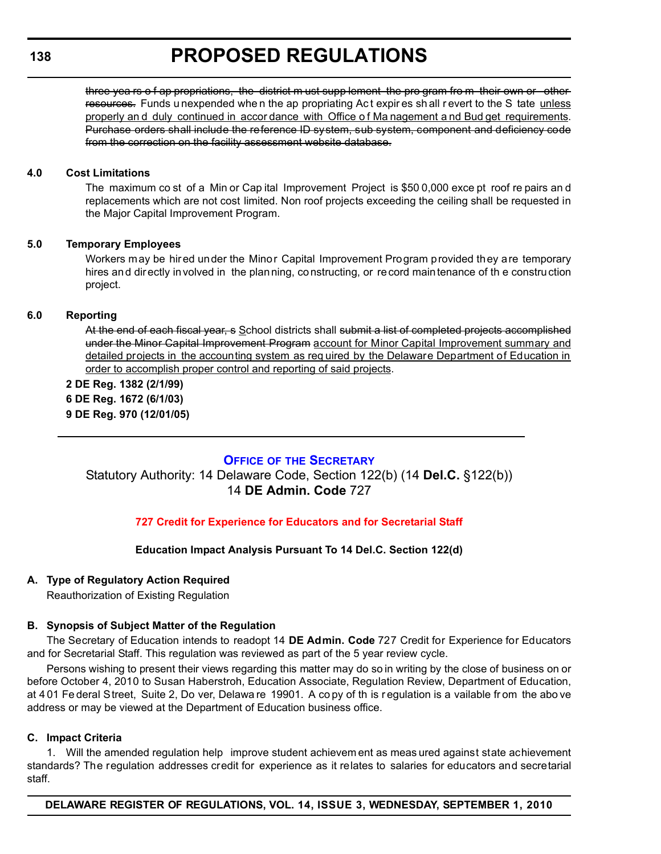# **138**

# **PROPOSED REGULATIONS**

three yea rs o f ap propriations, the district m ust supp lement the pro gram fro m their own or other resources. Funds u nexpended when the ap propriating Act expires shall revert to the S tate unless properly an d duly continued in accor dance with Office o f Ma nagement a nd Bud get requirements. Purchase orders shall include the reference ID system, sub system, component and deficiency code from the correction on the facility assessment website database.

### **4.0 Cost Limitations**

The maximum co st of a Min or Cap ital Improvement Project is \$50 0,000 exce pt roof re pairs an d replacements which are not cost limited. Non roof projects exceeding the ceiling shall be requested in the Major Capital Improvement Program.

### **5.0 Temporary Employees**

Workers may be hired under the Minor Capital Improvement Program provided they are temporary hires and directly involved in the planning, constructing, or record maintenance of th e construction project.

# **6.0 Reporting**

At the end of each fiscal year, s School districts shall submit a list of completed projects accomplished under the Minor Capital Improvement Program account for Minor Capital Improvement summary and detailed projects in the accounting system as req uired by the Delaware Department of Education in order to accomplish proper control and reporting of said projects.

**2 DE Reg. 1382 (2/1/99) 6 DE Reg. 1672 (6/1/03) 9 DE Reg. 970 (12/01/05)**

# **OFFICE OF [THE SECRETARY](http://www.doe.k12.de.us/)**

Statutory Authority: 14 Delaware Code, Section 122(b) (14 **Del.C.** §122(b)) 14 **DE Admin. Code** 727

# **[727 Credit for Experience for Educators and for Secretarial Staff](#page-3-0)**

# **Education Impact Analysis Pursuant To 14 Del.C. Section 122(d)**

### **A. Type of Regulatory Action Required**

Reauthorization of Existing Regulation

### **B. Synopsis of Subject Matter of the Regulation**

The Secretary of Education intends to readopt 14 **DE Admin. Code** 727 Credit for Experience for Educators and for Secretarial Staff. This regulation was reviewed as part of the 5 year review cycle.

Persons wishing to present their views regarding this matter may do so in writing by the close of business on or before October 4, 2010 to Susan Haberstroh, Education Associate, Regulation Review, Department of Education, at 4 01 Fe deral Street, Suite 2, Do ver, Delawa re 19901. A co py of th is r egulation is a vailable fr om the abo ve address or may be viewed at the Department of Education business office.

### **C. Impact Criteria**

1. Will the amended regulation help improve student achievem ent as meas ured against state achievement standards? The regulation addresses credit for experience as it relates to salaries for educators and secretarial staff.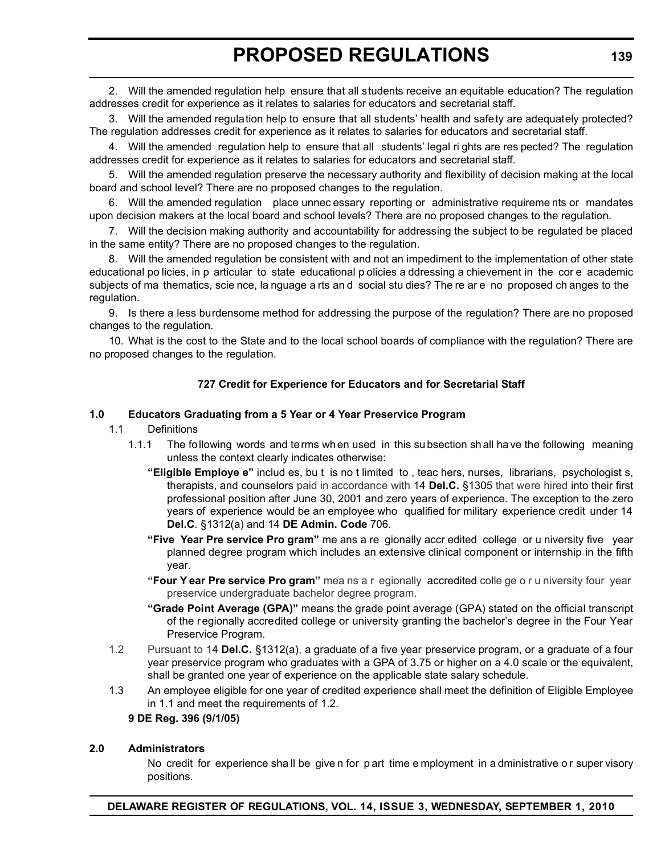2. Will the amended regulation help ensure that all students receive an equitable education? The regulation addresses credit for experience as it relates to salaries for educators and secretarial staff.

3. Will the amended regulation help to ensure that all students' health and safety are adequately protected? The regulation addresses credit for experience as it relates to salaries for educators and secretarial staff.

4. Will the amended regulation help to ensure that all students' legal ri ghts are res pected? The regulation addresses credit for experience as it relates to salaries for educators and secretarial staff.

5. Will the amended regulation preserve the necessary authority and flexibility of decision making at the local board and school level? There are no proposed changes to the regulation.

6. Will the amended regulation place unnec essary reporting or administrative requireme nts or mandates upon decision makers at the local board and school levels? There are no proposed changes to the regulation.

7. Will the decision making authority and accountability for addressing the subject to be regulated be placed in the same entity? There are no proposed changes to the regulation.

8. Will the amended regulation be consistent with and not an impediment to the implementation of other state educational po licies, in p articular to state educational p olicies a ddressing a chievement in the cor e academic subjects of ma thematics, scie nce, la nguage a rts an d social stu dies? The re are no proposed ch anges to the regulation.

9. Is there a less burdensome method for addressing the purpose of the regulation? There are no proposed changes to the regulation.

10. What is the cost to the State and to the local school boards of compliance with the regulation? There are no proposed changes to the regulation.

### **727 Credit for Experience for Educators and for Secretarial Staff**

#### **1.0 Educators Graduating from a 5 Year or 4 Year Preservice Program**

#### 1.1 Definitions

- 1.1.1 The following words and terms when used in this su bsection sh all ha ve the following meaning unless the context clearly indicates otherwise:
	- **"Eligible Employe e"** includ es, bu t is no t limited to , teac hers, nurses, librarians, psychologist s, therapists, and counselors paid in accordance with 14 **Del.C.** §1305 that were hired into their first professional position after June 30, 2001 and zero years of experience. The exception to the zero years of experience would be an employee who qualified for military experience credit under 14 **Del.C**. §1312(a) and 14 **DE Admin. Code** 706.
	- **"Five Year Pre service Pro gram"** me ans a re gionally accr edited college or u niversity five year planned degree program which includes an extensive clinical component or internship in the fifth year.
	- **"Four Y ear Pre service Pro gram"** mea ns a r egionally accredited colle ge o r u niversity four year preservice undergraduate bachelor degree program.
	- **"Grade Point Average (GPA)"** means the grade point average (GPA) stated on the official transcript of the regionally accredited college or university granting the bachelor's degree in the Four Year Preservice Program.
- 1.2 Pursuant to 14 **Del.C.** §1312(a), a graduate of a five year preservice program, or a graduate of a four year preservice program who graduates with a GPA of 3.75 or higher on a 4.0 scale or the equivalent, shall be granted one year of experience on the applicable state salary schedule.
- 1.3 An employee eligible for one year of credited experience shall meet the definition of Eligible Employee in 1.1 and meet the requirements of 1.2.

#### **9 DE Reg. 396 (9/1/05)**

#### **2.0 Administrators**

No credit for experience sha ll be give n for p art time e mployment in a dministrative o r super visory positions.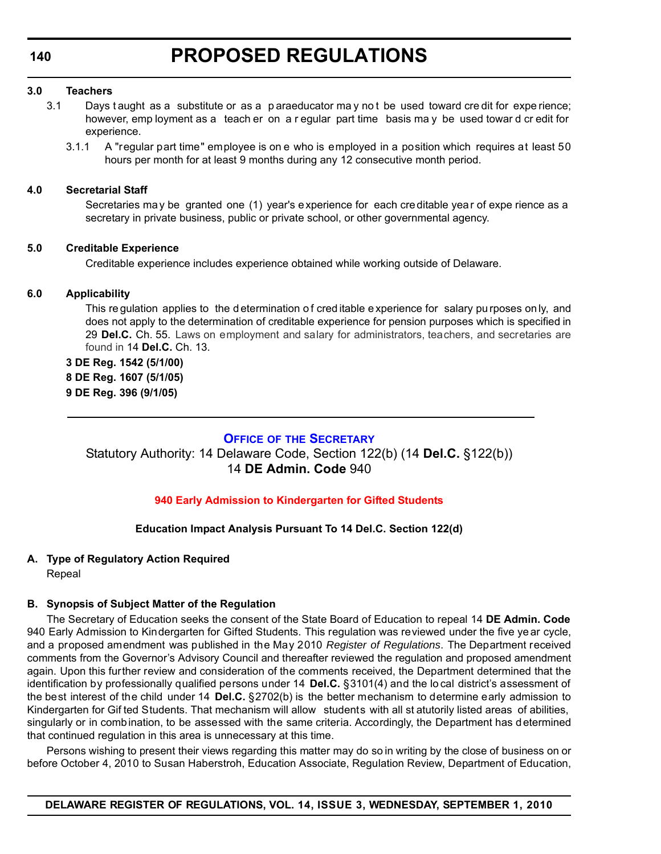<span id="page-14-0"></span>**140**

#### **3.0 Teachers**

- 3.1 Days t aught as a substitute or as a p araeducator ma y no t be used toward cre dit for expe rience; however, emp loyment as a teach er on a r egular part time basis ma y be used towar d cr edit for experience.
	- 3.1.1 A "regular part time" employee is on e who is employed in a position which requires at least 50 hours per month for at least 9 months during any 12 consecutive month period.

### **4.0 Secretarial Staff**

Secretaries may be granted one (1) year's experience for each creditable year of expe rience as a secretary in private business, public or private school, or other governmental agency.

### **5.0 Creditable Experience**

Creditable experience includes experience obtained while working outside of Delaware.

# **6.0 Applicability**

This regulation applies to the d etermination of cred itable experience for salary pu rposes on ly, and does not apply to the determination of creditable experience for pension purposes which is specified in 29 **Del.C.** Ch. 55. Laws on employment and salary for administrators, teachers, and secretaries are found in 14 **Del.C.** Ch. 13.

**3 DE Reg. 1542 (5/1/00) 8 DE Reg. 1607 (5/1/05) 9 DE Reg. 396 (9/1/05)**

# **OFFICE OF [THE SECRETARY](http://www.doe.k12.de.us/)**

Statutory Authority: 14 Delaware Code, Section 122(b) (14 **Del.C.** §122(b)) 14 **DE Admin. Code** 940

# **[940 Early Admission to Kindergarten for Gifted Students](#page-3-0)**

# **Education Impact Analysis Pursuant To 14 Del.C. Section 122(d)**

# **A. Type of Regulatory Action Required**

Repeal

### **B. Synopsis of Subject Matter of the Regulation**

The Secretary of Education seeks the consent of the State Board of Education to repeal 14 **DE Admin. Code** 940 Early Admission to Kindergarten for Gifted Students. This regulation was reviewed under the five ye ar cycle, and a proposed amendment was published in the May 2010 *Register of Regulations*. The Department received comments from the Governor's Advisory Council and thereafter reviewed the regulation and proposed amendment again. Upon this further review and consideration of the comments received, the Department determined that the identification by professionally qualified persons under 14 **Del.C.** §3101(4) and the lo cal district's assessment of the best interest of the child under 14 **Del.C.** §2702(b) is the better mechanism to determine early admission to Kindergarten for Gif ted Students. That mechanism will allow students with all st atutorily listed areas of abilities, singularly or in combination, to be assessed with the same criteria. Accordingly, the Department has determined that continued regulation in this area is unnecessary at this time.

Persons wishing to present their views regarding this matter may do so in writing by the close of business on or before October 4, 2010 to Susan Haberstroh, Education Associate, Regulation Review, Department of Education,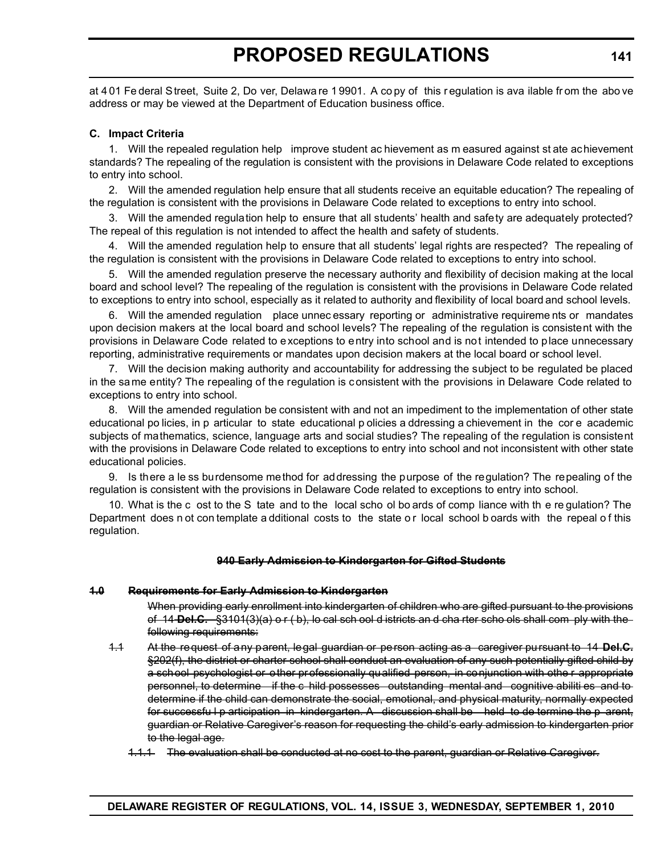at 4 01 Fe deral Street, Suite 2, Do ver, Delawa re 1 9901. A co py of this r egulation is ava ilable fr om the abo ve address or may be viewed at the Department of Education business office.

#### **C. Impact Criteria**

1. Will the repealed regulation help improve student ac hievement as m easured against st ate achievement standards? The repealing of the regulation is consistent with the provisions in Delaware Code related to exceptions to entry into school.

2. Will the amended regulation help ensure that all students receive an equitable education? The repealing of the regulation is consistent with the provisions in Delaware Code related to exceptions to entry into school.

3. Will the amended regulation help to ensure that all students' health and safety are adequately protected? The repeal of this regulation is not intended to affect the health and safety of students.

4. Will the amended regulation help to ensure that all students' legal rights are respected? The repealing of the regulation is consistent with the provisions in Delaware Code related to exceptions to entry into school.

5. Will the amended regulation preserve the necessary authority and flexibility of decision making at the local board and school level? The repealing of the regulation is consistent with the provisions in Delaware Code related to exceptions to entry into school, especially as it related to authority and flexibility of local board and school levels.

6. Will the amended regulation place unnec essary reporting or administrative requireme nts or mandates upon decision makers at the local board and school levels? The repealing of the regulation is consistent with the provisions in Delaware Code related to exceptions to entry into school and is not intended to place unnecessary reporting, administrative requirements or mandates upon decision makers at the local board or school level.

7. Will the decision making authority and accountability for addressing the subject to be regulated be placed in the same entity? The repealing of the regulation is consistent with the provisions in Delaware Code related to exceptions to entry into school.

8. Will the amended regulation be consistent with and not an impediment to the implementation of other state educational po licies, in p articular to state educational p olicies a ddressing a chievement in the cor e academic subjects of mathematics, science, language arts and social studies? The repealing of the regulation is consistent with the provisions in Delaware Code related to exceptions to entry into school and not inconsistent with other state educational policies.

9. Is there a le ss burdensome method for addressing the purpose of the regulation? The repealing of the regulation is consistent with the provisions in Delaware Code related to exceptions to entry into school.

10. What is the c ost to the S tate and to the local scho ol bo ards of comp liance with th e re gulation? The Department does n ot con template a dditional costs to the state or local school b oards with the repeal of this regulation.

#### **940 Early Admission to Kindergarten for Gifted Students**

#### **1.0 Requirements for Early Admission to Kindergarten**

When providing early enrollment into kindergarten of children who are gifted pursuant to the provisions of 14 **Del.C.** §3101(3)(a) o r ( b), lo cal sch ool d istricts an d cha rter scho ols shall com ply with the following requirements:

- 1.1 At the request of any parent, legal guardian or person acting as a caregiver pursuant to 14 **Del.C.** §202(f), the district or charter school shall conduct an evaluation of any such potentially gifted child by a school psychologist or other professionally qualified person, in conjunction with othe r appropriate personnel, to determine if the c hild possesses outstanding mental and cognitive abiliti es and to determine if the child can demonstrate the social, emotional, and physical maturity, normally expected for successfu I p articipation in kindergarten. A discussion shall be held to de termine the p arent, guardian or Relative Caregiver's reason for requesting the child's early admission to kindergarten prior to the legal age.
	- 1.1.1 The evaluation shall be conducted at no cost to the parent, guardian or Relative Caregiver.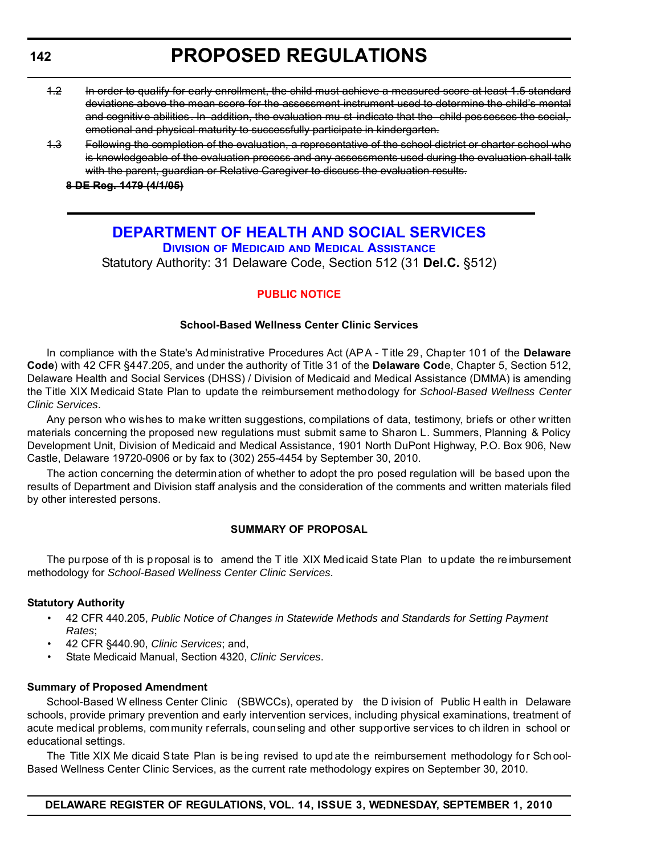# <span id="page-16-0"></span>**142**

# **PROPOSED REGULATIONS**

- 1.2 In order to qualify for early enrollment, the child must achieve a measured score at least 1.5 standard deviations above the mean score for the assessment instrument used to determine the child's mental and cognitive abilities. In addition, the evaluation mu st indicate that the child possesses the social, emotional and physical maturity to successfully participate in kindergarten.
- 1.3 Following the completion of the evaluation, a representative of the school district or charter school who is knowledgeable of the evaluation process and any assessments used during the evaluation shall talk with the parent, guardian or Relative Caregiver to discuss the evaluation results.

**8 DE Reg. 1479 (4/1/05)**

# **[DEPARTMENT OF HEALTH AND SOCIAL SERVICES](http://www.dhss.delaware.gov/dhss/dmma/) DIVISION OF MEDICAID AND MEDICAL ASSISTANCE** Statutory Authority: 31 Delaware Code, Section 512 (31 **Del.C.** §512)

# **[PUBLIC NOTICE](#page-3-0)**

#### **School-Based Wellness Center Clinic Services**

In compliance with the State's Administrative Procedures Act (APA - T itle 29, Chapter 101 of the **Delaware Code**) with 42 CFR §447.205, and under the authority of Title 31 of the **Delaware Cod**e, Chapter 5, Section 512, Delaware Health and Social Services (DHSS) / Division of Medicaid and Medical Assistance (DMMA) is amending the Title XIX Medicaid State Plan to update the reimbursement methodology for *School-Based Wellness Center Clinic Services*.

Any person who wishes to make written suggestions, compilations of data, testimony, briefs or other written materials concerning the proposed new regulations must submit same to Sharon L. Summers, Planning & Policy Development Unit, Division of Medicaid and Medical Assistance, 1901 North DuPont Highway, P.O. Box 906, New Castle, Delaware 19720-0906 or by fax to (302) 255-4454 by September 30, 2010.

The action concerning the determination of whether to adopt the pro posed regulation will be based upon the results of Department and Division staff analysis and the consideration of the comments and written materials filed by other interested persons.

### **SUMMARY OF PROPOSAL**

The pu rpose of th is p roposal is to amend the T itle XIX Med icaid State Plan to u pdate the re imbursement methodology for *School-Based Wellness Center Clinic Services*.

#### **Statutory Authority**

- 42 CFR 440.205, *Public Notice of Changes in Statewide Methods and Standards for Setting Payment Rates*;
- 42 CFR §440.90, *Clinic Services*; and,
- State Medicaid Manual, Section 4320, *Clinic Services*.

#### **Summary of Proposed Amendment**

School-Based W ellness Center Clinic (SBWCCs), operated by the D ivision of Public H ealth in Delaware schools, provide primary prevention and early intervention services, including physical examinations, treatment of acute medical problems, community referrals, counseling and other supportive services to ch ildren in school or educational settings.

The Title XIX Me dicaid State Plan is be ing revised to upd ate the reimbursement methodology for Sch ool-Based Wellness Center Clinic Services, as the current rate methodology expires on September 30, 2010.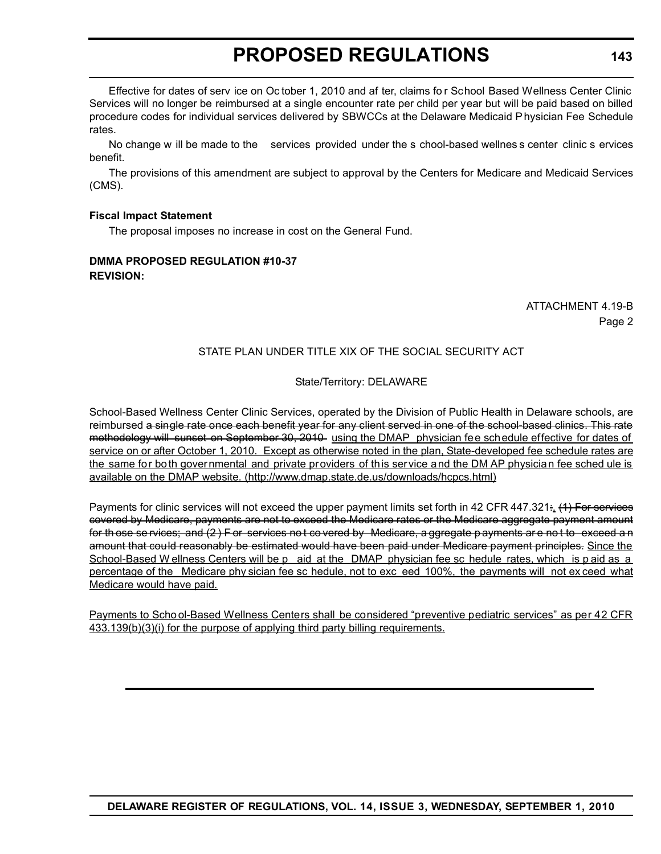Effective for dates of serv ice on Oc tober 1, 2010 and af ter, claims fo r School Based Wellness Center Clinic Services will no longer be reimbursed at a single encounter rate per child per year but will be paid based on billed procedure codes for individual services delivered by SBWCCs at the Delaware Medicaid P hysician Fee Schedule rates.

No change w ill be made to the services provided under the s chool-based wellnes s center clinic s ervices benefit.

The provisions of this amendment are subject to approval by the Centers for Medicare and Medicaid Services (CMS).

### **Fiscal Impact Statement**

The proposal imposes no increase in cost on the General Fund.

# **DMMA PROPOSED REGULATION #10-37 REVISION:**

# ATTACHMENT 4.19-B Page 2

# STATE PLAN UNDER TITLE XIX OF THE SOCIAL SECURITY ACT

# State/Territory: DELAWARE

School-Based Wellness Center Clinic Services, operated by the Division of Public Health in Delaware schools, are reimbursed a single rate once each benefit year for any client served in one of the school-based clinics. This rate methodology will sunset on September 30, 2010 using the DMAP physician fee schedule effective for dates of service on or after October 1, 2010. Except as otherwise noted in the plan, State-developed fee schedule rates are the same for both governmental and private providers of this service and the DM AP physician fee sched ule is available on the DMAP website. (http://www.dmap.state.de.us/downloads/hcpcs.html)

Payments for clinic services will not exceed the upper payment limits set forth in 42 CFR 447.321: (4) For services covered by Medicare, payments are not to exceed the Medicare rates or the Medicare aggregate payment amount for th ose se rvices; and (2 ) F or services no t co vered by Medicare, a ggregate p ayments ar e no t to exceed a n amount that could reasonably be estimated would have been paid under Medicare payment principles. Since the School-Based W ellness Centers will be p aid at the DMAP physician fee sc hedule rates, which is p aid as a percentage of the Medicare phy sician fee sc hedule, not to exc eed 100%, the payments will not ex ceed what Medicare would have paid.

Payments to Scho ol-Based Wellness Centers shall be considered "preventive pediatric services" as per 42 CFR 433.139(b)(3)(i) for the purpose of applying third party billing requirements.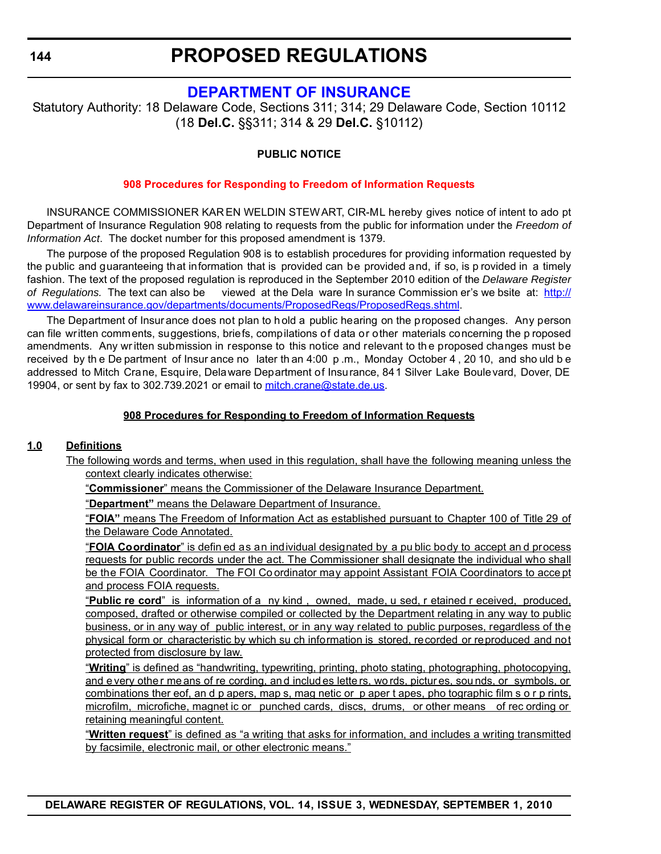# **[DEPARTMENT OF INSURANCE](http://www.delawareinsurance.gov/)**

<span id="page-18-0"></span>Statutory Authority: 18 Delaware Code, Sections 311; 314; 29 Delaware Code, Section 10112 (18 **Del.C.** §§311; 314 & 29 **Del.C.** §10112)

# **PUBLIC NOTICE**

# **[908 Procedures for Responding to Freedom of Information Requests](#page-3-0)**

INSURANCE COMMISSIONER KAR EN WELDIN STEWART, CIR-ML hereby gives notice of intent to ado pt Department of Insurance Regulation 908 relating to requests from the public for information under the *Freedom of Information Act*. The docket number for this proposed amendment is 1379.

The purpose of the proposed Regulation 908 is to establish procedures for providing information requested by the public and guaranteeing that information that is provided can be provided and, if so, is p rovided in a timely fashion. The text of the proposed regulation is reproduced in the September 2010 edition of the *Delaware Register of Regulations.* The text can also be viewed at the Dela ware In surance Commission er's we bsite at: http:// www.delawareinsurance.gov/departments/documents/ProposedRegs/ProposedRegs.shtml.

The Department of Insurance does not plan to hold a public hearing on the proposed changes. Any person can file written comments, suggestions, briefs, compilations of data or other materials concerning the p roposed amendments. Any wr itten submission in response to this notice and relevant to th e proposed changes must be received by th e De partment of Insur ance no later th an 4:00 p .m., Monday October 4 , 20 10, and sho uld b e addressed to Mitch Crane, Esquire, Delaware Department of Insurance, 841 Silver Lake Boulevard, Dover, DE 19904, or sent by fax to 302.739.2021 or email to mitch.crane@state.de.us.

# **908 Procedures for Responding to Freedom of Information Requests**

### **1.0 Definitions**

The following words and terms, when used in this regulation, shall have the following meaning unless the context clearly indicates otherwise:

"**Commissioner**" means the Commissioner of the Delaware Insurance Department.

"**Department"** means the Delaware Department of Insurance.

"**FOIA"** means The Freedom of Information Act as established pursuant to Chapter 100 of Title 29 of the Delaware Code Annotated.

"**FOIA Coordinator**" is defin ed as an individual designated by a pu blic body to accept an d process requests for public records under the act. The Commissioner shall designate the individual who shall be the FOIA Coordinator. The FOI Co ordinator may appoint Assistant FOIA Coordinators to acce pt and process FOIA requests.

"**Public re cord**" is information of a ny kind , owned, made, u sed, r etained r eceived, produced, composed, drafted or otherwise compiled or collected by the Department relating in any way to public business, or in any way of public interest, or in any way related to public purposes, regardless of the physical form or characteristic by which su ch information is stored, recorded or reproduced and not protected from disclosure by law.

"**Writing**" is defined as "handwriting, typewriting, printing, photo stating, photographing, photocopying, and e very othe r me ans of re cording, an d includ es lette rs, wo rds, pictur es, sou nds, or symbols, or combinations ther eof, an d p apers, map s, mag netic or p aper t apes, pho tographic film s o r p rints, microfilm, microfiche, magnet ic or punched cards, discs, drums, or other means of rec ording or retaining meaningful content.

"**Written request**" is defined as "a writing that asks for information, and includes a writing transmitted by facsimile, electronic mail, or other electronic means."

**DELAWARE REGISTER OF REGULATIONS, VOL. 14, ISSUE 3, WEDNESDAY, SEPTEMBER 1, 2010**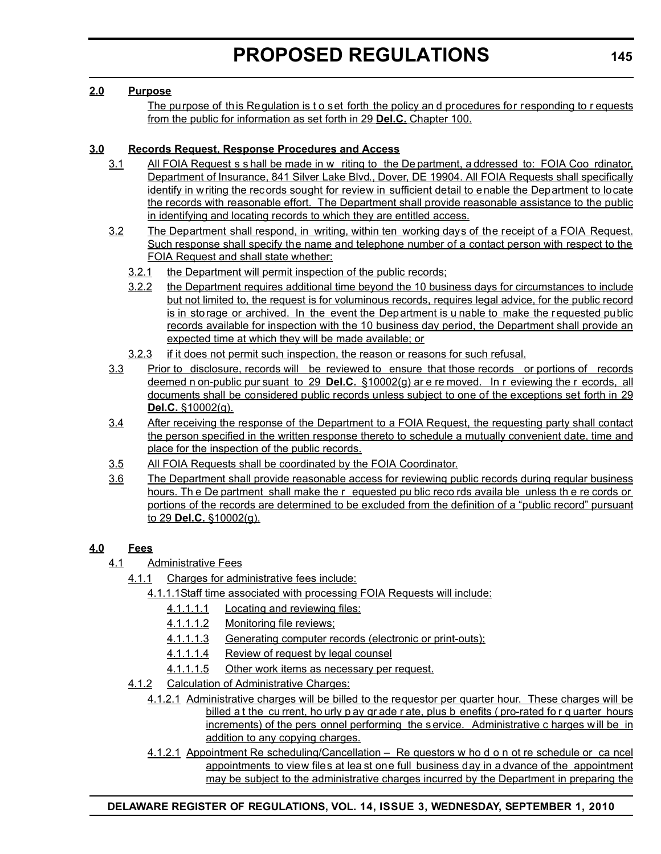# **2.0 Purpose**

The purpose of this Regulation is t o set forth the policy and procedures for responding to requests from the public for information as set forth in 29 **Del.C.** Chapter 100.

# **3.0 Records Request, Response Procedures and Access**

- 3.1 All FOIA Request s s hall be made in w riting to the De partment, a ddressed to: FOIA Coo rdinator, Department of Insurance, 841 Silver Lake Blvd., Dover, DE 19904. All FOIA Requests shall specifically identify in writing the records sought for review in sufficient detail to enable the Department to locate the records with reasonable effort. The Department shall provide reasonable assistance to the public in identifying and locating records to which they are entitled access.
- 3.2 The Department shall respond, in writing, within ten working days of the receipt of a FOIA Request. Such response shall specify the name and telephone number of a contact person with respect to the FOIA Request and shall state whether:
	- 3.2.1 the Department will permit inspection of the public records;
	- 3.2.2 the Department requires additional time beyond the 10 business days for circumstances to include but not limited to, the request is for voluminous records, requires legal advice, for the public record is in storage or archived. In the event the Department is u nable to make the requested public records available for inspection with the 10 business day period, the Department shall provide an expected time at which they will be made available; or
	- 3.2.3 if it does not permit such inspection, the reason or reasons for such refusal.
- 3.3 Prior to disclosure, records will be reviewed to ensure that those records or portions of records deemed n on-public pur suant to 29 **Del.C.** §10002(g) ar e re moved. In r eviewing the r ecords, all documents shall be considered public records unless subject to one of the exceptions set forth in 29 **Del.C.** §10002(g).
- 3.4 After receiving the response of the Department to a FOIA Request, the requesting party shall contact the person specified in the written response thereto to schedule a mutually convenient date, time and place for the inspection of the public records.
- 3.5 All FOIA Requests shall be coordinated by the FOIA Coordinator.
- 3.6 The Department shall provide reasonable access for reviewing public records during regular business hours. Th e De partment shall make the r equested pu blic reco rds availa ble unless th e re cords or portions of the records are determined to be excluded from the definition of a "public record" pursuant to 29 **Del.C.** §10002(g).

# **4.0 Fees**

- 4.1 Administrative Fees
	- 4.1.1 Charges for administrative fees include:
		- 4.1.1.1Staff time associated with processing FOIA Requests will include:
			- 4.1.1.1.1 Locating and reviewing files:
			- 4.1.1.1.2 Monitoring file reviews;
			- 4.1.1.1.3 Generating computer records (electronic or print-outs);
			- 4.1.1.1.4 Review of request by legal counsel
			- 4.1.1.1.5 Other work items as necessary per request.
	- 4.1.2 Calculation of Administrative Charges:
		- 4.1.2.1 Administrative charges will be billed to the requestor per quarter hour. These charges will be billed a t the cu rrent, ho urly p ay gr ade r ate, plus b enefits ( pro-rated fo r q uarter hours increments) of the pers onnel performing the s ervice. Administrative c harges w ill be in addition to any copying charges.
		- 4.1.2.1 Appointment Re scheduling/Cancellation Re questors w ho d o n ot re schedule or ca ncel appointments to view files at lea st one full business day in a dvance of the appointment may be subject to the administrative charges incurred by the Department in preparing the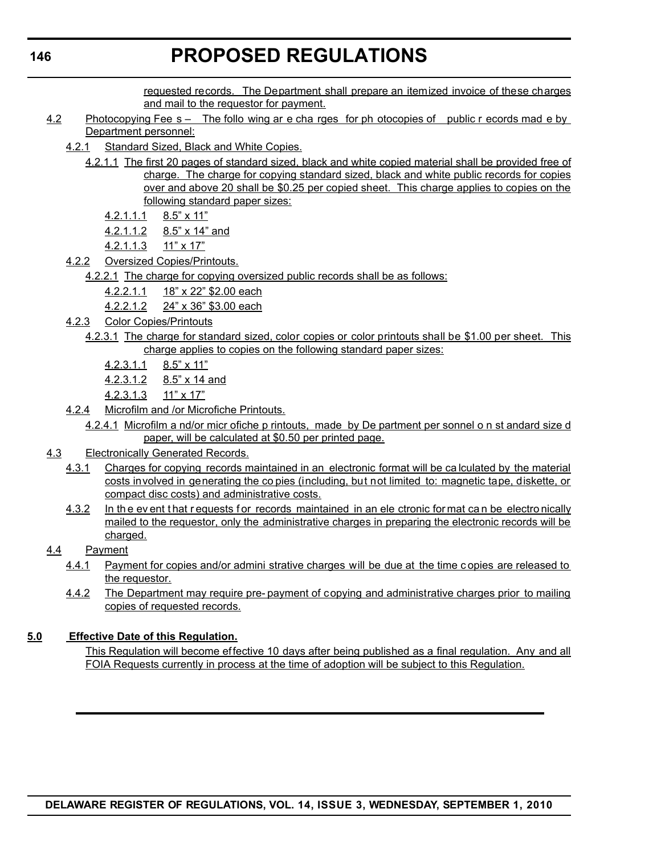requested records. The Department shall prepare an itemized invoice of these charges and mail to the requestor for payment.

- 4.2 Photocopying Fee s The follo wing ar e cha rges for ph otocopies of public r ecords mad e by Department personnel:
	- 4.2.1 Standard Sized, Black and White Copies.
		- 4.2.1.1 The first 20 pages of standard sized, black and white copied material shall be provided free of charge. The charge for copying standard sized, black and white public records for copies over and above 20 shall be \$0.25 per copied sheet. This charge applies to copies on the following standard paper sizes:
			- 4.2.1.1.1 8.5" x 11"
			- 4.2.1.1.2 8.5" x 14" and
			- 4.2.1.1.3 11" x 17"
	- 4.2.2 Oversized Copies/Printouts.
		- 4.2.2.1 The charge for copying oversized public records shall be as follows:
			- 4.2.2.1.1 18" x 22" \$2.00 each
			- 4.2.2.1.2 24" x 36" \$3.00 each
	- 4.2.3 Color Copies/Printouts
		- 4.2.3.1 The charge for standard sized, color copies or color printouts shall be \$1.00 per sheet. This charge applies to copies on the following standard paper sizes:
			- 4.2.3.1.1 8.5" x 11"
			- 4.2.3.1.2 8.5" x 14 and
			- 4.2.3.1.3 11" x 17"
	- 4.2.4 Microfilm and /or Microfiche Printouts.
		- 4.2.4.1 Microfilm a nd/or micr ofiche p rintouts, made by De partment per sonnel o n st andard size d paper, will be calculated at \$0.50 per printed page.
- 4.3 Electronically Generated Records.
	- 4.3.1 Charges for copying records maintained in an electronic format will be ca lculated by the material costs involved in generating the co pies (including, but not limited to: magnetic tape, diskette, or compact disc costs) and administrative costs.
	- 4.3.2 In the ev ent that r equests for records maintained in an ele ctronic for mat can be electro nically mailed to the requestor, only the administrative charges in preparing the electronic records will be charged.
- 4.4 Payment
	- 4.4.1 Payment for copies and/or admini strative charges will be due at the time c opies are released to the requestor.
	- 4.4.2 The Department may require pre- payment of copying and administrative charges prior to mailing copies of requested records.

### **5.0 Effective Date of this Regulation.**

This Regulation will become effective 10 days after being published as a final regulation. Any and all FOIA Requests currently in process at the time of adoption will be subject to this Regulation.

**DELAWARE REGISTER OF REGULATIONS, VOL. 14, ISSUE 3, WEDNESDAY, SEPTEMBER 1, 2010**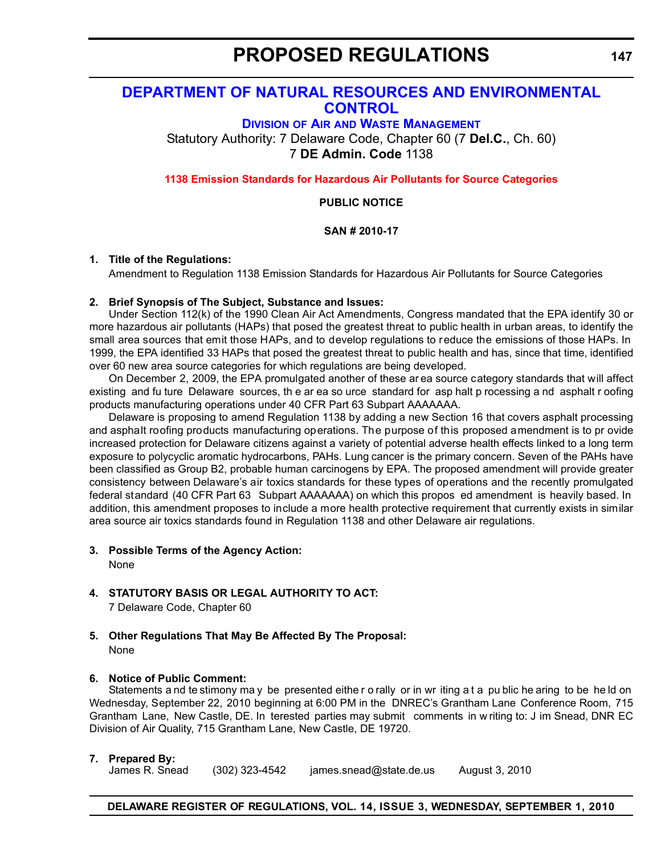# <span id="page-21-0"></span>**[DEPARTMENT OF NATURAL RESOURCES AND ENVIRONMENTAL](http://www.awm.delaware.gov/Pages/default.aspx)  CONTROL**

**DIVISION OF AIR AND WASTE MANAGEMENT**

Statutory Authority: 7 Delaware Code, Chapter 60 (7 **Del.C.**, Ch. 60) 7 **DE Admin. Code** 1138

**[1138 Emission Standards for Hazardous Air Pollutants for Source Categories](#page-3-0)**

#### **PUBLIC NOTICE**

#### **SAN # 2010-17**

#### **1. Title of the Regulations:**

Amendment to Regulation 1138 Emission Standards for Hazardous Air Pollutants for Source Categories

### **2. Brief Synopsis of The Subject, Substance and Issues:**

Under Section 112(k) of the 1990 Clean Air Act Amendments, Congress mandated that the EPA identify 30 or more hazardous air pollutants (HAPs) that posed the greatest threat to public health in urban areas, to identify the small area sources that emit those HAPs, and to develop regulations to reduce the emissions of those HAPs. In 1999, the EPA identified 33 HAPs that posed the greatest threat to public health and has, since that time, identified over 60 new area source categories for which regulations are being developed.

On December 2, 2009, the EPA promulgated another of these ar ea source category standards that will affect existing and fu ture Delaware sources, th e ar ea so urce standard for asp halt p rocessing a nd asphalt r oofing products manufacturing operations under 40 CFR Part 63 Subpart AAAAAAA.

Delaware is proposing to amend Regulation 1138 by adding a new Section 16 that covers asphalt processing and asphalt roofing products manufacturing operations. The purpose of this proposed amendment is to pr ovide increased protection for Delaware citizens against a variety of potential adverse health effects linked to a long term exposure to polycyclic aromatic hydrocarbons, PAHs. Lung cancer is the primary concern. Seven of the PAHs have been classified as Group B2, probable human carcinogens by EPA. The proposed amendment will provide greater consistency between Delaware's air toxics standards for these types of operations and the recently promulgated federal standard (40 CFR Part 63 Subpart AAAAAAA) on which this propos ed amendment is heavily based. In addition, this amendment proposes to include a more health protective requirement that currently exists in similar area source air toxics standards found in Regulation 1138 and other Delaware air regulations.

### **3. Possible Terms of the Agency Action:**

None

# **4. STATUTORY BASIS OR LEGAL AUTHORITY TO ACT:**

7 Delaware Code, Chapter 60

#### **5. Other Regulations That May Be Affected By The Proposal:** None

### **6. Notice of Public Comment:**

Statements a nd te stimony may be presented either o rally or in wr iting a t a public he aring to be held on Wednesday, September 22, 2010 beginning at 6:00 PM in the DNREC's Grantham Lane Conference Room, 715 Grantham Lane, New Castle, DE. In terested parties may submit comments in w riting to: J im Snead, DNR EC Division of Air Quality, 715 Grantham Lane, New Castle, DE 19720.

# **7. Prepared By:**

(302) 323-4542 james.snead@state.de.us August 3, 2010

# **DELAWARE REGISTER OF REGULATIONS, VOL. 14, ISSUE 3, WEDNESDAY, SEPTEMBER 1, 2010**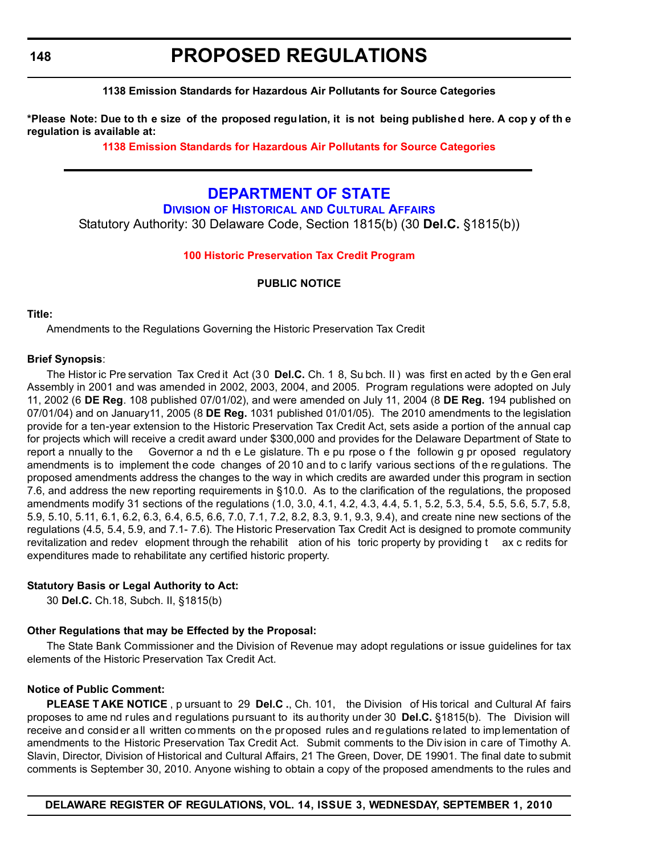<span id="page-22-0"></span>**148**

# **PROPOSED REGULATIONS**

### **1138 Emission Standards for Hazardous Air Pollutants for Source Categories**

**\*Please Note: Due to th e size of the proposed regulation, it is not being published here. A cop y of th e regulation is available at:**

**[1138 Emission Standards for Hazardous Air Pollutants for Source Categories](http://regulations.delaware.gov/register/september2010/proposed/14 DE Reg 147 09-01-10.htm)**

# **[DEPARTMENT OF STATE](http://history.delaware.gov/)**

**DIVISION OF HISTORICAL AND CULTURAL AFFAIRS** Statutory Authority: 30 Delaware Code, Section 1815(b) (30 **Del.C.** §1815(b))

#### **[100 Historic Preservation Tax Credit Program](#page-3-0)**

### **PUBLIC NOTICE**

#### **Title:**

Amendments to the Regulations Governing the Historic Preservation Tax Credit

#### **Brief Synopsis**:

The Histor ic Pre servation Tax Cred it Act (3 0 **Del.C.** Ch. 1 8, Su bch. II ) was first en acted by th e Gen eral Assembly in 2001 and was amended in 2002, 2003, 2004, and 2005. Program regulations were adopted on July 11, 2002 (6 **DE Reg**. 108 published 07/01/02), and were amended on July 11, 2004 (8 **DE Reg.** 194 published on 07/01/04) and on January11, 2005 (8 **DE Reg.** 1031 published 01/01/05). The 2010 amendments to the legislation provide for a ten-year extension to the Historic Preservation Tax Credit Act, sets aside a portion of the annual cap for projects which will receive a credit award under \$300,000 and provides for the Delaware Department of State to report a nnually to the Governor a nd th e Le gislature. Th e pu rpose o f the followin g pr oposed regulatory amendments is to implement the code changes of 2010 and to c larify various sections of th e re gulations. The proposed amendments address the changes to the way in which credits are awarded under this program in section 7.6, and address the new reporting requirements in §10.0. As to the clarification of the regulations, the proposed amendments modify 31 sections of the regulations (1.0, 3.0, 4.1, 4.2, 4.3, 4.4, 5.1, 5.2, 5.3, 5.4, 5.5, 5.6, 5.7, 5.8, 5.9, 5.10, 5.11, 6.1, 6.2, 6.3, 6.4, 6.5, 6.6, 7.0, 7.1, 7.2, 8.2, 8.3, 9.1, 9.3, 9.4), and create nine new sections of the regulations (4.5, 5.4, 5.9, and 7.1- 7.6). The Historic Preservation Tax Credit Act is designed to promote community revitalization and redev elopment through the rehabilit ation of his toric property by providing t ax c redits for expenditures made to rehabilitate any certified historic property.

#### **Statutory Basis or Legal Authority to Act:**

30 **Del.C.** Ch.18, Subch. II, §1815(b)

#### **Other Regulations that may be Effected by the Proposal:**

The State Bank Commissioner and the Division of Revenue may adopt regulations or issue guidelines for tax elements of the Historic Preservation Tax Credit Act.

#### **Notice of Public Comment:**

**PLEASE T AKE NOTICE** , p ursuant to 29 **Del.C .**, Ch. 101, the Division of His torical and Cultural Af fairs proposes to ame nd rules and regulations pursuant to its authority under 30 **Del.C.** §1815(b). The Division will receive and consider all written comments on the proposed rules and regulations related to implementation of amendments to the Historic Preservation Tax Credit Act. Submit comments to the Div ision in care of Timothy A. Slavin, Director, Division of Historical and Cultural Affairs, 21 The Green, Dover, DE 19901. The final date to submit comments is September 30, 2010. Anyone wishing to obtain a copy of the proposed amendments to the rules and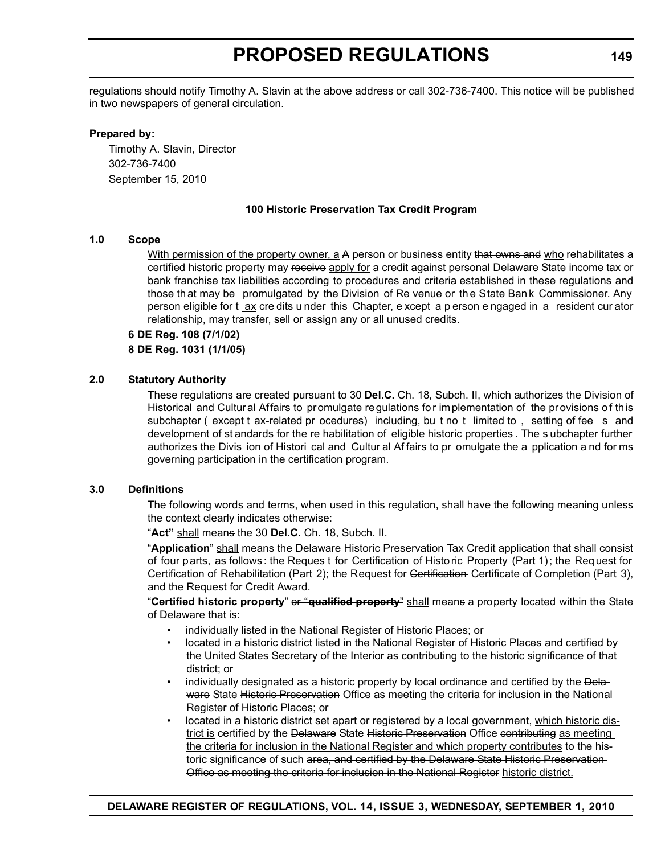regulations should notify Timothy A. Slavin at the above address or call 302-736-7400. This notice will be published in two newspapers of general circulation.

#### **Prepared by:**

Timothy A. Slavin, Director 302-736-7400 September 15, 2010

### **100 Historic Preservation Tax Credit Program**

#### **1.0 Scope**

With permission of the property owner, a A person or business entity that owns and who rehabilitates a certified historic property may receive apply for a credit against personal Delaware State income tax or bank franchise tax liabilities according to procedures and criteria established in these regulations and those th at may be promulgated by the Division of Re venue or th e State Ban k Commissioner. Any person eligible for t <u>ax</u> cre dits u nder this Chapter, e xcept a p erson e ngaged in a resident cur ator relationship, may transfer, sell or assign any or all unused credits.

#### **6 DE Reg. 108 (7/1/02) 8 DE Reg. 1031 (1/1/05)**

#### **2.0 Statutory Authority**

These regulations are created pursuant to 30 **Del.C.** Ch. 18, Subch. II, which authorizes the Division of Historical and Cultural Affairs to promulgate regulations for implementation of the provisions of this subchapter (except t ax-related pr ocedures) including, bu t no t limited to, setting of fee s and development of st andards for the re habilitation of eligible historic properties . The s ubchapter further authorizes the Divis ion of Histori cal and Cultur al Af fairs to pr omulgate the a pplication a nd for ms governing participation in the certification program.

#### **3.0 Definitions**

The following words and terms, when used in this regulation, shall have the following meaning unless the context clearly indicates otherwise:

"**Act"** shall means the 30 **Del.C.** Ch. 18, Subch. II.

"**Application**" shall means the Delaware Historic Preservation Tax Credit application that shall consist of four parts, as follows: the Reques t for Certification of Historic Property (Part 1); the Request for Certification of Rehabilitation (Part 2); the Request for Certification Certificate of Completion (Part 3), and the Request for Credit Award.

"**Certified historic property**" or "**qualified property**" shall means a property located within the State of Delaware that is:

- individually listed in the National Register of Historic Places; or
- located in a historic district listed in the National Register of Historic Places and certified by the United States Secretary of the Interior as contributing to the historic significance of that district; or
- individually designated as a historic property by local ordinance and certified by the Delaware State Historic Preservation Office as meeting the criteria for inclusion in the National Register of Historic Places; or
- located in a historic district set apart or registered by a local government, which historic district is certified by the Delaware State Historic Preservation Office contributing as meeting the criteria for inclusion in the National Register and which property contributes to the historic significance of such area, and certified by the Delaware State Historic Preservation-Office as meeting the criteria for inclusion in the National Register historic district.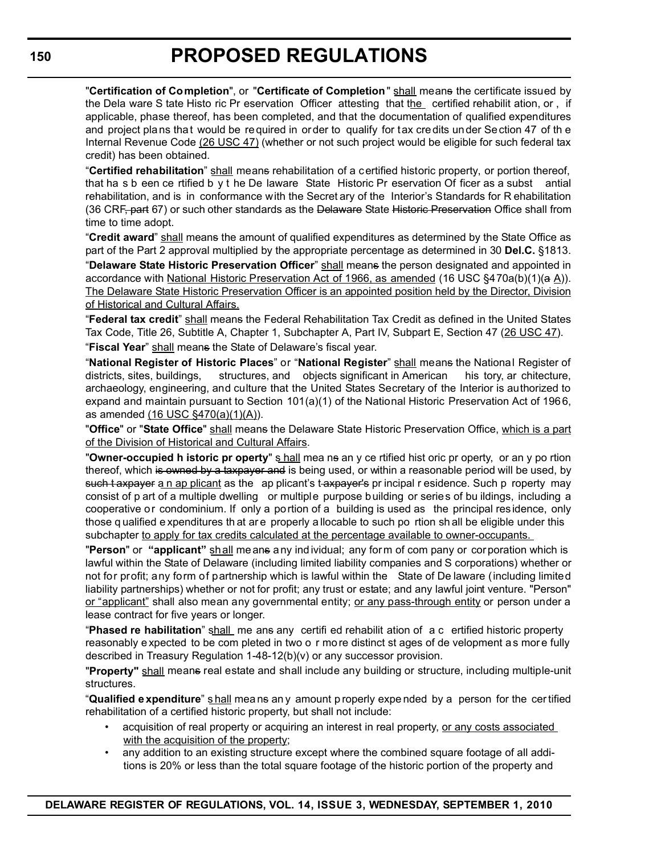"**Certification of Completion**", or "**Certificate of Completion**" shall means the certificate issued by the Dela ware S tate Histo ric Pr eservation Officer attesting that the certified rehabilit ation, or , if applicable, phase thereof, has been completed, and that the documentation of qualified expenditures and project plans that would be required in order to qualify for tax credits under Section 47 of th e Internal Revenue Code (26 USC 47) (whether or not such project would be eligible for such federal tax credit) has been obtained.

"**Certified rehabilitation**" shall means rehabilitation of a certified historic property, or portion thereof, that ha s b een ce rtified b y t he De laware State Historic Pr eservation Of ficer as a subst antial rehabilitation, and is in conformance with the Secret ary of the Interior's Standards for R ehabilitation (36 CRF, part 67) or such other standards as the Delaware State Historic Preservation Office shall from time to time adopt.

"Credit award" shall means the amount of qualified expenditures as determined by the State Office as part of the Part 2 approval multiplied by the appropriate percentage as determined in 30 **Del.C.** §1813.

"**Delaware State Historic Preservation Officer**" shall means the person designated and appointed in accordance with National Historic Preservation Act of 1966, as amended (16 USC §470a(b)(1)(a A)). The Delaware State Historic Preservation Officer is an appointed position held by the Director, Division of Historical and Cultural Affairs.

"**Federal tax credit**" shall means the Federal Rehabilitation Tax Credit as defined in the United States Tax Code, Title 26, Subtitle A, Chapter 1, Subchapter A, Part IV, Subpart E, Section 47 (26 USC 47). "**Fiscal Year**" shall means the State of Delaware's fiscal year.

"**National Register of Historic Places**" or "**National Register**" shall means the National Register of districts, sites, buildings, structures, and objects significant in American his tory, ar chitecture, archaeology, engineering, and culture that the United States Secretary of the Interior is authorized to expand and maintain pursuant to Section 101(a)(1) of the National Historic Preservation Act of 1966, as amended (16 USC §470(a)(1)(A)).

"**Office**" or "**State Office**" shall means the Delaware State Historic Preservation Office, which is a part of the Division of Historical and Cultural Affairs.

"**Owner-occupied h istoric pr operty**" s hall mea ns an y ce rtified hist oric pr operty, or an y po rtion thereof, which is owned by a taxpayer and is being used, or within a reasonable period will be used, by such t axpayer a n ap plicant as the ap plicant's t-axpayer's pr incipal r esidence. Such p roperty may consist of p art of a multiple dwelling or multiple purpose building or series of bu ildings, including a cooperative or condominium. If only a portion of a building is used as the principal residence, only those q ualified e xpenditures th at are properly a llocable to such po rtion sh all be eligible under this subchapter to apply for tax credits calculated at the percentage available to owner-occupants.

"Person" or "applicant" shall means a ny ind ividual; any form of com pany or corporation which is lawful within the State of Delaware (including limited liability companies and S corporations) whether or not for profit; any form of partnership which is lawful within the State of De laware (including limited liability partnerships) whether or not for profit; any trust or estate; and any lawful joint venture. "Person" or "applicant" shall also mean any governmental entity; or any pass-through entity or person under a lease contract for five years or longer.

"**Phased re habilitation**" shall me ans any certifi ed rehabilit ation of a c ertified historic property reasonably expected to be com pleted in two o r mo re distinct st ages of de velopment a s more fully described in Treasury Regulation 1-48-12(b)(v) or any successor provision.

"**Property"** shall means real estate and shall include any building or structure, including multiple-unit structures.

"**Qualified e xpenditure**" shall means any amount p roperly expended by a person for the certified rehabilitation of a certified historic property, but shall not include:

- acquisition of real property or acquiring an interest in real property, or any costs associated with the acquisition of the property;
- any addition to an existing structure except where the combined square footage of all additions is 20% or less than the total square footage of the historic portion of the property and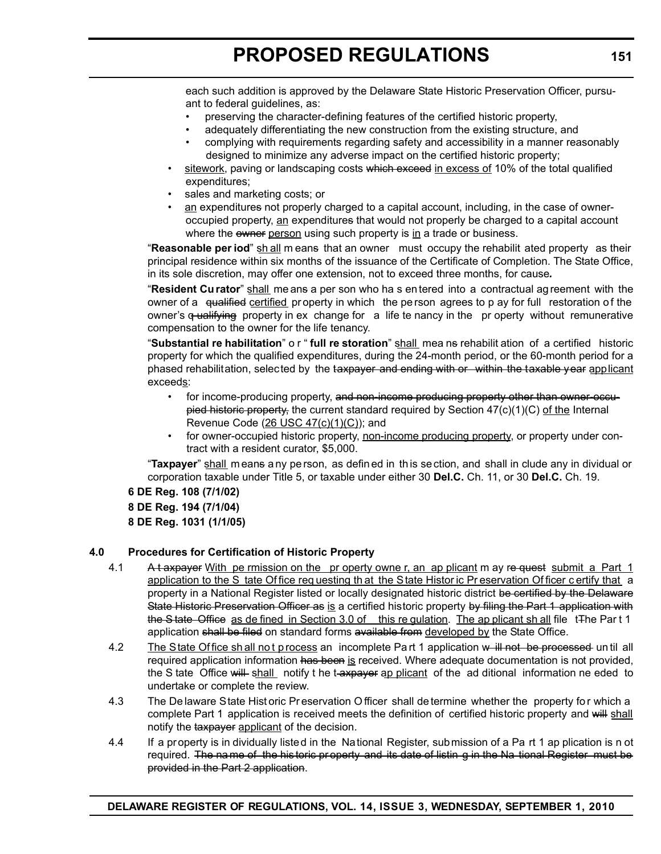each such addition is approved by the Delaware State Historic Preservation Officer, pursuant to federal guidelines, as:

- preserving the character-defining features of the certified historic property,
- adequately differentiating the new construction from the existing structure, and
- complying with requirements regarding safety and accessibility in a manner reasonably designed to minimize any adverse impact on the certified historic property;
- sitework, paving or landscaping costs which exceed in excess of 10% of the total qualified expenditures;
- sales and marketing costs; or
- an expenditures not properly charged to a capital account, including, in the case of owneroccupied property, an expenditures that would not properly be charged to a capital account where the owner person using such property is in a trade or business.

"**Reasonable per iod**" sh all m eans that an owner must occupy the rehabilit ated property as their principal residence within six months of the issuance of the Certificate of Completion. The State Office, in its sole discretion, may offer one extension, not to exceed three months, for cause*.*

"**Resident Cu rator**" shall me ans a per son who ha s en tered into a contractual ag reement with the owner of a qualified certified property in which the person agrees to p ay for full restoration of the owner's  $q$  ualifying property in ex change for a life te nancy in the pr operty without remunerative compensation to the owner for the life tenancy.

"**Substantial re habilitation**" o r " **full re storation**" shall mea ns rehabilit ation of a certified historic property for which the qualified expenditures, during the 24-month period, or the 60-month period for a phased rehabilitation, selected by the taxpayer and ending with or within the taxable year applicant exceeds:

- for income-producing property, and non-income producing property other than owner-occupied historic property, the current standard required by Section  $47(c)(1)(C)$  of the Internal Revenue Code  $(26$  USC  $47(c)(1)(C)$ ; and
- for owner-occupied historic property, non-income producing property, or property under contract with a resident curator, \$5,000.

"**Taxpayer**" shall m eans a ny pe rson, as defin ed in th is se ction, and shall in clude any in dividual or corporation taxable under Title 5, or taxable under either 30 **Del.C.** Ch. 11, or 30 **Del.C.** Ch. 19.

**6 DE Reg. 108 (7/1/02) 8 DE Reg. 194 (7/1/04) 8 DE Reg. 1031 (1/1/05)**

# **4.0 Procedures for Certification of Historic Property**

- 4.1 A t axpayer With pe rmission on the pr operty owne r, an ap plicant m ay re quest submit a Part 1 application to the S tate Of fice req uesting th at the State Histor ic Pr eservation Of ficer c ertify that a property in a National Register listed or locally designated historic district be certified by the Delaware State Historic Preservation Officer as is a certified historic property by filing the Part 1 application with the State Office as de fined in Section 3.0 of this requision. The ap plicant sh all file t<sub>The Part</sub> 1 application shall be filed on standard forms available from developed by the State Office.
- 4.2 The State Office sh all not p rocess an incomplete Pa rt 1 application w ill not be processed un til all required application information has been is received. Where adequate documentation is not provided, the S tate Office will shall notify t he t-axpayer ap plicant of the ad ditional information ne eded to undertake or complete the review.
- 4.3 The De laware State Hist oric Pr eservation O fficer shall de termine whether the property for which a complete Part 1 application is received meets the definition of certified historic property and will shall notify the taxpayer applicant of the decision.
- 4.4 If a property is in dividually listed in the National Register, submission of a Pa rt 1 ap plication is n ot required. The name of the his toric property and its date of listin g in the Na tional Register must be provided in the Part 2 application.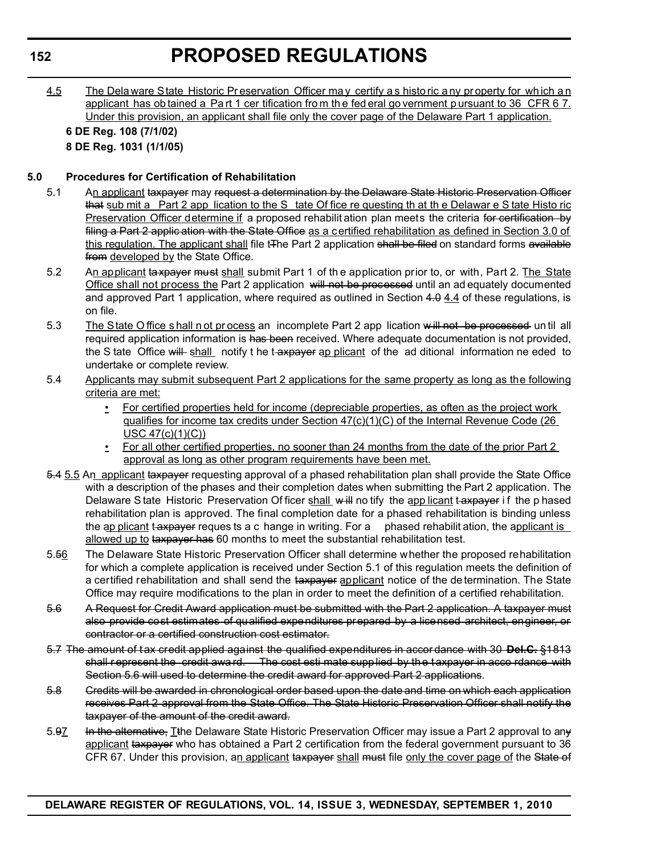4.5 The Dela ware State Historic Pr eservation Officer ma y certify a s histo ric a ny pr operty for wh ich a n applicant has ob tained a Part 1 cer tification from the fed eral go vernment p ursuant to 36 CFR 6 7. Under this provision, an applicant shall file only the cover page of the Delaware Part 1 application.

**6 DE Reg. 108 (7/1/02) 8 DE Reg. 1031 (1/1/05)**

# **5.0 Procedures for Certification of Rehabilitation**

- 5.1 An applicant taxpayer may request a determination by the Delaware State Historic Preservation Officer that sub mit a Part 2 app lication to the S tate Of fice re questing th at th e Delawar e S tate Histo ric Preservation Officer determine if a proposed rehabilit ation plan meets the criteria for certification by filing a Part 2 applic ation with the State Office as a certified rehabilitation as defined in Section 3.0 of this regulation. The applicant shall file t<sub>The Part 2</sub> application shall be filed on standard forms available from developed by the State Office.
- 5.2 An applicant taxpayer must shall submit Part 1 of the application prior to, or with, Part 2. The State Office shall not process the Part 2 application will not be processed until an ad equately documented and approved Part 1 application, where required as outlined in Section 4.0 4.4 of these regulations, is on file.
- 5.3 The State Office shall not process an incomplete Part 2 app lication will not be processed un til all required application information is has been received. Where adequate documentation is not provided, the S tate Office will shall notify t he t-axpayer ap plicant of the ad ditional information ne eded to undertake or complete review.
- 5.4 Applicants may submit subsequent Part 2 applications for the same property as long as the following criteria are met:
	- For certified properties held for income (depreciable properties, as often as the project work qualifies for income tax credits under Section 47(c)(1)(C) of the Internal Revenue Code (26 USC 47(c)(1)(C))
	- For all other certified properties, no sooner than 24 months from the date of the prior Part 2 approval as long as other program requirements have been met.
- 5.4 5.5 An applicant taxpayer requesting approval of a phased rehabilitation plan shall provide the State Office with a description of the phases and their completion dates when submitting the Part 2 application. The Delaware S tate Historic Preservation Of ficer shall will no tify the app licant t axpayer if the p hased rehabilitation plan is approved. The final completion date for a phased rehabilitation is binding unless the ap plicant t-axpayer reques ts a c hange in writing. For a phased rehabilit ation, the applicant is allowed up to taxpayer has 60 months to meet the substantial rehabilitation test.
- 5.56 The Delaware State Historic Preservation Officer shall determine whether the proposed rehabilitation for which a complete application is received under Section 5.1 of this regulation meets the definition of a certified rehabilitation and shall send the taxpayer applicant notice of the de termination. The State Office may require modifications to the plan in order to meet the definition of a certified rehabilitation.
- 5.6 A Request for Credit Award application must be submitted with the Part 2 application. A taxpayer must also provide cost estimates of qualified expenditures prepared by a licensed architect, engineer, or contractor or a certified construction cost estimator.
- 5.7 The amount of t ax credit applied against the qualified expenditures in accor dance with 30 **Del.C.** §1813 shall represent the credit award. The cost esti mate supplied by the taxpayer in acco rdance with Section 5.6 will used to determine the credit award for approved Part 2 applications.
- 5.8 Credits will be awarded in chronological order based upon the date and time on which each application receives Part 2 approval from the State Office. The State Historic Preservation Officer shall notify the taxpayer of the amount of the credit award.
- 5.97 In the alternative, Tthe Delaware State Historic Preservation Officer may issue a Part 2 approval to any applicant taxpayer who has obtained a Part 2 certification from the federal government pursuant to 36 CFR 67. Under this provision, an applicant taxpayer shall must file only the cover page of the State of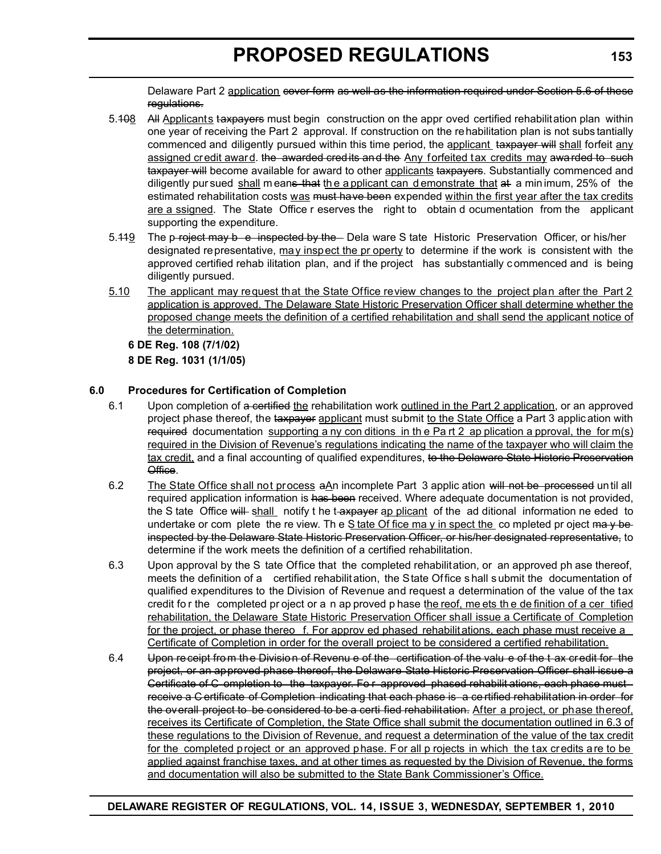Delaware Part 2 application cover form as well as the information required under Section 5.6 of these regulations.

- 5.408 All Applicants taxpayers must begin construction on the appr oved certified rehabilitation plan within one year of receiving the Part 2 approval. If construction on the rehabilitation plan is not subs tantially commenced and diligently pursued within this time period, the applicant taxpayer will shall forfeit any assigned credit award. the awarded credits and the Any forfeited tax credits may awarded to such taxpayer will become available for award to other applicants taxpayers. Substantially commenced and diligently pur sued shall means that the a pplicant can demonstrate that at a minimum, 25% of the estimated rehabilitation costs was must have been expended within the first year after the tax credits are a ssigned. The State Office r eserves the right to obtain d ocumentation from the applicant supporting the expenditure.
- 5.419 The p roject may be inspected by the Dela ware S tate Historic Preservation Officer, or his/her designated representative, may inspect the pr operty to determine if the work is consistent with the approved certified rehab ilitation plan, and if the project has substantially c ommenced and is being diligently pursued.
- 5.10 The applicant may request that the State Office review changes to the project plan after the Part 2 application is approved. The Delaware State Historic Preservation Officer shall determine whether the proposed change meets the definition of a certified rehabilitation and shall send the applicant notice of the determination.

**6 DE Reg. 108 (7/1/02) 8 DE Reg. 1031 (1/1/05)**

# **6.0 Procedures for Certification of Completion**

- 6.1 Upon completion of a certified the rehabilitation work outlined in the Part 2 application, or an approved project phase thereof, the taxpayer applicant must submit to the State Office a Part 3 applic ation with required documentation supporting a ny con ditions in the Part 2 ap plication a pproval, the for  $m(s)$ required in the Division of Revenue's regulations indicating the name of the taxpayer who will claim the tax credit, and a final accounting of qualified expenditures, to the Delaware State Historic Preservation Office.
- 6.2 The State Office shall not process aAn incomplete Part 3 applic ation will not be processed until all required application information is has been received. Where adequate documentation is not provided, the S tate Office will shall notify t he t-axpayer ap plicant of the ad ditional information ne eded to undertake or com plete the re view. The  $S$  tate Of fice ma y in spect the completed pr oject may beinspected by the Delaware State Historic Preservation Officer, or his/her designated representative, to determine if the work meets the definition of a certified rehabilitation.
- 6.3 Upon approval by the S tate Office that the completed rehabilitation, or an approved ph ase thereof, meets the definition of a certified rehabilit ation, the State Office s hall s ubmit the documentation of qualified expenditures to the Division of Revenue and request a determination of the value of the tax credit fo r the completed pr oject or a n ap proved p hase the reof, me ets the de finition of a cer tified rehabilitation, the Delaware State Historic Preservation Officer shall issue a Certificate of Completion for the project, or phase thereo f. For approv ed phased rehabilitations, each phase must receive a Certificate of Completion in order for the overall project to be considered a certified rehabilitation.
- 6.4 Upon receipt from the Division of Revenu e of the certification of the valu e of the t ax credit for the project, or an approved phase thereof, the Delaware State Historic Preservation Officer shall issue a Certificate of C ompletion to the taxpayer. Fo r approved phased rehabilit ations, each phase must receive a C ertificate of Completion indicating that each phase is a ce rtified rehabilitation in order for the overall project to be considered to be a certi fied rehabilitation. After a project, or phase thereof, receives its Certificate of Completion, the State Office shall submit the documentation outlined in 6.3 of these regulations to the Division of Revenue, and request a determination of the value of the tax credit for the completed project or an approved phase. For all p rojects in which the tax credits are to be applied against franchise taxes, and at other times as requested by the Division of Revenue, the forms and documentation will also be submitted to the State Bank Commissioner's Office.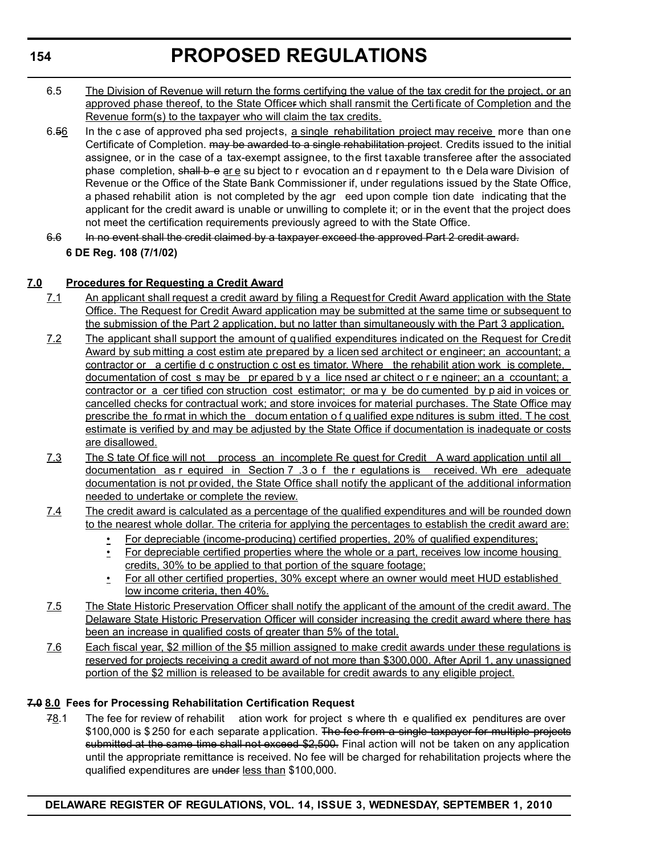- 6.5 The Division of Revenue will return the forms certifying the value of the tax credit for the project, or an approved phase thereof, to the State Officer which shall ransmit the Certificate of Completion and the Revenue form(s) to the taxpayer who will claim the tax credits.
- 6.56 In the c ase of approved pha sed projects, a single rehabilitation project may receive more than one Certificate of Completion. may be awarded to a single rehabilitation project. Credits issued to the initial assignee, or in the case of a tax-exempt assignee, to the first taxable transferee after the associated phase completion, shall b e are su bject to r evocation and r epayment to the Dela ware Division of Revenue or the Office of the State Bank Commissioner if, under regulations issued by the State Office, a phased rehabilit ation is not completed by the agr eed upon comple tion date indicating that the applicant for the credit award is unable or unwilling to complete it; or in the event that the project does not meet the certification requirements previously agreed to with the State Office.
- 6.6 In no event shall the credit claimed by a taxpayer exceed the approved Part 2 credit award. **6 DE Reg. 108 (7/1/02)**

# **7.0 Procedures for Requesting a Credit Award**

- 7.1 An applicant shall request a credit award by filing a Request for Credit Award application with the State Office. The Request for Credit Award application may be submitted at the same time or subsequent to the submission of the Part 2 application, but no latter than simultaneously with the Part 3 application.
- 7.2 The applicant shall support the amount of qualified expenditures indicated on the Request for Credit Award by sub mitting a cost estim ate prepared by a licen sed architect or engineer; an accountant; a contractor or a certifie d c onstruction c ost es timator. Where the rehabilit ation work is complete, documentation of cost s may be pr epared b y a lice nsed ar chitect o r e ngineer; an a ccountant; a contractor or a cer tified con struction cost estimator; or ma y be do cumented by p aid in voices or cancelled checks for contractual work; and store invoices for material purchases. The State Office may prescribe the fo rmat in which the docum entation o f q ualified expe nditures is subm itted. T he cost estimate is verified by and may be adjusted by the State Office if documentation is inadequate or costs are disallowed.
- 7.3 The S tate Of fice will not process an incomplete Re quest for Credit A ward application until all documentation as r equired in Section 7 .3 o f the r egulations is received. Wh ere adequate documentation is not pr ovided, the State Office shall notify the applicant of the additional information needed to undertake or complete the review.
- 7.4 The credit award is calculated as a percentage of the qualified expenditures and will be rounded down to the nearest whole dollar. The criteria for applying the percentages to establish the credit award are:
	- For depreciable (income-producing) certified properties, 20% of qualified expenditures;
	- For depreciable certified properties where the whole or a part, receives low income housing credits, 30% to be applied to that portion of the square footage;
	- For all other certified properties, 30% except where an owner would meet HUD established low income criteria, then 40%.
- 7.5 The State Historic Preservation Officer shall notify the applicant of the amount of the credit award. The Delaware State Historic Preservation Officer will consider increasing the credit award where there has been an increase in qualified costs of greater than 5% of the total.
- 7.6 Each fiscal year, \$2 million of the \$5 million assigned to make credit awards under these regulations is reserved for projects receiving a credit award of not more than \$300,000. After April 1, any unassigned portion of the \$2 million is released to be available for credit awards to any eligible project.

# **7.0 8.0 Fees for Processing Rehabilitation Certification Request**

78.1 The fee for review of rehabilit ation work for project s where th e qualified ex penditures are over \$100,000 is \$250 for each separate application. The fee from a single taxpayer for multiple projects submitted at the same time shall not exceed \$2,500. Final action will not be taken on any application until the appropriate remittance is received. No fee will be charged for rehabilitation projects where the qualified expenditures are under less than \$100,000.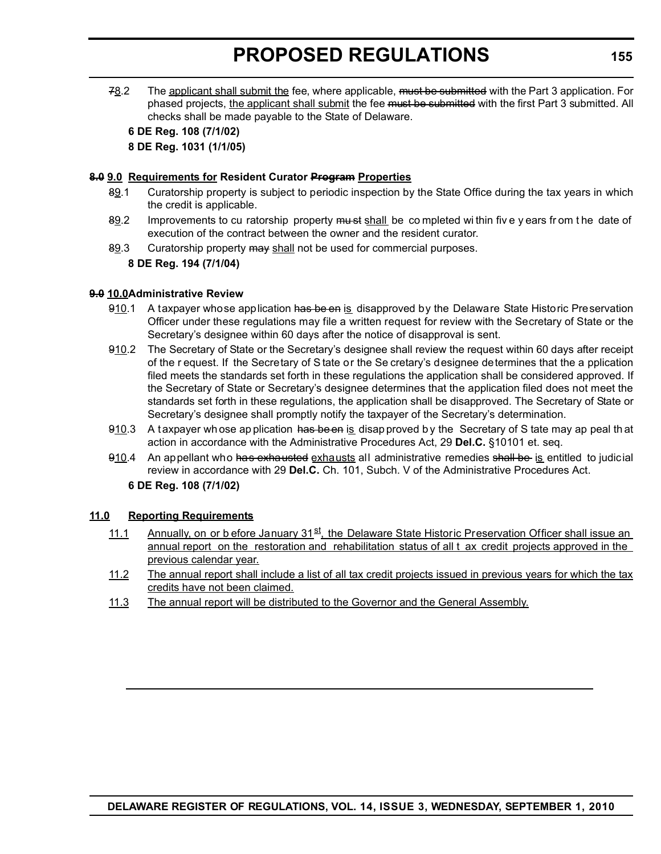78.2 The applicant shall submit the fee, where applicable, must be submitted with the Part 3 application. For phased projects, the applicant shall submit the fee must be submitted with the first Part 3 submitted. All checks shall be made payable to the State of Delaware.

#### **6 DE Reg. 108 (7/1/02) 8 DE Reg. 1031 (1/1/05)**

#### **8.0 9.0 Requirements for Resident Curator Program Properties**

- 89.1 Curatorship property is subject to periodic inspection by the State Office during the tax years in which the credit is applicable.
- 89.2 Improvements to cu ratorship property must shall be completed within five y ears from the date of execution of the contract between the owner and the resident curator.
- 89.3 Curatorship property may shall not be used for commercial purposes.

**8 DE Reg. 194 (7/1/04)**

#### **9.0 10.0Administrative Review**

- 910.1 A taxpayer whose application has be en is disapproved by the Delaware State Historic Preservation Officer under these regulations may file a written request for review with the Secretary of State or the Secretary's designee within 60 days after the notice of disapproval is sent.
- 910.2 The Secretary of State or the Secretary's designee shall review the request within 60 days after receipt of the r equest. If the Secretary of S tate or the Se cretary's designee determines that the a pplication filed meets the standards set forth in these regulations the application shall be considered approved. If the Secretary of State or Secretary's designee determines that the application filed does not meet the standards set forth in these regulations, the application shall be disapproved. The Secretary of State or Secretary's designee shall promptly notify the taxpayer of the Secretary's determination.
- 910.3 A t axpayer whose ap plication has been is disap proved by the Secretary of S tate may ap peal that action in accordance with the Administrative Procedures Act, 29 **Del.C.** §10101 et. seq.
- 910.4 An appellant who has exhausted exhausts all administrative remedies shall be is entitled to judicial review in accordance with 29 **Del.C.** Ch. 101, Subch. V of the Administrative Procedures Act.

**6 DE Reg. 108 (7/1/02)**

### **11.0 Reporting Requirements**

- 11.1 Annually, on or b efore January  $31^{51}$ , the Delaware State Historic Preservation Officer shall issue an annual report on the restoration and rehabilitation status of all t ax credit projects approved in the previous calendar year.
- 11.2 The annual report shall include a list of all tax credit projects issued in previous years for which the tax credits have not been claimed.
- 11.3 The annual report will be distributed to the Governor and the General Assembly.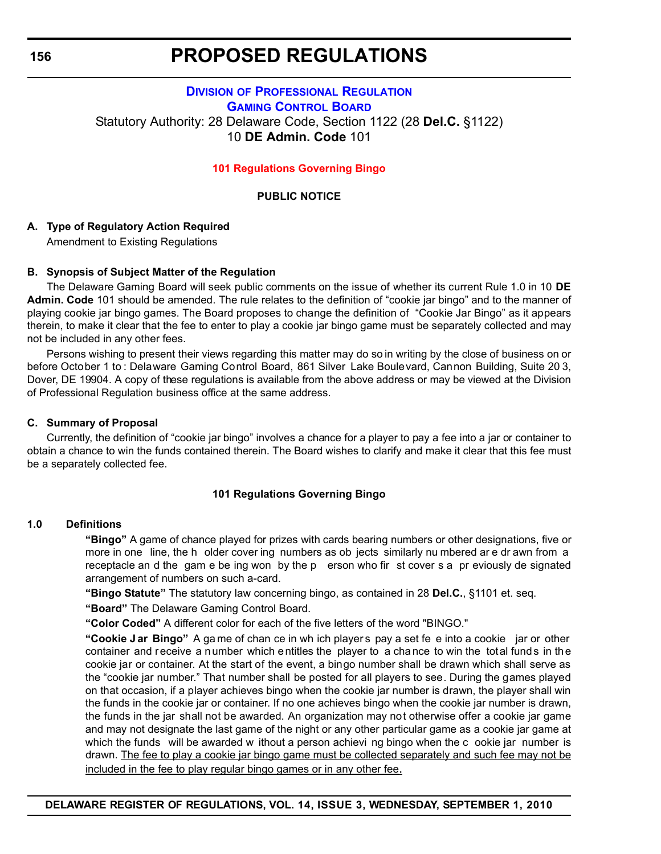# <span id="page-30-0"></span>**DIVISION [OF PROFESSIONAL REGULATION](http://dpr.delaware.gov/boards/gaming/index.shtml) GAMING CONTROL BOARD** Statutory Authority: 28 Delaware Code, Section 1122 (28 **Del.C.** §1122) 10 **DE Admin. Code** 101

#### **[101 Regulations Governing Bingo](#page-3-0)**

#### **PUBLIC NOTICE**

### **A. Type of Regulatory Action Required**

Amendment to Existing Regulations

### **B. Synopsis of Subject Matter of the Regulation**

The Delaware Gaming Board will seek public comments on the issue of whether its current Rule 1.0 in 10 **DE Admin. Code** 101 should be amended. The rule relates to the definition of "cookie jar bingo" and to the manner of playing cookie jar bingo games. The Board proposes to change the definition of "Cookie Jar Bingo" as it appears therein, to make it clear that the fee to enter to play a cookie jar bingo game must be separately collected and may not be included in any other fees.

Persons wishing to present their views regarding this matter may do so in writing by the close of business on or before October 1 to : Delaware Gaming Control Board, 861 Silver Lake Boulevard, Cannon Building, Suite 20 3, Dover, DE 19904. A copy of these regulations is available from the above address or may be viewed at the Division of Professional Regulation business office at the same address.

#### **C. Summary of Proposal**

Currently, the definition of "cookie jar bingo" involves a chance for a player to pay a fee into a jar or container to obtain a chance to win the funds contained therein. The Board wishes to clarify and make it clear that this fee must be a separately collected fee.

#### **101 Regulations Governing Bingo**

#### **1.0 Definitions**

**"Bingo"** A game of chance played for prizes with cards bearing numbers or other designations, five or more in one line, the h older cover ing numbers as ob jects similarly nu mbered ar e dr awn from a receptacle an d the gam e be ing won by the p erson who fir st cover s a pr eviously de signated arrangement of numbers on such a-card.

**"Bingo Statute"** The statutory law concerning bingo, as contained in 28 **Del.C.**, §1101 et. seq.

**"Board"** The Delaware Gaming Control Board.

**"Color Coded"** A different color for each of the five letters of the word "BINGO."

**"Cookie J ar Bingo"** A ga me of chan ce in wh ich player s pay a set fe e into a cookie jar or other container and receive a number which entitles the player to a chance to win the total funds in the cookie jar or container. At the start of the event, a bingo number shall be drawn which shall serve as the "cookie jar number." That number shall be posted for all players to see. During the games played on that occasion, if a player achieves bingo when the cookie jar number is drawn, the player shall win the funds in the cookie jar or container. If no one achieves bingo when the cookie jar number is drawn, the funds in the jar shall not be awarded. An organization may not otherwise offer a cookie jar game and may not designate the last game of the night or any other particular game as a cookie jar game at which the funds will be awarded w ithout a person achievi ng bingo when the c ookie jar number is drawn. The fee to play a cookie jar bingo game must be collected separately and such fee may not be included in the fee to play regular bingo games or in any other fee.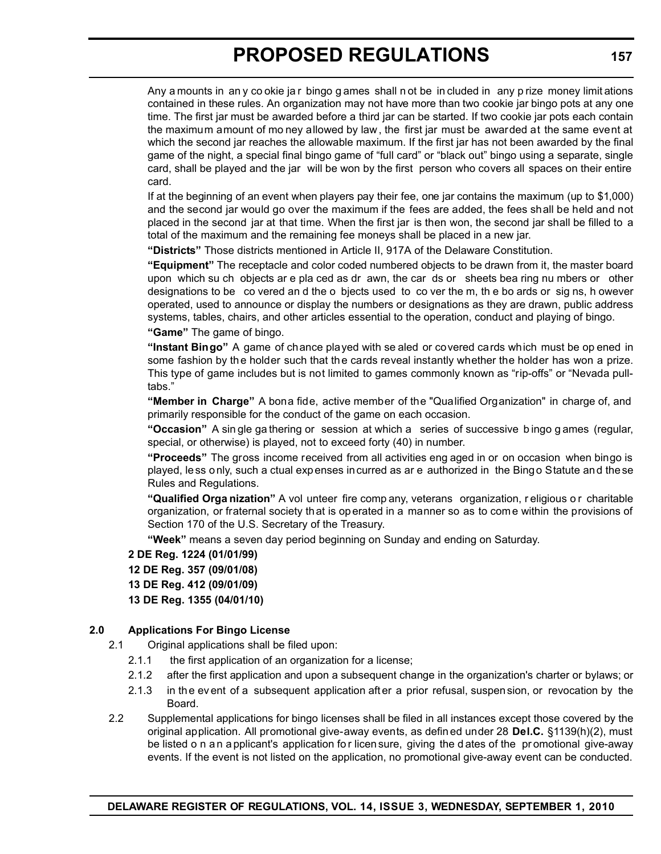Any a mounts in an y co okie ja r bingo g ames shall n ot be in cluded in any p rize money limit ations contained in these rules. An organization may not have more than two cookie jar bingo pots at any one time. The first jar must be awarded before a third jar can be started. If two cookie jar pots each contain the maximum amount of mo ney allowed by law , the first jar must be awarded at the same event at which the second jar reaches the allowable maximum. If the first jar has not been awarded by the final game of the night, a special final bingo game of "full card" or "black out" bingo using a separate, single card, shall be played and the jar will be won by the first person who covers all spaces on their entire card.

If at the beginning of an event when players pay their fee, one jar contains the maximum (up to \$1,000) and the second jar would go over the maximum if the fees are added, the fees shall be held and not placed in the second jar at that time. When the first jar is then won, the second jar shall be filled to a total of the maximum and the remaining fee moneys shall be placed in a new jar.

**"Districts"** Those districts mentioned in Article II, 917A of the Delaware Constitution.

**"Equipment"** The receptacle and color coded numbered objects to be drawn from it, the master board upon which su ch objects ar e pla ced as dr awn, the car ds or sheets bea ring nu mbers or other designations to be co vered an d the o bjects used to co ver the m, th e bo ards or sig ns, h owever operated, used to announce or display the numbers or designations as they are drawn, public address systems, tables, chairs, and other articles essential to the operation, conduct and playing of bingo. **"Game"** The game of bingo.

**"Instant Bingo"** A game of chance played with se aled or covered cards which must be op ened in some fashion by the holder such that the cards reveal instantly whether the holder has won a prize. This type of game includes but is not limited to games commonly known as "rip-offs" or "Nevada pulltabs."

**"Member in Charge"** A bona fide, active member of the "Qualified Organization" in charge of, and primarily responsible for the conduct of the game on each occasion.

**"Occasion"** A sin gle ga thering or session at which a series of successive b ingo g ames (regular, special, or otherwise) is played, not to exceed forty (40) in number.

**"Proceeds"** The gross income received from all activities eng aged in or on occasion when bingo is played, less only, such a ctual expenses incurred as ar e authorized in the Bingo Statute and these Rules and Regulations.

**"Qualified Orga nization"** A vol unteer fire comp any, veterans organization, r eligious o r charitable organization, or fraternal society that is operated in a manner so as to come within the provisions of Section 170 of the U.S. Secretary of the Treasury.

**"Week"** means a seven day period beginning on Sunday and ending on Saturday.

**2 DE Reg. 1224 (01/01/99) 12 DE Reg. 357 (09/01/08) 13 DE Reg. 412 (09/01/09) 13 DE Reg. 1355 (04/01/10)**

# **2.0 Applications For Bingo License**

- 2.1 Original applications shall be filed upon:
	- 2.1.1 the first application of an organization for a license;
	- 2.1.2 after the first application and upon a subsequent change in the organization's charter or bylaws; or
	- 2.1.3 in th e ev ent of a subsequent application aft er a prior refusal, suspension, or revocation by the Board.
- 2.2 Supplemental applications for bingo licenses shall be filed in all instances except those covered by the original application. All promotional give-away events, as defin ed under 28 **Del.C.** §1139(h)(2), must be listed o n a n a pplicant's application for licen sure, giving the d ates of the promotional give-away events. If the event is not listed on the application, no promotional give-away event can be conducted.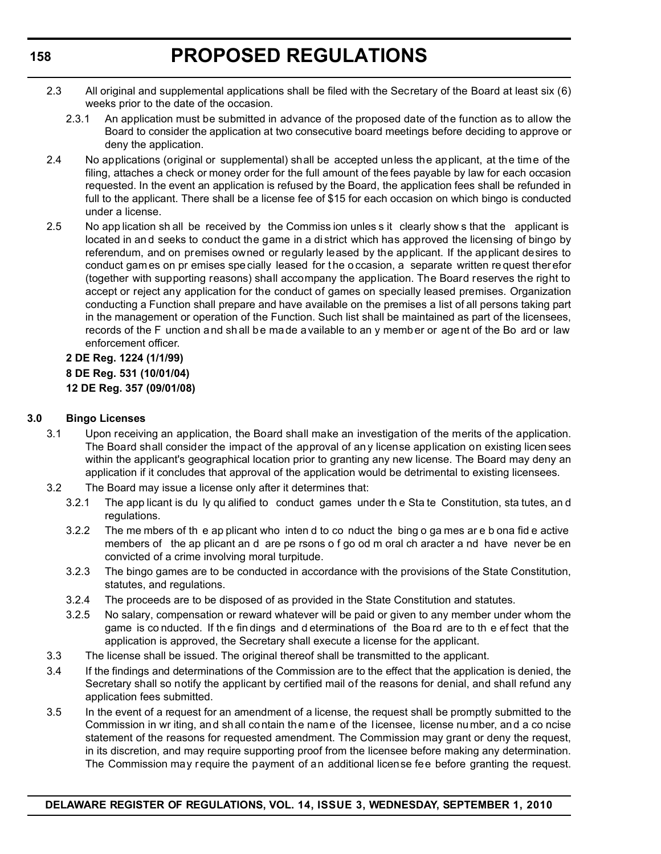- 2.3 All original and supplemental applications shall be filed with the Secretary of the Board at least six (6) weeks prior to the date of the occasion.
	- 2.3.1 An application must be submitted in advance of the proposed date of the function as to allow the Board to consider the application at two consecutive board meetings before deciding to approve or deny the application.
- 2.4 No applications (original or supplemental) shall be accepted unless the applicant, at the time of the filing, attaches a check or money order for the full amount of the fees payable by law for each occasion requested. In the event an application is refused by the Board, the application fees shall be refunded in full to the applicant. There shall be a license fee of \$15 for each occasion on which bingo is conducted under a license.
- 2.5 No app lication sh all be received by the Commiss ion unles s it clearly show s that the applicant is located in an d seeks to conduct the game in a di strict which has approved the licensing of bingo by referendum, and on premises owned or regularly leased by the applicant. If the applicant desires to conduct gam es on pr emises spe cially leased for t he o ccasion, a separate written re quest ther efor (together with supporting reasons) shall accompany the application. The Board reserves the right to accept or reject any application for the conduct of games on specially leased premises. Organization conducting a Function shall prepare and have available on the premises a list of all persons taking part in the management or operation of the Function. Such list shall be maintained as part of the licensees, records of the F unction and shall be made available to an y memb er or age nt of the Bo ard or law enforcement officer.

**2 DE Reg. 1224 (1/1/99) 8 DE Reg. 531 (10/01/04) 12 DE Reg. 357 (09/01/08)**

# **3.0 Bingo Licenses**

- 3.1 Upon receiving an application, the Board shall make an investigation of the merits of the application. The Board shall consider the impact of the approval of any license application on existing licen sees within the applicant's geographical location prior to granting any new license. The Board may deny an application if it concludes that approval of the application would be detrimental to existing licensees.
- 3.2 The Board may issue a license only after it determines that:
	- 3.2.1 The app licant is du ly qu alified to conduct games under th e Sta te Constitution, sta tutes, an d regulations.
	- 3.2.2 The me mbers of th e ap plicant who inten d to co nduct the bing o ga mes ar e b ona fid e active members of the ap plicant an d are pe rsons o f go od m oral ch aracter a nd have never be en convicted of a crime involving moral turpitude.
	- 3.2.3 The bingo games are to be conducted in accordance with the provisions of the State Constitution, statutes, and regulations.
	- 3.2.4 The proceeds are to be disposed of as provided in the State Constitution and statutes.
	- 3.2.5 No salary, compensation or reward whatever will be paid or given to any member under whom the game is co nducted. If the fin dings and d eterminations of the Boa rd are to the effect that the application is approved, the Secretary shall execute a license for the applicant.
- 3.3 The license shall be issued. The original thereof shall be transmitted to the applicant.
- 3.4 If the findings and determinations of the Commission are to the effect that the application is denied, the Secretary shall so notify the applicant by certified mail of the reasons for denial, and shall refund any application fees submitted.
- 3.5 In the event of a request for an amendment of a license, the request shall be promptly submitted to the Commission in wr iting, and shall contain the name of the licensee, license number, and a co ncise statement of the reasons for requested amendment. The Commission may grant or deny the request, in its discretion, and may require supporting proof from the licensee before making any determination. The Commission may require the payment of an additional license fee before granting the request.

**DELAWARE REGISTER OF REGULATIONS, VOL. 14, ISSUE 3, WEDNESDAY, SEPTEMBER 1, 2010**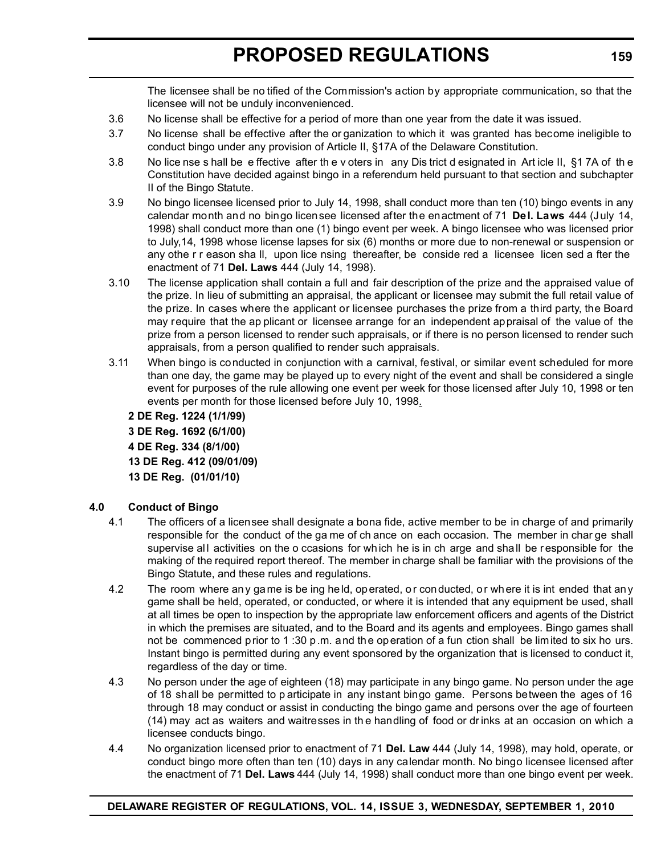The licensee shall be no tified of the Commission's action by appropriate communication, so that the licensee will not be unduly inconvenienced.

- 3.6 No license shall be effective for a period of more than one year from the date it was issued.
- 3.7 No license shall be effective after the or ganization to which it was granted has become ineligible to conduct bingo under any provision of Article II, §17A of the Delaware Constitution.
- 3.8 No lice nse s hall be e ffective after th e v oters in any Dis trict d esignated in Art icle II, §1 7A of th e Constitution have decided against bingo in a referendum held pursuant to that section and subchapter II of the Bingo Statute.
- 3.9 No bingo licensee licensed prior to July 14, 1998, shall conduct more than ten (10) bingo events in any calendar month and no bingo licensee licensed after the enactment of 71 **Del. Laws** 444 (July 14, 1998) shall conduct more than one (1) bingo event per week. A bingo licensee who was licensed prior to July,14, 1998 whose license lapses for six (6) months or more due to non-renewal or suspension or any othe r r eason sha ll, upon lice nsing thereafter, be conside red a licensee licen sed a fter the enactment of 71 **Del. Laws** 444 (July 14, 1998).
- 3.10 The license application shall contain a full and fair description of the prize and the appraised value of the prize. In lieu of submitting an appraisal, the applicant or licensee may submit the full retail value of the prize. In cases where the applicant or licensee purchases the prize from a third party, the Board may require that the ap plicant or licensee arrange for an independent appraisal of the value of the prize from a person licensed to render such appraisals, or if there is no person licensed to render such appraisals, from a person qualified to render such appraisals.
- 3.11 When bingo is conducted in conjunction with a carnival, festival, or similar event scheduled for more than one day, the game may be played up to every night of the event and shall be considered a single event for purposes of the rule allowing one event per week for those licensed after July 10, 1998 or ten events per month for those licensed before July 10, 1998.

**2 DE Reg. 1224 (1/1/99) 3 DE Reg. 1692 (6/1/00) 4 DE Reg. 334 (8/1/00) 13 DE Reg. 412 (09/01/09) 13 DE Reg. (01/01/10)**

# **4.0 Conduct of Bingo**

- 4.1 The officers of a licensee shall designate a bona fide, active member to be in charge of and primarily responsible for the conduct of the ga me of ch ance on each occasion. The member in char ge shall supervise all activities on the o ccasions for which he is in ch arge and shall be responsible for the making of the required report thereof. The member in charge shall be familiar with the provisions of the Bingo Statute, and these rules and regulations.
- 4.2 The room where any game is be ing held, operated, or conducted, or where it is int ended that any game shall be held, operated, or conducted, or where it is intended that any equipment be used, shall at all times be open to inspection by the appropriate law enforcement officers and agents of the District in which the premises are situated, and to the Board and its agents and employees. Bingo games shall not be commenced prior to 1 :30 p.m. and the operation of a fun ction shall be limited to six ho urs. Instant bingo is permitted during any event sponsored by the organization that is licensed to conduct it, regardless of the day or time.
- 4.3 No person under the age of eighteen (18) may participate in any bingo game. No person under the age of 18 shall be permitted to p articipate in any instant bingo game. Persons between the ages of 16 through 18 may conduct or assist in conducting the bingo game and persons over the age of fourteen (14) may act as waiters and waitresses in th e handling of food or dr inks at an occasion on which a licensee conducts bingo.
- 4.4 No organization licensed prior to enactment of 71 **Del. Law** 444 (July 14, 1998), may hold, operate, or conduct bingo more often than ten (10) days in any calendar month. No bingo licensee licensed after the enactment of 71 **Del. Laws** 444 (July 14, 1998) shall conduct more than one bingo event per week.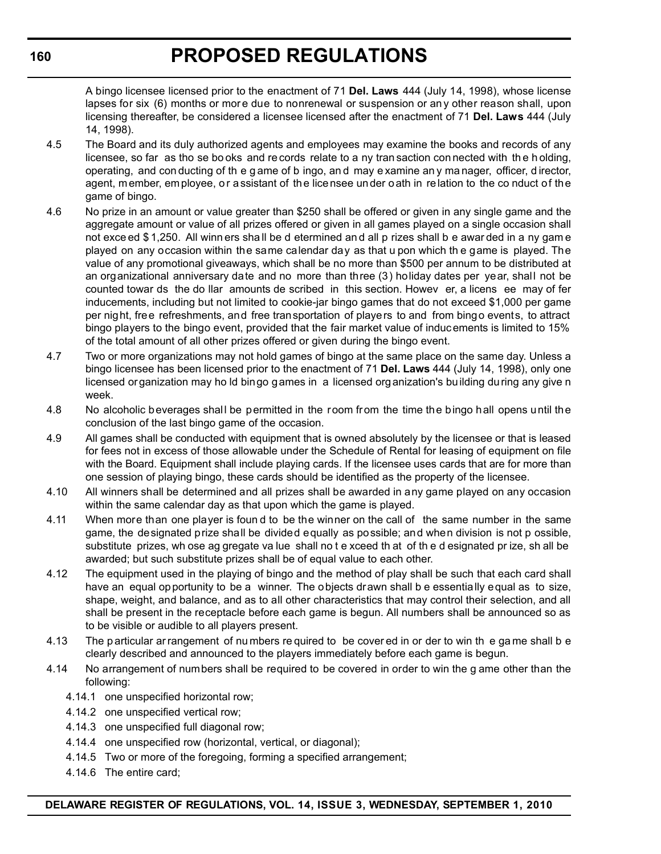A bingo licensee licensed prior to the enactment of 71 **Del. Laws** 444 (July 14, 1998), whose license lapses for six (6) months or more due to nonrenewal or suspension or any other reason shall, upon licensing thereafter, be considered a licensee licensed after the enactment of 71 **Del. Laws** 444 (July 14, 1998).

- 4.5 The Board and its duly authorized agents and employees may examine the books and records of any licensee, so far as tho se bo oks and re cords relate to a ny tran saction con nected with th e h olding, operating, and con ducting of th e g ame of b ingo, an d may e xamine an y ma nager, officer, d irector, agent, member, employee, or assistant of the licensee under oath in relation to the co nduct of the game of bingo.
- 4.6 No prize in an amount or value greater than \$250 shall be offered or given in any single game and the aggregate amount or value of all prizes offered or given in all games played on a single occasion shall not exce ed \$1,250. All winn ers shall be d etermined and all p rizes shall b e awar ded in a ny game played on any occasion within the same calendar day as that u pon which th e game is played. The value of any promotional giveaways, which shall be no more than \$500 per annum to be distributed at an organizational anniversary date and no more than three (3) holiday dates per year, shall not be counted towar ds the do llar amounts de scribed in this section. Howev er, a licens ee may of fer inducements, including but not limited to cookie-jar bingo games that do not exceed \$1,000 per game per night, free refreshments, and free transportation of players to and from bingo events, to attract bingo players to the bingo event, provided that the fair market value of induc ements is limited to 15% of the total amount of all other prizes offered or given during the bingo event.
- 4.7 Two or more organizations may not hold games of bingo at the same place on the same day. Unless a bingo licensee has been licensed prior to the enactment of 71 **Del. Laws** 444 (July 14, 1998), only one licensed organization may ho ld bingo games in a licensed organization's building during any give n week.
- 4.8 No alcoholic beverages shall be permitted in the room from the time the bingo hall opens until the conclusion of the last bingo game of the occasion.
- 4.9 All games shall be conducted with equipment that is owned absolutely by the licensee or that is leased for fees not in excess of those allowable under the Schedule of Rental for leasing of equipment on file with the Board. Equipment shall include playing cards. If the licensee uses cards that are for more than one session of playing bingo, these cards should be identified as the property of the licensee.
- 4.10 All winners shall be determined and all prizes shall be awarded in any game played on any occasion within the same calendar day as that upon which the game is played.
- 4.11 When more than one player is foun d to be the winner on the call of the same number in the same game, the designated prize shall be divided equally as possible; and when division is not p ossible, substitute prizes, wh ose ag gregate va lue shall no t e xceed th at of th e d esignated pr ize, sh all be awarded; but such substitute prizes shall be of equal value to each other.
- 4.12 The equipment used in the playing of bingo and the method of play shall be such that each card shall have an equal opportunity to be a winner. The objects drawn shall b e essentially equal as to size, shape, weight, and balance, and as to all other characteristics that may control their selection, and all shall be present in the receptacle before each game is begun. All numbers shall be announced so as to be visible or audible to all players present.
- 4.13 The p articular ar rangement of nu mbers re quired to be cover ed in or der to win th e ga me shall b e clearly described and announced to the players immediately before each game is begun.
- 4.14 No arrangement of numbers shall be required to be covered in order to win the g ame other than the following:
	- 4.14.1 one unspecified horizontal row;
	- 4.14.2 one unspecified vertical row;
	- 4.14.3 one unspecified full diagonal row;
	- 4.14.4 one unspecified row (horizontal, vertical, or diagonal);
	- 4.14.5 Two or more of the foregoing, forming a specified arrangement;
	- 4.14.6 The entire card;

**160**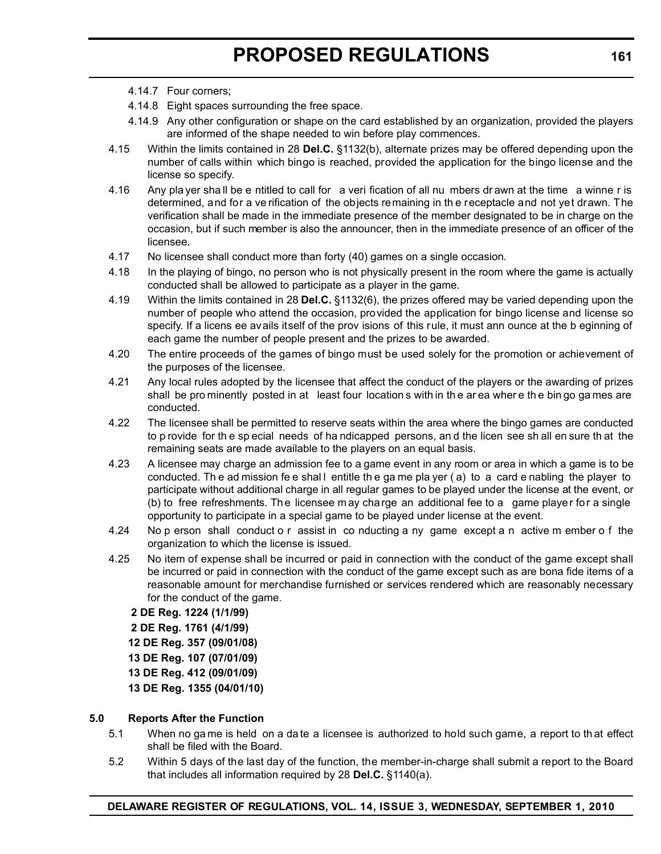- 4.14.7 Four corners;
- 4.14.8 Eight spaces surrounding the free space.
- 4.14.9 Any other configuration or shape on the card established by an organization, provided the players are informed of the shape needed to win before play commences.
- 4.15 Within the limits contained in 28 **Del.C.** §1132(b), alternate prizes may be offered depending upon the number of calls within which bingo is reached, provided the application for the bingo license and the license so specify.
- 4.16 Any pla yer sha ll be e ntitled to call for a veri fication of all nu mbers dr awn at the time a winne r is determined, and for a ve rification of the objects remaining in th e receptacle and not yet drawn. The verification shall be made in the immediate presence of the member designated to be in charge on the occasion, but if such member is also the announcer, then in the immediate presence of an officer of the licensee.
- 4.17 No licensee shall conduct more than forty (40) games on a single occasion.
- 4.18 In the playing of bingo, no person who is not physically present in the room where the game is actually conducted shall be allowed to participate as a player in the game.
- 4.19 Within the limits contained in 28 **Del.C.** §1132(6), the prizes offered may be varied depending upon the number of people who attend the occasion, provided the application for bingo license and license so specify. If a licens ee avails itself of the prov isions of this rule, it must ann ounce at the b eginning of each game the number of people present and the prizes to be awarded.
- 4.20 The entire proceeds of the games of bingo must be used solely for the promotion or achievement of the purposes of the licensee.
- 4.21 Any local rules adopted by the licensee that affect the conduct of the players or the awarding of prizes shall be pro minently posted in at least four location s with in th e ar ea wher e th e bin go ga mes are conducted.
- 4.22 The licensee shall be permitted to reserve seats within the area where the bingo games are conducted to p rovide for th e sp ecial needs of ha ndicapped persons, an d the licen see sh all en sure th at the remaining seats are made available to the players on an equal basis.
- 4.23 A licensee may charge an admission fee to a game event in any room or area in which a game is to be conducted. Th e ad mission fe e shal l entitle th e ga me pla yer ( a) to a card e nabling the player to participate without additional charge in all regular games to be played under the license at the event, or (b) to free refreshments. The licensee may charge an additional fee to a game player for a single opportunity to participate in a special game to be played under license at the event.
- 4.24 No p erson shall conduct o r assist in co nducting a ny game except a n active m ember o f the organization to which the license is issued.
- 4.25 No item of expense shall be incurred or paid in connection with the conduct of the game except shall be incurred or paid in connection with the conduct of the game except such as are bona fide items of a reasonable amount for merchandise furnished or services rendered which are reasonably necessary for the conduct of the game.
	- **2 DE Reg. 1224 (1/1/99)**
	- **2 DE Reg. 1761 (4/1/99)**
	- **12 DE Reg. 357 (09/01/08)**
	- **13 DE Reg. 107 (07/01/09)**
	- **13 DE Reg. 412 (09/01/09)**
	- **13 DE Reg. 1355 (04/01/10)**

### **5.0 Reports After the Function**

- 5.1 When no ga me is held on a da te a licensee is authorized to hold such game, a report to th at effect shall be filed with the Board.
- 5.2 Within 5 days of the last day of the function, the member-in-charge shall submit a report to the Board that includes all information required by 28 **Del.C.** §1140(a).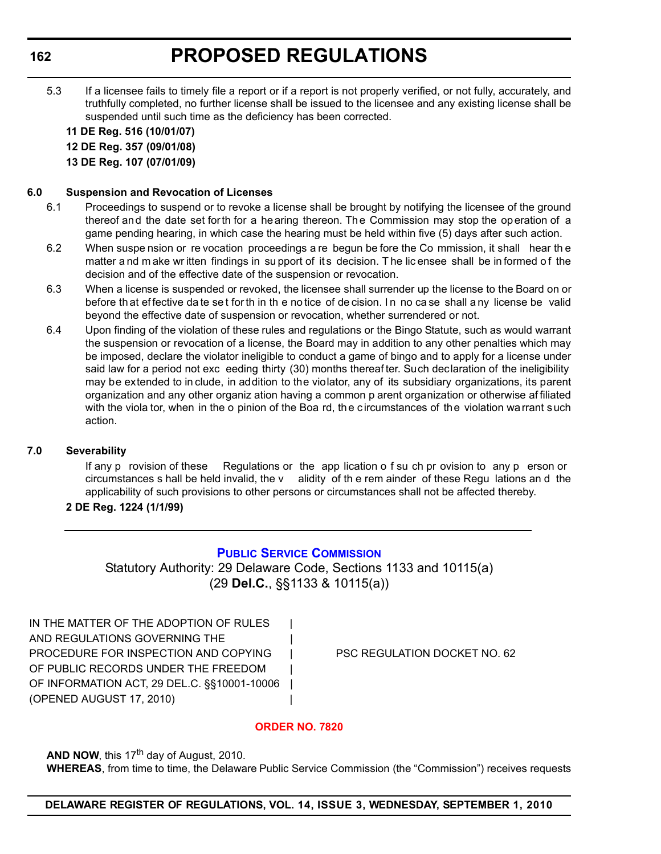## **PROPOSED REGULATIONS**

5.3 If a licensee fails to timely file a report or if a report is not properly verified, or not fully, accurately, and truthfully completed, no further license shall be issued to the licensee and any existing license shall be suspended until such time as the deficiency has been corrected.

**11 DE Reg. 516 (10/01/07)**

**12 DE Reg. 357 (09/01/08)**

**13 DE Reg. 107 (07/01/09)**

#### **6.0 Suspension and Revocation of Licenses**

- 6.1 Proceedings to suspend or to revoke a license shall be brought by notifying the licensee of the ground thereof and the date set forth for a hearing thereon. The Commission may stop the operation of a game pending hearing, in which case the hearing must be held within five (5) days after such action.
- 6.2 When suspe nsion or re vocation proceedings a re begun be fore the Co mmission, it shall hear th e matter a nd m ake wr itten findings in su pport of its decision. The lic ensee shall be in formed of the decision and of the effective date of the suspension or revocation.
- 6.3 When a license is suspended or revoked, the licensee shall surrender up the license to the Board on or before th at effective da te se t for th in th e no tice of de cision. I n no ca se shall a ny license be valid beyond the effective date of suspension or revocation, whether surrendered or not.
- 6.4 Upon finding of the violation of these rules and regulations or the Bingo Statute, such as would warrant the suspension or revocation of a license, the Board may in addition to any other penalties which may be imposed, declare the violator ineligible to conduct a game of bingo and to apply for a license under said law for a period not exc eeding thirty (30) months thereaf ter. Such declaration of the ineligibility may be extended to in clude, in addition to the violator, any of its subsidiary organizations, its parent organization and any other organiz ation having a common p arent organization or otherwise af filiated with the viola tor, when in the o pinion of the Boa rd, the circumstances of the violation warrant such action.

## **7.0 Severability**

If any p rovision of these Regulations or the app lication o f su ch pr ovision to any p erson or circumstances s hall be held invalid, the v alidity of th e rem ainder of these Regu lations an d the applicability of such provisions to other persons or circumstances shall not be affected thereby.

## **2 DE Reg. 1224 (1/1/99)**

## **[PUBLIC SERVICE COMMISSION](http://depsc.delaware.gov/default.shtml)**

Statutory Authority: 29 Delaware Code, Sections 1133 and 10115(a) (29 **Del.C.**, §§1133 & 10115(a))

IN THE MATTER OF THE ADOPTION OF RULES | AND REGULATIONS GOVERNING THE PROCEDURE FOR INSPECTION AND COPYING | PSC REGULATION DOCKET NO. 62 OF PUBLIC RECORDS UNDER THE FREEDOM OF INFORMATION ACT, 29 DEL.C. §§10001-10006 | (OPENED AUGUST 17, 2010) |

## **[ORDER NO. 7820](#page-3-0)**

**AND NOW, this 17<sup>th</sup> day of August, 2010.** 

**WHEREAS**, from time to time, the Delaware Public Service Commission (the "Commission") receives requests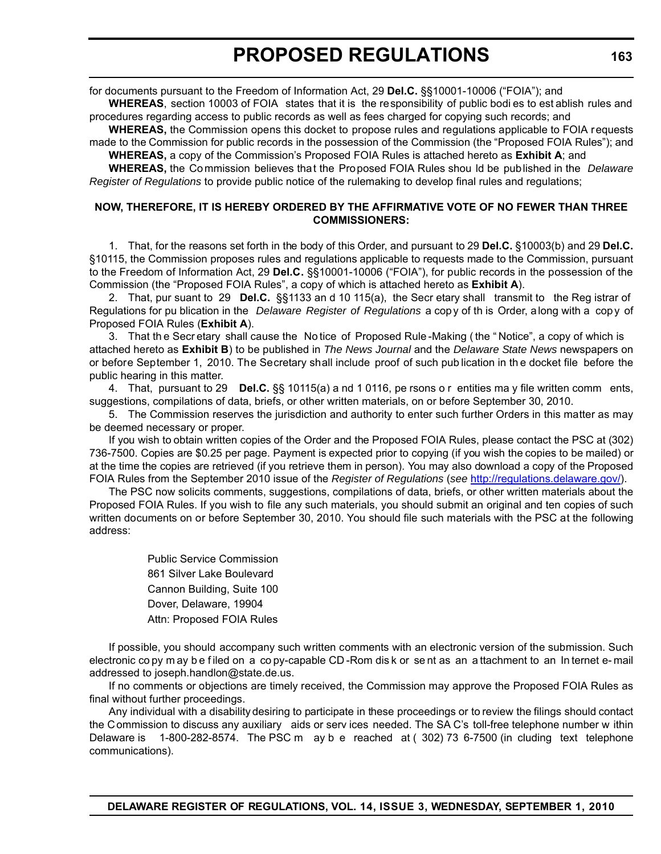for documents pursuant to the Freedom of Information Act, 29 **Del.C.** §§10001-10006 ("FOIA"); and

**WHEREAS**, section 10003 of FOIA states that it is the responsibility of public bodi es to est ablish rules and procedures regarding access to public records as well as fees charged for copying such records; and

**WHEREAS,** the Commission opens this docket to propose rules and regulations applicable to FOIA requests made to the Commission for public records in the possession of the Commission (the "Proposed FOIA Rules"); and **WHEREAS,** a copy of the Commission's Proposed FOIA Rules is attached hereto as **Exhibit A**; and

**WHEREAS,** the Commission believes that the Proposed FOIA Rules shou ld be published in the *Delaware Register of Regulations* to provide public notice of the rulemaking to develop final rules and regulations;

#### **NOW, THEREFORE, IT IS HEREBY ORDERED BY THE AFFIRMATIVE VOTE OF NO FEWER THAN THREE COMMISSIONERS:**

1. That, for the reasons set forth in the body of this Order, and pursuant to 29 **Del.C.** §10003(b) and 29 **Del.C.** §10115, the Commission proposes rules and regulations applicable to requests made to the Commission, pursuant to the Freedom of Information Act, 29 **Del.C.** §§10001-10006 ("FOIA"), for public records in the possession of the Commission (the "Proposed FOIA Rules", a copy of which is attached hereto as **Exhibit A**).

2. That, pur suant to 29 **Del.C.** §§1133 an d 10 115(a), the Secr etary shall transmit to the Reg istrar of Regulations for pu blication in the *Delaware Register of Regulations* a copy of th is Order, along with a copy of Proposed FOIA Rules (**Exhibit A**).

3. That th e Secr etary shall cause the No tice of Proposed Rule -Making ( the " Notice", a copy of which is attached hereto as **Exhibit B**) to be published in *The News Journal* and the *Delaware State News* newspapers on or before September 1, 2010. The Secretary shall include proof of such pub lication in th e docket file before the public hearing in this matter.

4. That, pursuant to 29 **Del.C.** §§ 10115(a) a nd 1 0116, pe rsons o r entities ma y file written comm ents, suggestions, compilations of data, briefs, or other written materials, on or before September 30, 2010.

5. The Commission reserves the jurisdiction and authority to enter such further Orders in this matter as may be deemed necessary or proper.

If you wish to obtain written copies of the Order and the Proposed FOIA Rules, please contact the PSC at (302) 736-7500. Copies are \$0.25 per page. Payment is expected prior to copying (if you wish the copies to be mailed) or at the time the copies are retrieved (if you retrieve them in person). You may also download a copy of the Proposed FOIA Rules from the September 2010 issue of the *Register of Regulations* (*see* http://regulations.delaware.gov/).

The PSC now solicits comments, suggestions, compilations of data, briefs, or other written materials about the Proposed FOIA Rules. If you wish to file any such materials, you should submit an original and ten copies of such written documents on or before September 30, 2010. You should file such materials with the PSC at the following address:

> Public Service Commission 861 Silver Lake Boulevard Cannon Building, Suite 100 Dover, Delaware, 19904 Attn: Proposed FOIA Rules

If possible, you should accompany such written comments with an electronic version of the submission. Such electronic co py m ay b e f iled on a co py-capable CD -Rom dis k or se nt as an a ttachment to an In ternet e- mail addressed to joseph.handlon@state.de.us.

If no comments or objections are timely received, the Commission may approve the Proposed FOIA Rules as final without further proceedings.

Any individual with a disability desiring to participate in these proceedings or to review the filings should contact the Commission to discuss any auxiliary aids or serv ices needed. The SA C's toll-free telephone number w ithin Delaware is 1-800-282-8574. The PSC m ay b e reached at ( 302) 73 6-7500 (in cluding text telephone communications).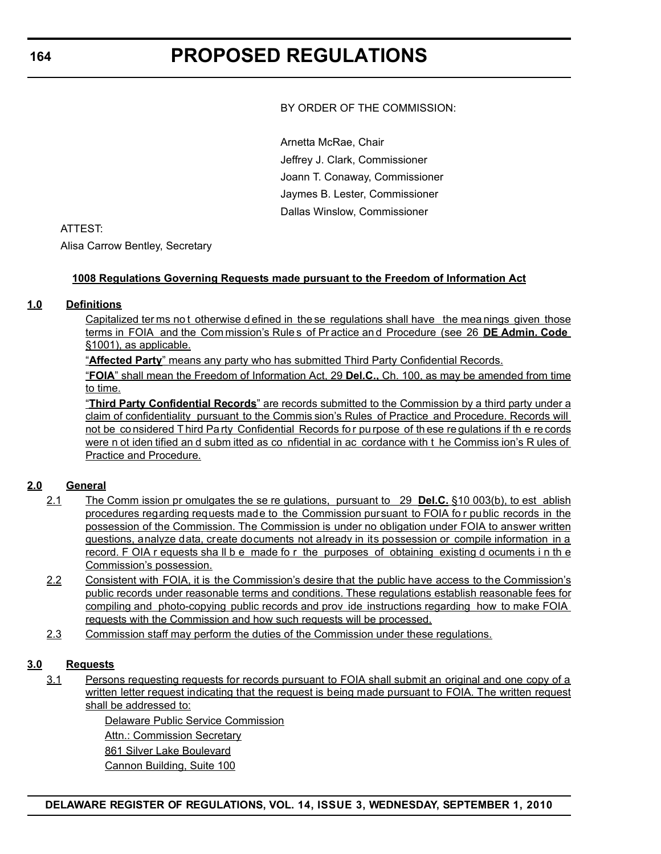BY ORDER OF THE COMMISSION:

Arnetta McRae, Chair Jeffrey J. Clark, Commissioner Joann T. Conaway, Commissioner Jaymes B. Lester, Commissioner Dallas Winslow, Commissioner

## ATTEST:

Alisa Carrow Bentley, Secretary

## **1008 Regulations Governing Requests made pursuant to the Freedom of Information Act**

## **1.0 Definitions**

Capitalized ter ms not otherwise d efined in the se regulations shall have the mea nings given those terms in FOIA and the Com mission's Rule s of Pr actice an d Procedure (see 26 **DE Admin. Code** §1001), as applicable.

"**Affected Party**" means any party who has submitted Third Party Confidential Records.

"**FOIA**" shall mean the Freedom of Information Act, 29 **Del.C.,** Ch. 100, as may be amended from time to time.

"**Third Party Confidential Records**" are records submitted to the Commission by a third party under a claim of confidentiality pursuant to the Commis sion's Rules of Practice and Procedure. Records will not be considered Third Party Confidential Records for purpose of these requlations if the records were n ot iden tified an d subm itted as co nfidential in ac cordance with t he Commiss ion's R ules of Practice and Procedure.

## **2.0 General**

- 2.1 The Comm ission pr omulgates the se re gulations, pursuant to 29 **Del.C.** §10 003(b), to est ablish procedures regarding requests made to the Commission pursuant to FOIA fo r public records in the possession of the Commission. The Commission is under no obligation under FOIA to answer written questions, analyze data, create documents not already in its possession or compile information in a record. F OIA r equests sha ll b e made fo r the purposes of obtaining existing d ocuments i n th e Commission's possession.
- 2.2 Consistent with FOIA, it is the Commission's desire that the public have access to the Commission's public records under reasonable terms and conditions. These regulations establish reasonable fees for compiling and photo-copying public records and prov ide instructions regarding how to make FOIA requests with the Commission and how such requests will be processed.
- 2.3 Commission staff may perform the duties of the Commission under these regulations.

## **3.0 Requests**

3.1 Persons requesting requests for records pursuant to FOIA shall submit an original and one copy of a written letter request indicating that the request is being made pursuant to FOIA. The written request shall be addressed to:

> Delaware Public Service Commission **Attn.: Commission Secretary** 861 Silver Lake Boulevard Cannon Building, Suite 100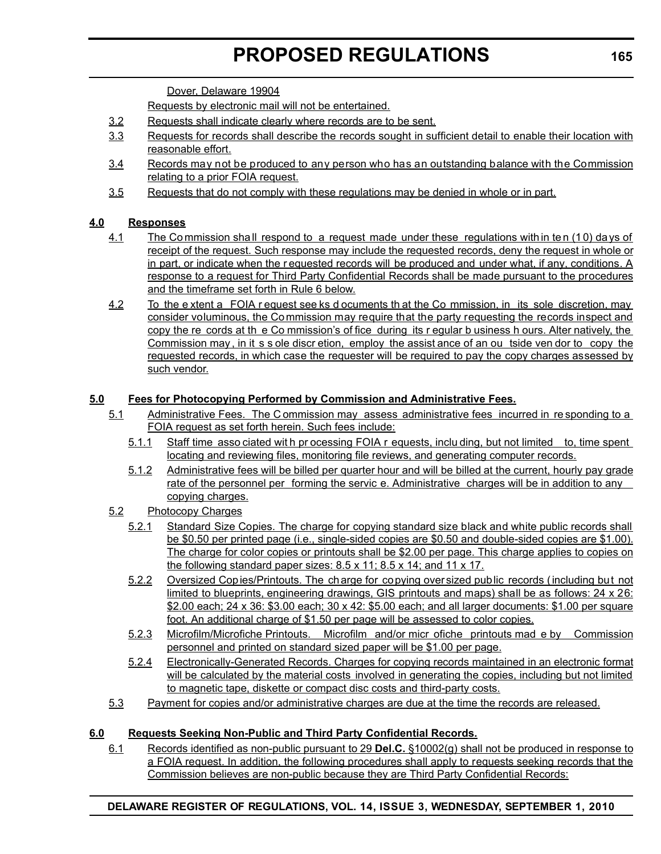# **PROPOSED REGULATIONS**

Dover, Delaware 19904

Requests by electronic mail will not be entertained.

- 3.2 Requests shall indicate clearly where records are to be sent.
- 3.3 Requests for records shall describe the records sought in sufficient detail to enable their location with reasonable effort.
- 3.4 Records may not be produced to any person who has an outstanding balance with the Commission relating to a prior FOIA request.
- 3.5 Requests that do not comply with these regulations may be denied in whole or in part.

## **4.0 Responses**

- 4.1 The Commission shall respond to a request made under these regulations with in ten (10) days of receipt of the request. Such response may include the requested records, deny the request in whole or in part, or indicate when the r equested records will be produced and under what, if any, conditions. A response to a request for Third Party Confidential Records shall be made pursuant to the procedures and the timeframe set forth in Rule 6 below.
- 4.2 To the e xtent a FOIA r equest see ks d ocuments th at the Co mmission, in its sole discretion, may consider voluminous, the Commission may require that the party requesting the records inspect and copy the re cords at th e Co mmission's of fice during its r egular b usiness h ours. Alter natively, the Commission may, in it s s ole discr etion, employ the assist ance of an ou tside ven dor to copy the requested records, in which case the requester will be required to pay the copy charges assessed by such vendor.

## **5.0 Fees for Photocopying Performed by Commission and Administrative Fees.**

- 5.1 Administrative Fees. The C ommission may assess administrative fees incurred in re sponding to a FOIA request as set forth herein. Such fees include:
	- 5.1.1 Staff time asso ciated wit h pr ocessing FOIA r equests, inclu ding, but not limited to, time spent locating and reviewing files, monitoring file reviews, and generating computer records.
	- 5.1.2 Administrative fees will be billed per quarter hour and will be billed at the current, hourly pay grade rate of the personnel per forming the servic e. Administrative charges will be in addition to any copying charges.
- 5.2 Photocopy Charges
	- 5.2.1 Standard Size Copies. The charge for copying standard size black and white public records shall be \$0.50 per printed page (i.e., single-sided copies are \$0.50 and double-sided copies are \$1.00). The charge for color copies or printouts shall be \$2.00 per page. This charge applies to copies on the following standard paper sizes: 8.5 x 11; 8.5 x 14; and 11 x 17.
	- 5.2.2 Oversized Copies/Printouts. The charge for copying oversized public records (including but not limited to blueprints, engineering drawings, GIS printouts and maps) shall be as follows: 24 x 26: \$2.00 each; 24 x 36: \$3.00 each; 30 x 42: \$5.00 each; and all larger documents: \$1.00 per square foot. An additional charge of \$1.50 per page will be assessed to color copies.
	- 5.2.3 Microfilm/Microfiche Printouts. Microfilm and/or micr ofiche printouts mad e by Commission personnel and printed on standard sized paper will be \$1.00 per page.
	- 5.2.4 Electronically-Generated Records. Charges for copying records maintained in an electronic format will be calculated by the material costs involved in generating the copies, including but not limited to magnetic tape, diskette or compact disc costs and third-party costs.
- 5.3 Payment for copies and/or administrative charges are due at the time the records are released.

## **6.0 Requests Seeking Non-Public and Third Party Confidential Records.**

6.1 Records identified as non-public pursuant to 29 **Del.C.** §10002(g) shall not be produced in response to a FOIA request. In addition, the following procedures shall apply to requests seeking records that the Commission believes are non-public because they are Third Party Confidential Records: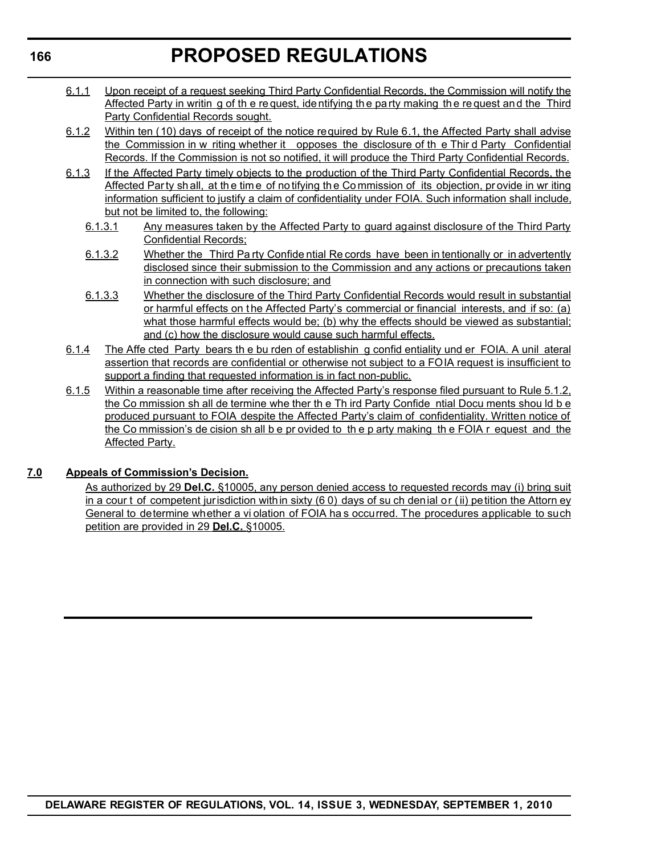## **PROPOSED REGULATIONS**

- 6.1.1 Upon receipt of a request seeking Third Party Confidential Records, the Commission will notify the Affected Party in writin g of th e re quest, ide ntifying th e party making th e re quest an d the Third Party Confidential Records sought.
- 6.1.2 Within ten (10) days of receipt of the notice required by Rule 6.1, the Affected Party shall advise the Commission in w riting whether it opposes the disclosure of th e Thir d Party Confidential Records. If the Commission is not so notified, it will produce the Third Party Confidential Records.
- 6.1.3 If the Affected Party timely objects to the production of the Third Party Confidential Records, the Affected Party sh all, at the time of no tifying the Commission of its objection, provide in wr iting information sufficient to justify a claim of confidentiality under FOIA. Such information shall include, but not be limited to, the following:
	- 6.1.3.1 Any measures taken by the Affected Party to guard against disclosure of the Third Party Confidential Records;
	- 6.1.3.2 Whether the Third Party Confide ntial Re cords have been in tentionally or in advertently disclosed since their submission to the Commission and any actions or precautions taken in connection with such disclosure; and
	- 6.1.3.3 Whether the disclosure of the Third Party Confidential Records would result in substantial or harmful effects on the Affected Party's commercial or financial interests, and if so: (a) what those harmful effects would be; (b) why the effects should be viewed as substantial; and (c) how the disclosure would cause such harmful effects.
- 6.1.4 The Affe cted Party bears th e bu rden of establishin g confid entiality und er FOIA. A unil ateral assertion that records are confidential or otherwise not subject to a FOIA request is insufficient to support a finding that requested information is in fact non-public.
- 6.1.5 Within a reasonable time after receiving the Affected Party's response filed pursuant to Rule 5.1.2, the Co mmission sh all de termine whe ther th e Th ird Party Confide ntial Docu ments shou ld b e produced pursuant to FOIA despite the Affected Party's claim of confidentiality. Written notice of the Co mmission's de cision sh all b e pr ovided to th e p arty making th e FOIA r equest and the Affected Party.

## **7.0 Appeals of Commission's Decision.**

As authorized by 29 **Del.C.** §10005, any person denied access to requested records may (i) bring suit in a cour t of competent jurisdiction within sixty (6 0) days of su ch denial or (ii) petition the Attorn ey General to determine whether a vi olation of FOIA ha s occurred. The procedures applicable to such petition are provided in 29 **Del.C.** §10005.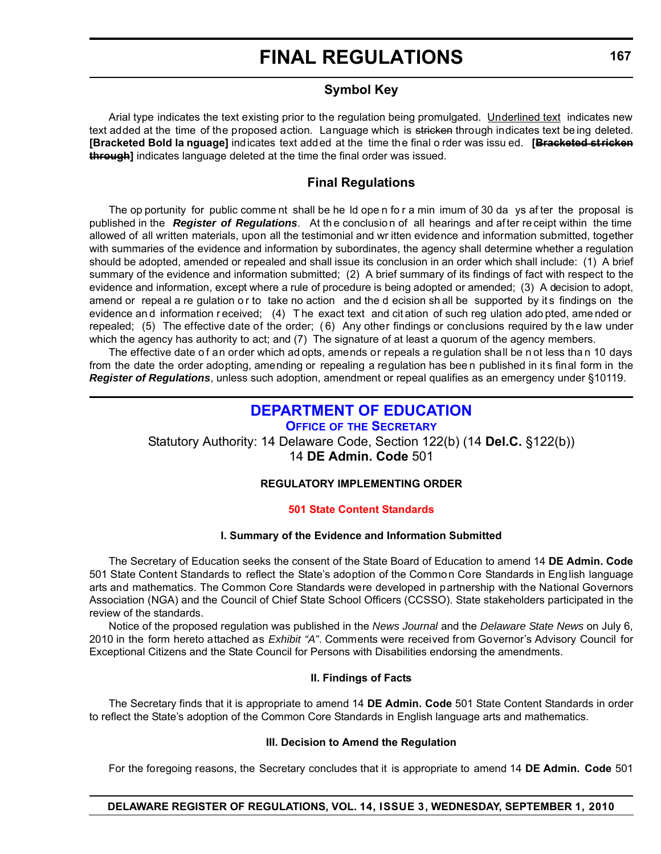## **Symbol Key**

Arial type indicates the text existing prior to the regulation being promulgated. Underlined text indicates new text added at the time of the proposed action. Language which is stricken through indicates text being deleted. **[Bracketed Bold la nguage]** indicates text added at the time the final o rder was issu ed. **[Bracketed stricken through]** indicates language deleted at the time the final order was issued.

## **Final Regulations**

The op portunity for public comme nt shall be he ld ope n fo r a min imum of 30 da ys af ter the proposal is published in the *Register of Regulations*. At the conclusion of all hearings and after receipt within the time allowed of all written materials, upon all the testimonial and wr itten evidence and information submitted, together with summaries of the evidence and information by subordinates, the agency shall determine whether a regulation should be adopted, amended or repealed and shall issue its conclusion in an order which shall include: (1) A brief summary of the evidence and information submitted; (2) A brief summary of its findings of fact with respect to the evidence and information, except where a rule of procedure is being adopted or amended; (3) A decision to adopt, amend or repeal a re gulation or to take no action and the d ecision sh all be supported by its findings on the evidence an d information r eceived; (4) T he exact text and cit ation of such reg ulation ado pted, ame nded or repealed; (5) The effective date of the order; ( 6) Any other findings or conclusions required by th e law under which the agency has authority to act; and (7) The signature of at least a quorum of the agency members.

The effective date of an order which ad opts, amends or repeals a re quiation shall be n ot less than 10 days from the date the order adopting, amending or repealing a regulation has bee n published in it s final form in the *Register of Regulations*, unless such adoption, amendment or repeal qualifies as an emergency under §10119.

## **[DEPARTMENT OF EDUCATION](http://www.doe.k12.de.us/)**

**OFFICE OF THE SECRETARY** Statutory Authority: 14 Delaware Code, Section 122(b) (14 **Del.C.** §122(b)) 14 **DE Admin. Code** 501

## **REGULATORY IMPLEMENTING ORDER**

## **[501 State Content Standards](#page-3-0)**

## **I. Summary of the Evidence and Information Submitted**

The Secretary of Education seeks the consent of the State Board of Education to amend 14 **DE Admin. Code** 501 State Content Standards to reflect the State's adoption of the Common Core Standards in English language arts and mathematics. The Common Core Standards were developed in partnership with the National Governors Association (NGA) and the Council of Chief State School Officers (CCSSO). State stakeholders participated in the review of the standards.

Notice of the proposed regulation was published in the *News Journal* and the *Delaware State News* on July 6, 2010 in the form hereto attached as *Exhibit "A"*. Comments were received from Governor's Advisory Council for Exceptional Citizens and the State Council for Persons with Disabilities endorsing the amendments.

#### **II. Findings of Facts**

The Secretary finds that it is appropriate to amend 14 **DE Admin. Code** 501 State Content Standards in order to reflect the State's adoption of the Common Core Standards in English language arts and mathematics.

## **III. Decision to Amend the Regulation**

For the foregoing reasons, the Secretary concludes that it is appropriate to amend 14 **DE Admin. Code** 501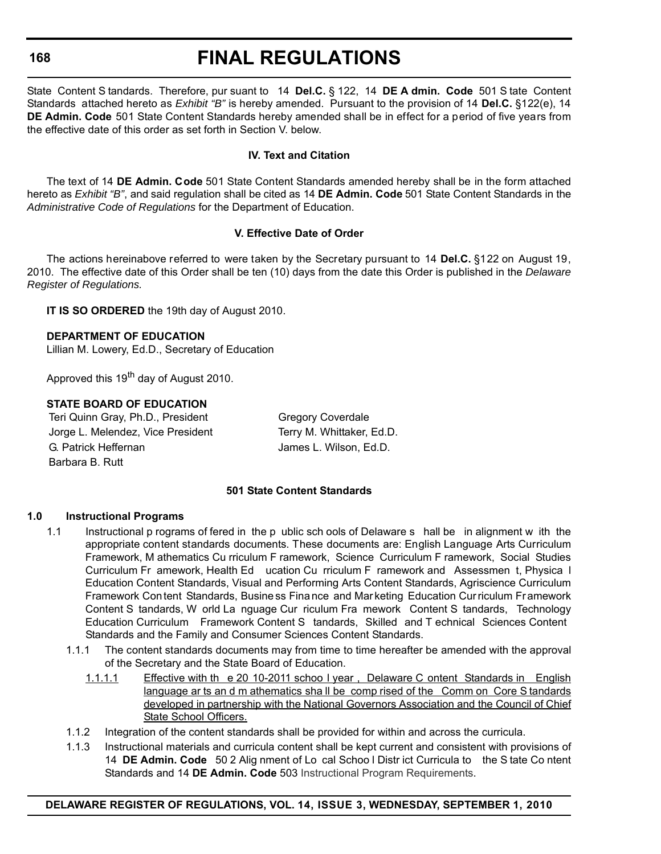#### **168**

## **FINAL REGULATIONS**

State Content S tandards. Therefore, pur suant to 14 **Del.C.** § 122, 14 **DE A dmin. Code** 501 S tate Content Standards attached hereto as *Exhibit "B"* is hereby amended. Pursuant to the provision of 14 **Del.C.** §122(e), 14 **DE Admin. Code** 501 State Content Standards hereby amended shall be in effect for a period of five years from the effective date of this order as set forth in Section V. below.

## **IV. Text and Citation**

The text of 14 **DE Admin. Code** 501 State Content Standards amended hereby shall be in the form attached hereto as *Exhibit "B"*, and said regulation shall be cited as 14 **DE Admin. Code** 501 State Content Standards in the *Administrative Code of Regulations* for the Department of Education.

#### **V. Effective Date of Order**

The actions hereinabove referred to were taken by the Secretary pursuant to 14 **Del.C.** §122 on August 19, 2010. The effective date of this Order shall be ten (10) days from the date this Order is published in the *Delaware Register of Regulations.*

**IT IS SO ORDERED** the 19th day of August 2010.

**DEPARTMENT OF EDUCATION** Lillian M. Lowery, Ed.D., Secretary of Education

Approved this 19<sup>th</sup> day of August 2010.

## **STATE BOARD OF EDUCATION**

Teri Quinn Gray, Ph.D., President Gregory Coverdale Jorge L. Melendez, Vice President Terry M. Whittaker, Ed.D. G. Patrick Heffernan **G. Patrick Heffernan** James L. Wilson, Ed.D. Barbara B. Rutt

#### **501 State Content Standards**

## **1.0 Instructional Programs**

- 1.1 Instructional p rograms of fered in the p ublic sch ools of Delaware s hall be in alignment w ith the appropriate content standards documents. These documents are: English Language Arts Curriculum Framework, M athematics Cu rriculum F ramework, Science Curriculum F ramework, Social Studies Curriculum Fr amework, Health Ed ucation Cu rriculum F ramework and Assessmen t, Physica l Education Content Standards, Visual and Performing Arts Content Standards, Agriscience Curriculum Framework Con tent Standards, Busine ss Fina nce and Marketing Education Curriculum Framework Content S tandards, W orld La nguage Cur riculum Fra mework Content S tandards, Technology Education Curriculum Framework Content S tandards, Skilled and T echnical Sciences Content Standards and the Family and Consumer Sciences Content Standards.
	- 1.1.1 The content standards documents may from time to time hereafter be amended with the approval of the Secretary and the State Board of Education.
		- 1.1.1.1 Effective with th e 20 10-2011 schoo l year , Delaware C ontent Standards in English language ar ts an d m athematics sha ll be comp rised of the Comm on Core S tandards developed in partnership with the National Governors Association and the Council of Chief State School Officers.
	- 1.1.2 Integration of the content standards shall be provided for within and across the curricula.
	- 1.1.3 Instructional materials and curricula content shall be kept current and consistent with provisions of 14 **DE Admin. Code** 50 2 Alig nment of Lo cal Schoo l Distr ict Curricula to the S tate Co ntent Standards and 14 **DE Admin. Code** 503 Instructional Program Requirements.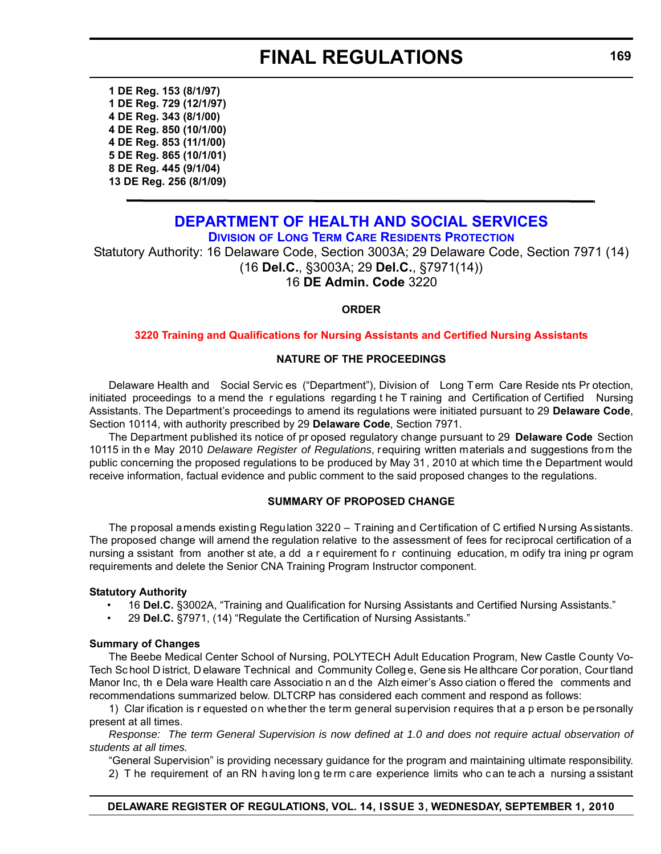**1 DE Reg. 153 (8/1/97) 1 DE Reg. 729 (12/1/97) 4 DE Reg. 343 (8/1/00) 4 DE Reg. 850 (10/1/00) 4 DE Reg. 853 (11/1/00) 5 DE Reg. 865 (10/1/01) 8 DE Reg. 445 (9/1/04) 13 DE Reg. 256 (8/1/09)**

## **[DEPARTMENT OF HEALTH AND SOCIAL SERVICES](http://www.dhss.delaware.gov/dhss/dltcrp/index.html)**

**DIVISION OF LONG TERM CARE RESIDENTS PROTECTION**

Statutory Authority: 16 Delaware Code, Section 3003A; 29 Delaware Code, Section 7971 (14) (16 **Del.C.**, §3003A; 29 **Del.C.**, §7971(14)) 16 **DE Admin. Code** 3220

## **ORDER**

#### **[3220 Training and Qualifications for Nursing Assistants and Certified Nursing Assistants](#page-3-0)**

#### **NATURE OF THE PROCEEDINGS**

Delaware Health and Social Servic es ("Department"), Division of Long Term Care Reside nts Pr otection, initiated proceedings to a mend the r egulations regarding t he T raining and Certification of Certified Nursing Assistants. The Department's proceedings to amend its regulations were initiated pursuant to 29 **Delaware Code**, Section 10114, with authority prescribed by 29 **Delaware Code**, Section 7971.

The Department published its notice of pr oposed regulatory change pursuant to 29 **Delaware Code** Section 10115 in th e May 2010 *Delaware Register of Regulations*, requiring written materials and suggestions from the public concerning the proposed regulations to be produced by May 31, 2010 at which time the Department would receive information, factual evidence and public comment to the said proposed changes to the regulations.

## **SUMMARY OF PROPOSED CHANGE**

The proposal amends existing Regulation 3220 – Training and Certification of C ertified Nursing Assistants. The proposed change will amend the regulation relative to the assessment of fees for reciprocal certification of a nursing a ssistant from another st ate, a dd a r equirement fo r continuing education, m odify tra ining pr ogram requirements and delete the Senior CNA Training Program Instructor component.

#### **Statutory Authority**

- 16 **Del.C.** §3002A, "Training and Qualification for Nursing Assistants and Certified Nursing Assistants."
- 29 **Del.C.** §7971, (14) "Regulate the Certification of Nursing Assistants."

#### **Summary of Changes**

The Beebe Medical Center School of Nursing, POLYTECH Adult Education Program, New Castle County Vo-Tech Sc hool D istrict, D elaware Technical and Community Colleg e, Gene sis He althcare Cor poration, Cour tland Manor Inc, th e Dela ware Health care Associatio n an d the Alzh eimer's Asso ciation o ffered the comments and recommendations summarized below. DLTCRP has considered each comment and respond as follows:

1) Clar ification is r equested on whether the term general supervision requires that a p erson be personally present at all times.

*Response: The term General Supervision is now defined at 1.0 and does not require actual observation of students at all times.*

"General Supervision" is providing necessary guidance for the program and maintaining ultimate responsibility.

2) T he requirement of an RN h aving lon g te rm c are experience limits who c an te ach a nursing a ssistant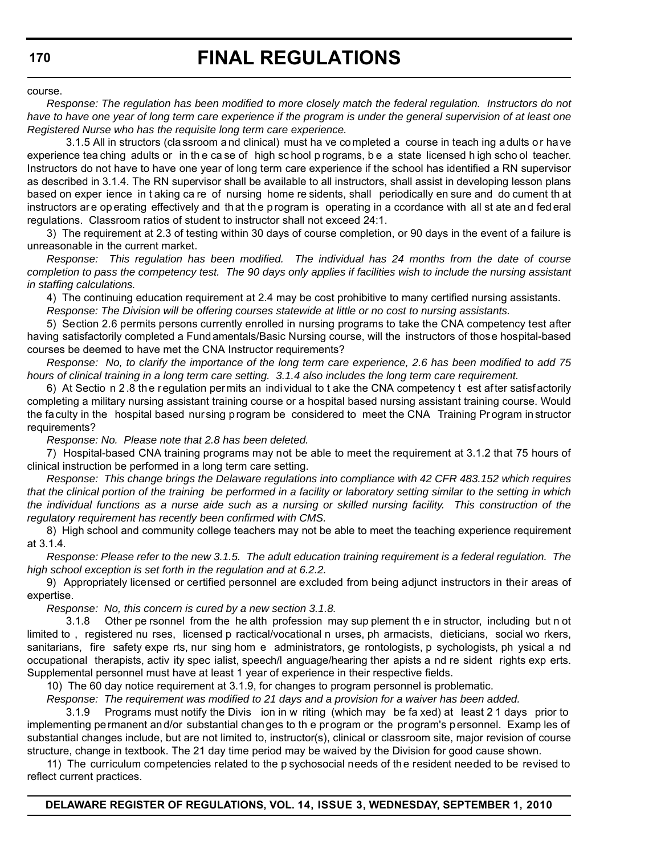course.

*Response: The regulation has been modified to more closely match the federal regulation. Instructors do not have to have one year of long term care experience if the program is under the general supervision of at least one Registered Nurse who has the requisite long term care experience.*

3.1.5 All in structors (cla ssroom a nd clinical) must ha ve completed a course in teach ing adults or have experience tea ching adults or in th e ca se of high sc hool p rograms, b e a state licensed h igh scho ol teacher. Instructors do not have to have one year of long term care experience if the school has identified a RN supervisor as described in 3.1.4. The RN supervisor shall be available to all instructors, shall assist in developing lesson plans based on exper ience in t aking ca re of nursing home re sidents, shall periodically en sure and do cument th at instructors are operating effectively and that the program is operating in a ccordance with all st ate and fed eral regulations. Classroom ratios of student to instructor shall not exceed 24:1.

3) The requirement at 2.3 of testing within 30 days of course completion, or 90 days in the event of a failure is unreasonable in the current market.

*Response: This regulation has been modified. The individual has 24 months from the date of course completion to pass the competency test. The 90 days only applies if facilities wish to include the nursing assistant in staffing calculations.*

4) The continuing education requirement at 2.4 may be cost prohibitive to many certified nursing assistants.

*Response: The Division will be offering courses statewide at little or no cost to nursing assistants.*

5) Section 2.6 permits persons currently enrolled in nursing programs to take the CNA competency test after having satisfactorily completed a Fundamentals/Basic Nursing course, will the instructors of those hospital-based courses be deemed to have met the CNA Instructor requirements?

*Response: No, to clarify the importance of the long term care experience, 2.6 has been modified to add 75 hours of clinical training in a long term care setting. 3.1.4 also includes the long term care requirement.*

6) At Sectio n 2.8 the regulation permits an individual to t ake the CNA competency t est after satisf actorily completing a military nursing assistant training course or a hospital based nursing assistant training course. Would the faculty in the hospital based nursing program be considered to meet the CNA Training Pr ogram in structor requirements?

*Response: No. Please note that 2.8 has been deleted.*

7) Hospital-based CNA training programs may not be able to meet the requirement at 3.1.2 that 75 hours of clinical instruction be performed in a long term care setting.

*Response: This change brings the Delaware regulations into compliance with 42 CFR 483.152 which requires that the clinical portion of the training be performed in a facility or laboratory setting similar to the setting in which the individual functions as a nurse aide such as a nursing or skilled nursing facility. This construction of the regulatory requirement has recently been confirmed with CMS.*

8) High school and community college teachers may not be able to meet the teaching experience requirement at 3.1.4.

*Response: Please refer to the new 3.1.5. The adult education training requirement is a federal regulation. The high school exception is set forth in the regulation and at 6.2.2.*

9) Appropriately licensed or certified personnel are excluded from being adjunct instructors in their areas of expertise.

*Response: No, this concern is cured by a new section 3.1.8.*

3.1.8 Other pe rsonnel from the he alth profession may sup plement th e in structor, including but n ot limited to , registered nu rses, licensed p ractical/vocational n urses, ph armacists, dieticians, social wo rkers, sanitarians, fire safety expe rts, nur sing hom e administrators, ge rontologists, p sychologists, ph ysical a nd occupational therapists, activ ity spec ialist, speech/l anguage/hearing ther apists a nd re sident rights exp erts. Supplemental personnel must have at least 1 year of experience in their respective fields.

10) The 60 day notice requirement at 3.1.9, for changes to program personnel is problematic.

*Response: The requirement was modified to 21 days and a provision for a waiver has been added.*

3.1.9 Programs must notify the Divis ion in w riting (which may be fa xed) at least 2 1 days prior to implementing permanent and/or substantial changes to th e program or the program's personnel. Examp les of substantial changes include, but are not limited to, instructor(s), clinical or classroom site, major revision of course structure, change in textbook. The 21 day time period may be waived by the Division for good cause shown.

11) The curriculum competencies related to the p sychosocial needs of the resident needed to be revised to reflect current practices.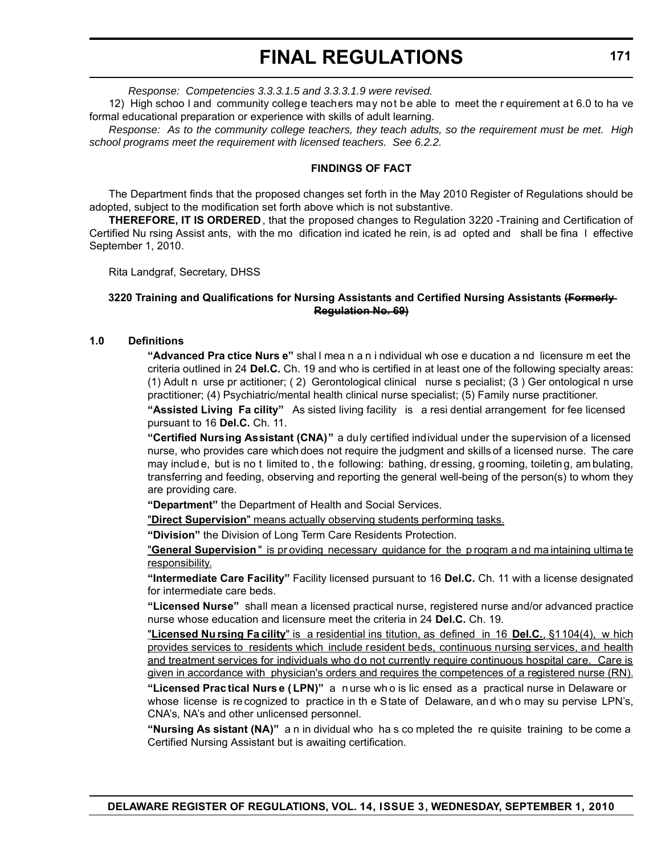*Response: Competencies 3.3.3.1.5 and 3.3.3.1.9 were revised.* 

12) High schoo l and community college teachers may not be able to meet the r equirement at 6.0 to ha ve formal educational preparation or experience with skills of adult learning.

*Response: As to the community college teachers, they teach adults, so the requirement must be met. High school programs meet the requirement with licensed teachers. See 6.2.2.*

#### **FINDINGS OF FACT**

The Department finds that the proposed changes set forth in the May 2010 Register of Regulations should be adopted, subject to the modification set forth above which is not substantive.

**THEREFORE, IT IS ORDERED**, that the proposed changes to Regulation 3220 -Training and Certification of Certified Nu rsing Assist ants, with the mo dification ind icated he rein, is ad opted and shall be fina l effective September 1, 2010.

Rita Landgraf, Secretary, DHSS

#### **3220 Training and Qualifications for Nursing Assistants and Certified Nursing Assistants (Formerly Regulation No. 69)**

#### **1.0 Definitions**

**"Advanced Pra ctice Nurs e"** shal l mea n a n i ndividual wh ose e ducation a nd licensure m eet the criteria outlined in 24 **Del.C.** Ch. 19 and who is certified in at least one of the following specialty areas: (1) Adult n urse pr actitioner; ( 2) Gerontological clinical nurse s pecialist; (3 ) Ger ontological n urse practitioner; (4) Psychiatric/mental health clinical nurse specialist; (5) Family nurse practitioner.

**"Assisted Living Fa cility"** As sisted living facility is a resi dential arrangement for fee licensed pursuant to 16 **Del.C.** Ch. 11.

**"Certified Nursing Assistant (CNA)"** a duly certified individual under the supervision of a licensed nurse, who provides care which does not require the judgment and skills of a licensed nurse. The care may includ e, but is no t limited to , th e following: bathing, dr essing, g rooming, toiletin g, am bulating, transferring and feeding, observing and reporting the general well-being of the person(s) to whom they are providing care.

**"Department"** the Department of Health and Social Services.

"**Direct Supervision**" means actually observing students performing tasks.

**"Division"** the Division of Long Term Care Residents Protection.

"**General Supervision** " is pr oviding necessary guidance for the p rogram a nd ma intaining ultima te responsibility.

**"Intermediate Care Facility"** Facility licensed pursuant to 16 **Del.C.** Ch. 11 with a license designated for intermediate care beds.

**"Licensed Nurse"** shall mean a licensed practical nurse, registered nurse and/or advanced practice nurse whose education and licensure meet the criteria in 24 **Del.C.** Ch. 19.

"**Licensed Nu rsing Fa cility**" is a residential ins titution, as defined in 16 **Del.C.**, §1104(4), w hich provides services to residents which include resident beds, continuous nursing services, and health and treatment services for individuals who do not currently require continuous hospital care. Care is given in accordance with physician's orders and requires the competences of a registered nurse (RN).

**"Licensed Prac tical Nurs e ( LPN)"** a n urse wh o is lic ensed as a practical nurse in Delaware or whose license is recognized to practice in the State of Delaware, and who may su pervise LPN's, CNA's, NA's and other unlicensed personnel.

**"Nursing As sistant (NA)"** a n in dividual who ha s co mpleted the re quisite training to be come a Certified Nursing Assistant but is awaiting certification.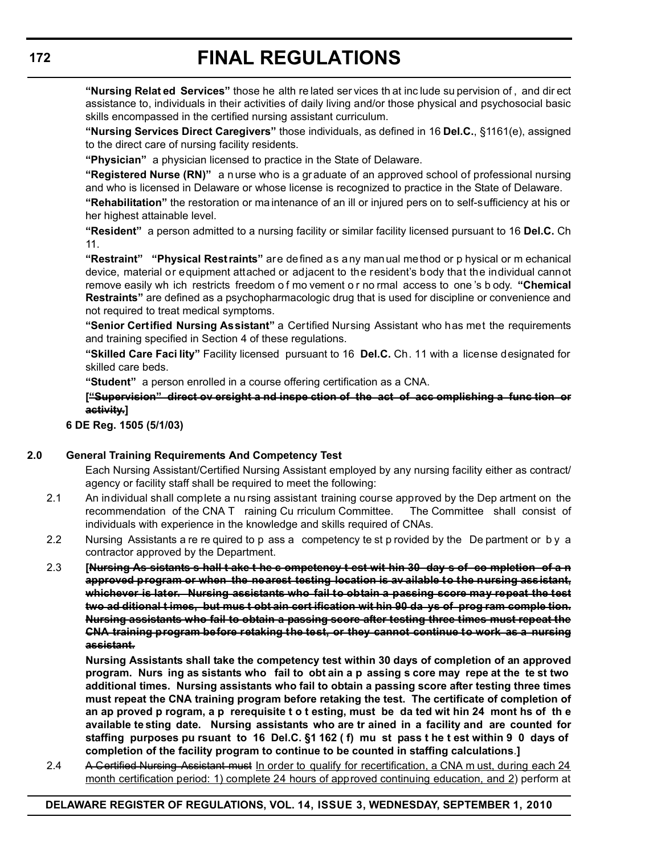**"Nursing Relat ed Services"** those he alth re lated ser vices th at inc lude su pervision of , and dir ect assistance to, individuals in their activities of daily living and/or those physical and psychosocial basic skills encompassed in the certified nursing assistant curriculum.

**"Nursing Services Direct Caregivers"** those individuals, as defined in 16 **Del.C.**, §1161(e), assigned to the direct care of nursing facility residents.

**"Physician"** a physician licensed to practice in the State of Delaware.

**"Registered Nurse (RN)"** a n urse who is a gr aduate of an approved school of professional nursing and who is licensed in Delaware or whose license is recognized to practice in the State of Delaware.

**"Rehabilitation"** the restoration or ma intenance of an ill or injured pers on to self-sufficiency at his or her highest attainable level.

**"Resident"** a person admitted to a nursing facility or similar facility licensed pursuant to 16 **Del.C.** Ch 11.

**"Restraint" "Physical Restraints"** are defined as any manual method or p hysical or m echanical device, material or equipment attached or adjacent to the resident's body that the individual cannot remove easily wh ich restricts freedom o f mo vement o r no rmal access to one 's b ody. **"Chemical Restraints"** are defined as a psychopharmacologic drug that is used for discipline or convenience and not required to treat medical symptoms.

**"Senior Certified Nursing Assistant"** a Certified Nursing Assistant who has met the requirements and training specified in Section 4 of these regulations.

**"Skilled Care Faci lity"** Facility licensed pursuant to 16 **Del.C.** Ch. 11 with a license designated for skilled care beds.

**"Student"** a person enrolled in a course offering certification as a CNA.

**["Supervision" direct ov ersight a nd inspe ction of the act of acc omplishing a func tion or activity.]**

## **6 DE Reg. 1505 (5/1/03)**

## **2.0 General Training Requirements And Competency Test**

Each Nursing Assistant/Certified Nursing Assistant employed by any nursing facility either as contract/ agency or facility staff shall be required to meet the following:

- 2.1 An individual shall complete a nu rsing assistant training course approved by the Dep artment on the recommendation of the CNA T raining Cu rriculum Committee. The Committee shall consist of individuals with experience in the knowledge and skills required of CNAs.
- 2.2 Nursing Assistants a re re quired to p ass a competency te st p rovided by the De partment or b y a contractor approved by the Department.
- 2.3 **[Nursing As sistants s hall t ake t he c ompetency t est wit hin 30 day s of co mpletion of a n approved program or when the nearest testing location is av ailable to the nursing assistant, whichever is later. Nursing assistants who fail to obtain a passing score may repeat the test two ad ditional t imes, but mus t obt ain cert ification wit hin 90 da ys of prog ram comple tion. Nursing assistants who fail to obtain a passing score after testing three times must repeat the CNA training program before retaking the test, or they cannot continue to work as a nursing assistant.**

**Nursing Assistants shall take the competency test within 30 days of completion of an approved program. Nurs ing as sistants who fail to obt ain a p assing s core may repe at the te st two additional times. Nursing assistants who fail to obtain a passing score after testing three times must repeat the CNA training program before retaking the test. The certificate of completion of an ap proved p rogram, a p rerequisite t o t esting, must be da ted wit hin 24 mont hs of th e available te sting date. Nursing assistants who are tr ained in a facility and are counted for staffing purposes pu rsuant to 16 Del.C. §1 162 ( f) mu st pass t he t est within 9 0 days of completion of the facility program to continue to be counted in staffing calculations**.**]**

2.4 A Certified Nursing Assistant must In order to qualify for recertification, a CNA m ust, during each 24 month certification period: 1) complete 24 hours of approved continuing education, and 2) perform at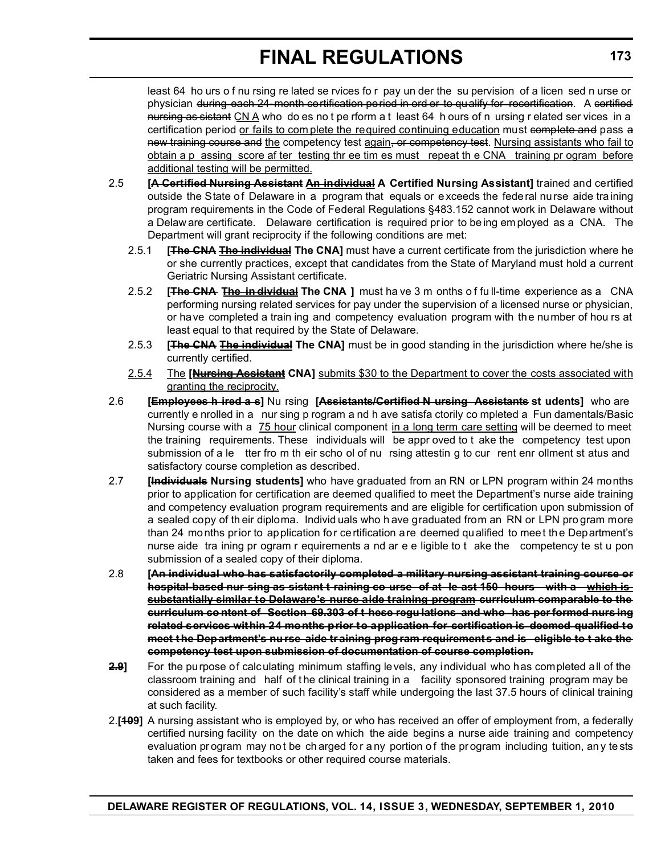least 64 ho urs o f nu rsing re lated se rvices fo r pay un der the su pervision of a licen sed n urse or physician during each 24 month certification period in ord er to qualify for recertification. A certified nursing as sistant CN A who do es not pe rform a t least 64 h ours of n ursing r elated ser vices in a certification period or fails to com plete the required continuing education must complete and pass a new training course and the competency test again, or competency test. Nursing assistants who fail to obtain a p assing score af ter testing thr ee tim es must repeat th e CNA training pr ogram before additional testing will be permitted.

- 2.5 **[A Certified Nursing Assistant An individual A Certified Nursing Assistant]** trained and certified outside the State of Delaware in a program that equals or exceeds the federal nurse aide training program requirements in the Code of Federal Regulations §483.152 cannot work in Delaware without a Delaw are certificate. Delaware certification is required pr ior to be ing em ployed as a CNA. The Department will grant reciprocity if the following conditions are met:
	- 2.5.1 **[The CNA The individual The CNA]** must have a current certificate from the jurisdiction where he or she currently practices, except that candidates from the State of Maryland must hold a current Geriatric Nursing Assistant certificate.
	- 2.5.2 **[The CNA The in dividual The CNA ]** must ha ve 3 m onths o f fu ll-time experience as a CNA performing nursing related services for pay under the supervision of a licensed nurse or physician, or have completed a train ing and competency evaluation program with the number of hou rs at least equal to that required by the State of Delaware.
	- 2.5.3 **[The CNA The individual The CNA]** must be in good standing in the jurisdiction where he/she is currently certified.
	- 2.5.4 The **[Nursing Assistant CNA]** submits \$30 to the Department to cover the costs associated with granting the reciprocity.
- 2.6 **[Employees h ired a s]** Nu rsing **[Assistants/Certified N ursing Assistants st udents]** who are currently e nrolled in a nur sing p rogram a nd h ave satisfa ctorily co mpleted a Fun damentals/Basic Nursing course with a 75 hour clinical component in a long term care setting will be deemed to meet the training requirements. These individuals will be appr oved to t ake the competency test upon submission of a le tter fro m th eir scho ol of nu rsing attestin g to cur rent enr ollment st atus and satisfactory course completion as described.
- 2.7 **[Individuals Nursing students]** who have graduated from an RN or LPN program within 24 months prior to application for certification are deemed qualified to meet the Department's nurse aide training and competency evaluation program requirements and are eligible for certification upon submission of a sealed copy of th eir diploma. Individ uals who h ave graduated from an RN or LPN pro gram more than 24 months prior to application for certification are deemed qualified to meet the Department's nurse aide tra ining pr ogram r equirements a nd ar e e ligible to t ake the competency te st u pon submission of a sealed copy of their diploma.
- 2.8 **[An individual who has satisfactorily completed a military nursing assistant training course or hospital-based nur sing as sistant t raining co urse of at le ast 150 hours with a which is substantially similar to Delaware's nurse aide training program curriculum comparable to the curriculum co ntent of Section 69.303 of t hese regu lations and who has per formed nurs ing related services within 24 months prior to application for certification is deemed qualified to meet t he Department's nu rse aide tr aining program requirements and is eligible to t ake the competency test upon submission of documentation of course completion.**
- **2.9]** For the purpose of calculating minimum staffing levels, any individual who has completed all of the classroom training and half of the clinical training in a facility sponsored training program may be considered as a member of such facility's staff while undergoing the last 37.5 hours of clinical training at such facility.
- 2.**[109]** A nursing assistant who is employed by, or who has received an offer of employment from, a federally certified nursing facility on the date on which the aide begins a nurse aide training and competency evaluation pr ogram may not be ch arged for a ny portion of the pr ogram including tuition, any te sts taken and fees for textbooks or other required course materials.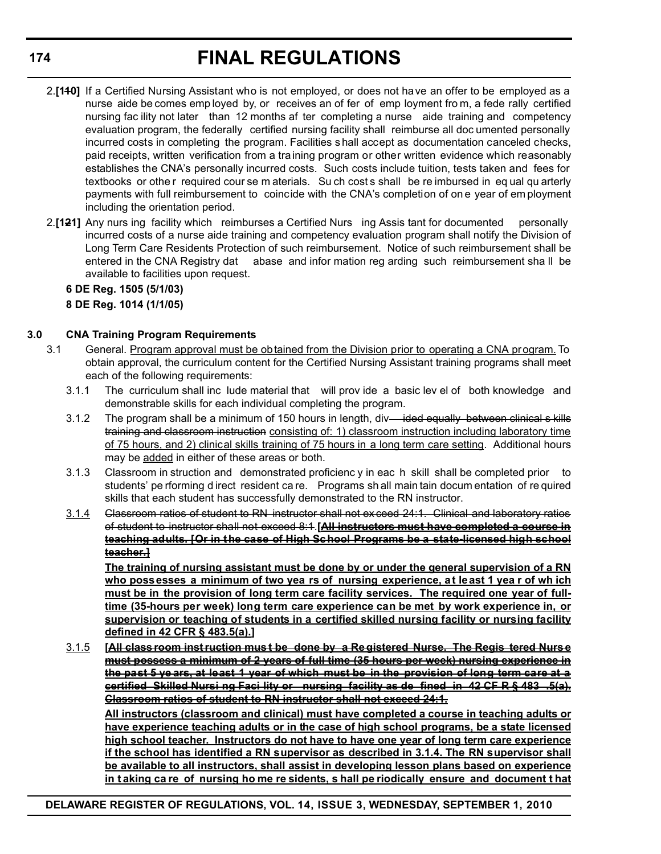- 2.**[110]** If a Certified Nursing Assistant who is not employed, or does not have an offer to be employed as a nurse aide be comes emp loyed by, or receives an of fer of emp loyment fro m, a fede rally certified nursing fac ility not later than 12 months af ter completing a nurse aide training and competency evaluation program, the federally certified nursing facility shall reimburse all doc umented personally incurred costs in completing the program. Facilities s hall accept as documentation canceled checks, paid receipts, written verification from a training program or other written evidence which reasonably establishes the CNA's personally incurred costs. Such costs include tuition, tests taken and fees for textbooks or othe r required cour se m aterials. Su ch cost s shall be re imbursed in eq ual qu arterly payments with full reimbursement to coincide with the CNA's completion of on e year of em ployment including the orientation period.
- 2.**[121]** Any nurs ing facility which reimburses a Certified Nurs ing Assis tant for documented personally incurred costs of a nurse aide training and competency evaluation program shall notify the Division of Long Term Care Residents Protection of such reimbursement. Notice of such reimbursement shall be entered in the CNA Registry dat abase and infor mation reg arding such reimbursement sha ll be available to facilities upon request.

**6 DE Reg. 1505 (5/1/03) 8 DE Reg. 1014 (1/1/05)**

## **3.0 CNA Training Program Requirements**

- 3.1 General. Program approval must be obtained from the Division prior to operating a CNA program. To obtain approval, the curriculum content for the Certified Nursing Assistant training programs shall meet each of the following requirements:
	- 3.1.1 The curriculum shall inc lude material that will prov ide a basic lev el of both knowledge and demonstrable skills for each individual completing the program.
	- 3.1.2 The program shall be a minimum of 150 hours in length, div—ided equally between clinical s kills training and classroom instruction consisting of: 1) classroom instruction including laboratory time of 75 hours, and 2) clinical skills training of 75 hours in a long term care setting. Additional hours may be added in either of these areas or both.
	- 3.1.3 Classroom in struction and demonstrated proficienc y in eac h skill shall be completed prior to students' pe rforming d irect resident ca re. Programs sh all main tain docum entation of re quired skills that each student has successfully demonstrated to the RN instructor.
	- 3.1.4 Classroom ratios of student to RN instructor shall not ex ceed 24:1. Clinical and laboratory ratios of student to instructor shall not exceed 8:1.**[All instructors must have completed a course in teaching adults. [Or in the case of High School Programs be a state-licensed high school teacher.]**

**The training of nursing assistant must be done by or under the general supervision of a RN who possesses a minimum of two yea rs of nursing experience, at least 1 yea r of wh ich must be in the provision of long term care facility services. The required one year of fulltime (35-hours per week) long term care experience can be met by work experience in, or supervision or teaching of students in a certified skilled nursing facility or nursing facility defined in 42 CFR § 483.5(a).]**

3.1.5 **[All class room inst ruction mus t be done by a Re gistered Nurse. The Regis tered Nurs e must possess a minimum of 2 years of full time (35 hours per week) nursing experience in the past 5 ye ars, at least 1 year of which must be in the provision of long term care at a certified Skilled Nursi ng Faci lity or nursing facility as de fined in 42 CF R § 483 .5(a). Classroom ratios of student to RN instructor shall not exceed 24:1.**

**All instructors (classroom and clinical) must have completed a course in teaching adults or have experience teaching adults or in the case of high school programs, be a state licensed high school teacher. Instructors do not have to have one year of long term care experience if the school has identified a RN supervisor as described in 3.1.4. The RN supervisor shall be available to all instructors, shall assist in developing lesson plans based on experience in t aking ca re of nursing ho me re sidents, s hall pe riodically ensure and document t hat**

**DELAWARE REGISTER OF REGULATIONS, VOL. 14, ISSUE 3, WEDNESDAY, SEPTEMBER 1, 2010**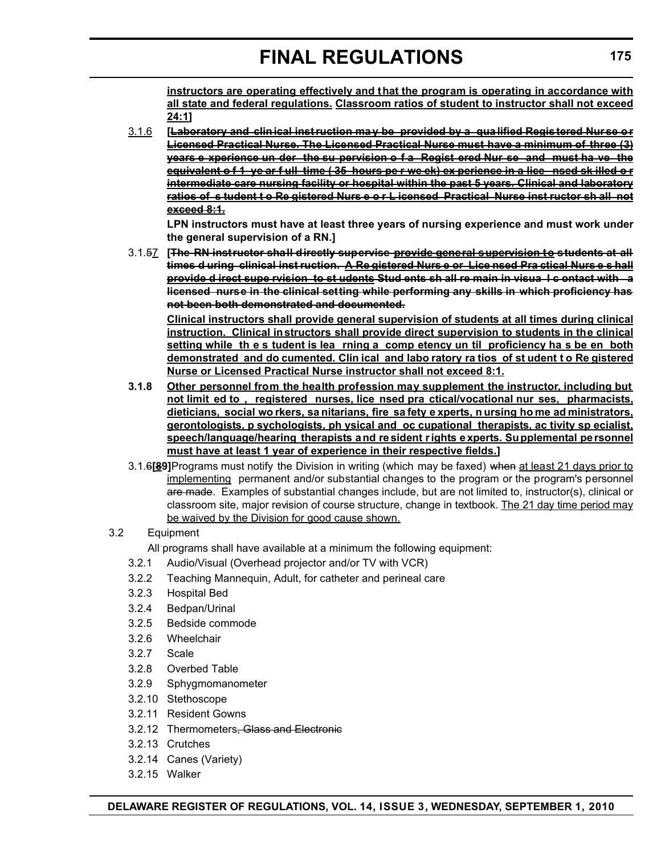**instructors are operating effectively and that the program is operating in accordance with all state and federal regulations. Classroom ratios of student to instructor shall not exceed 24:1]**

3.1.6 **[Laboratory and clin ical inst ruction ma y be provided by a qua lified Regis tered Nur se o r Licensed Practical Nurse. The Licensed Practical Nurse must have a minimum of three (3) years e xperience un der the su pervision o f a Regist ered Nur se and must ha ve the equivalent o f 1 ye ar f ull time (35 hours pe r we ek) ex perience in a lice nsed sk illed o r intermediate care nursing facility or hospital within the past 5 years. Clinical and laboratory ratios of s tudent t o Re gistered Nurs e o r L icensed Practical Nurse inst ructor sh all not exceed 8:1.**

**LPN instructors must have at least three years of nursing experience and must work under the general supervision of a RN.]**

3.1.57 **[The RN instructor shall directly supervise provide general supervision to students at all times d uring clinical inst ruction. A Re gistered Nurs e or Lice nsed Pra ctical Nurs e s hall provide d irect supe rvision to st udents Stud ents sh all re main in visua l c ontact with a licensed nurse in the clinical setting while performing any skills in which proficiency has not been both demonstrated and documented.**

**Clinical instructors shall provide general supervision of students at all times during clinical instruction. Clinical instructors shall provide direct supervision to students in the clinical setting while th e s tudent is lea rning a comp etency un til proficiency ha s be en both demonstrated and do cumented. Clin ical and labo ratory ra tios of st udent t o Re gistered Nurse or Licensed Practical Nurse instructor shall not exceed 8:1.**

- **3.1.8 Other personnel from the health profession may supplement the instructor, including but not limit ed to , registered nurses, lice nsed pra ctical/vocational nur ses, pharmacists, dieticians, social wo rkers, sa nitarians, fire sa fety e xperts, n ursing ho me ad ministrators, gerontologists, p sychologists, ph ysical and oc cupational therapists, ac tivity sp ecialist, speech/language/hearing therapists a nd re sident rights e xperts. Supplemental pe rsonnel must have at least 1 year of experience in their respective fields.]**
- 3.1.6**[89]**Programs must notify the Division in writing (which may be faxed) when at least 21 days prior to implementing permanent and/or substantial changes to the program or the program's personnel are made. Examples of substantial changes include, but are not limited to, instructor(s), clinical or classroom site, major revision of course structure, change in textbook. The 21 day time period may be waived by the Division for good cause shown.

## 3.2 Equipment

All programs shall have available at a minimum the following equipment:

- 3.2.1 Audio/Visual (Overhead projector and/or TV with VCR)
- 3.2.2 Teaching Mannequin, Adult, for catheter and perineal care
- 3.2.3 Hospital Bed
- 3.2.4 Bedpan/Urinal
- 3.2.5 Bedside commode
- 3.2.6 Wheelchair
- 3.2.7 Scale
- 3.2.8 Overbed Table
- 3.2.9 Sphygmomanometer
- 3.2.10 Stethoscope
- 3.2.11 Resident Gowns
- 3.2.12 Thermometers, Glass and Electronic
- 3.2.13 Crutches
- 3.2.14 Canes (Variety)
- 3.2.15 Walker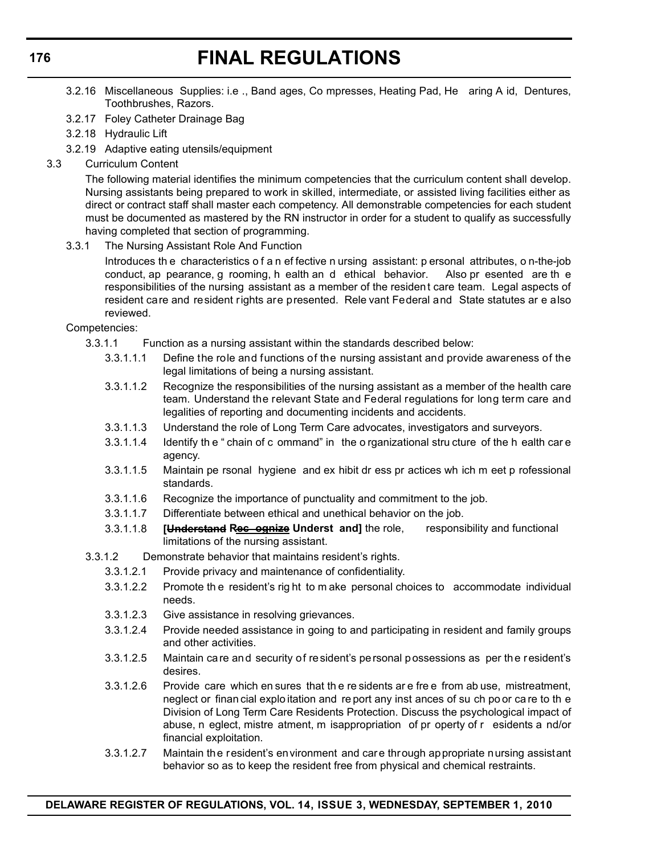- 3.2.16 Miscellaneous Supplies: i.e ., Band ages, Co mpresses, Heating Pad, He aring A id, Dentures, Toothbrushes, Razors.
- 3.2.17 Foley Catheter Drainage Bag
- 3.2.18 Hydraulic Lift
- 3.2.19 Adaptive eating utensils/equipment
- 3.3 Curriculum Content

The following material identifies the minimum competencies that the curriculum content shall develop. Nursing assistants being prepared to work in skilled, intermediate, or assisted living facilities either as direct or contract staff shall master each competency. All demonstrable competencies for each student must be documented as mastered by the RN instructor in order for a student to qualify as successfully having completed that section of programming.

3.3.1 The Nursing Assistant Role And Function

Introduces th e characteristics o f a n ef fective n ursing assistant: p ersonal attributes, o n-the-job conduct, ap pearance, g rooming, h ealth an d ethical behavior. Also pr esented are th e responsibilities of the nursing assistant as a member of the resident care team. Legal aspects of resident care and resident rights are presented. Rele vant Federal and State statutes ar e also reviewed.

Competencies:

- 3.3.1.1 Function as a nursing assistant within the standards described below:
	- 3.3.1.1.1 Define the role and functions of the nursing assistant and provide awareness of the legal limitations of being a nursing assistant.
	- 3.3.1.1.2 Recognize the responsibilities of the nursing assistant as a member of the health care team. Understand the relevant State and Federal regulations for long term care and legalities of reporting and documenting incidents and accidents.
	- 3.3.1.1.3 Understand the role of Long Term Care advocates, investigators and surveyors.
	- 3.3.1.1.4 Identify th e " chain of c ommand" in the o rganizational stru cture of the h ealth car e agency.
	- 3.3.1.1.5 Maintain pe rsonal hygiene and ex hibit dr ess pr actices wh ich m eet p rofessional standards.
	- 3.3.1.1.6 Recognize the importance of punctuality and commitment to the job.
	- 3.3.1.1.7 Differentiate between ethical and unethical behavior on the job.
	- 3.3.1.1.8 **[Understand Rec ognize Underst and]** the role, responsibility and functional limitations of the nursing assistant.
- 3.3.1.2 Demonstrate behavior that maintains resident's rights.
	- 3.3.1.2.1 Provide privacy and maintenance of confidentiality.
	- 3.3.1.2.2 Promote th e resident's rig ht to m ake personal choices to accommodate individual needs.
	- 3.3.1.2.3 Give assistance in resolving grievances.
	- 3.3.1.2.4 Provide needed assistance in going to and participating in resident and family groups and other activities.
	- 3.3.1.2.5 Maintain care and security of resident's personal possessions as per the resident's desires.
	- 3.3.1.2.6 Provide care which en sures that th e re sidents ar e fre e from ab use, mistreatment, neglect or finan cial explo itation and re port any inst ances of su ch po or ca re to th e Division of Long Term Care Residents Protection. Discuss the psychological impact of abuse, n eglect, mistre atment, m isappropriation of pr operty of r esidents a nd/or financial exploitation.
	- 3.3.1.2.7 Maintain the resident's environment and care through appropriate nursing assistant behavior so as to keep the resident free from physical and chemical restraints.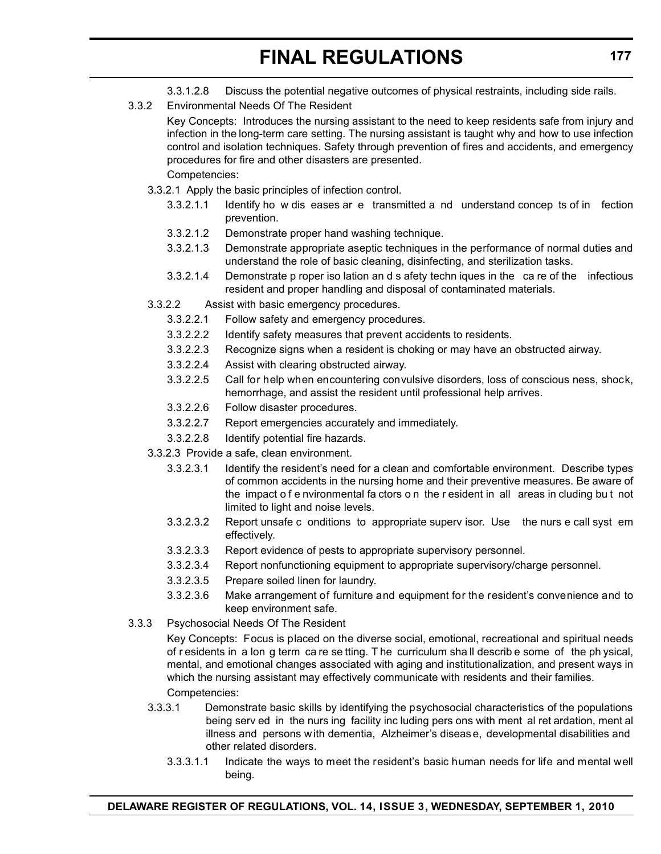- 3.3.1.2.8 Discuss the potential negative outcomes of physical restraints, including side rails.
- 3.3.2 Environmental Needs Of The Resident

Key Concepts: Introduces the nursing assistant to the need to keep residents safe from injury and infection in the long-term care setting. The nursing assistant is taught why and how to use infection control and isolation techniques. Safety through prevention of fires and accidents, and emergency procedures for fire and other disasters are presented. Competencies:

- 3.3.2.1 Apply the basic principles of infection control.
	- 3.3.2.1.1 Identify ho w dis eases ar e transmitted a nd understand concep ts of in fection prevention.
	- 3.3.2.1.2 Demonstrate proper hand washing technique.
	- 3.3.2.1.3 Demonstrate appropriate aseptic techniques in the performance of normal duties and understand the role of basic cleaning, disinfecting, and sterilization tasks.
	- 3.3.2.1.4 Demonstrate p roper iso lation an d s afety techn iques in the ca re of the infectious resident and proper handling and disposal of contaminated materials.
- 3.3.2.2 Assist with basic emergency procedures.
	- 3.3.2.2.1 Follow safety and emergency procedures.
	- 3.3.2.2.2 Identify safety measures that prevent accidents to residents.
	- 3.3.2.2.3 Recognize signs when a resident is choking or may have an obstructed airway.
	- 3.3.2.2.4 Assist with clearing obstructed airway.
	- 3.3.2.2.5 Call for help when encountering convulsive disorders, loss of conscious ness, shock, hemorrhage, and assist the resident until professional help arrives.
	- 3.3.2.2.6 Follow disaster procedures.
	- 3.3.2.2.7 Report emergencies accurately and immediately.
	- 3.3.2.2.8 Identify potential fire hazards.
- 3.3.2.3 Provide a safe, clean environment.
	- 3.3.2.3.1 Identify the resident's need for a clean and comfortable environment. Describe types of common accidents in the nursing home and their preventive measures. Be aware of the impact o f e nvironmental fa ctors o n the r esident in all areas in cluding bu t not limited to light and noise levels.
	- 3.3.2.3.2 Report unsafe c onditions to appropriate superv isor. Use the nurs e call syst em effectively.
	- 3.3.2.3.3 Report evidence of pests to appropriate supervisory personnel.
	- 3.3.2.3.4 Report nonfunctioning equipment to appropriate supervisory/charge personnel.
	- 3.3.2.3.5 Prepare soiled linen for laundry.
	- 3.3.2.3.6 Make arrangement of furniture and equipment for the resident's convenience and to keep environment safe.
- 3.3.3 Psychosocial Needs Of The Resident

Key Concepts: Focus is placed on the diverse social, emotional, recreational and spiritual needs of r esidents in a lon g term ca re se tting. T he curriculum sha ll describ e some of the ph ysical, mental, and emotional changes associated with aging and institutionalization, and present ways in which the nursing assistant may effectively communicate with residents and their families. Competencies:

- 3.3.3.1 Demonstrate basic skills by identifying the psychosocial characteristics of the populations being serv ed in the nurs ing facility inc luding pers ons with ment al ret ardation, ment al illness and persons w ith dementia, Alzheimer's diseas e, developmental disabilities and other related disorders.
	- 3.3.3.1.1 Indicate the ways to meet the resident's basic human needs for life and mental well being.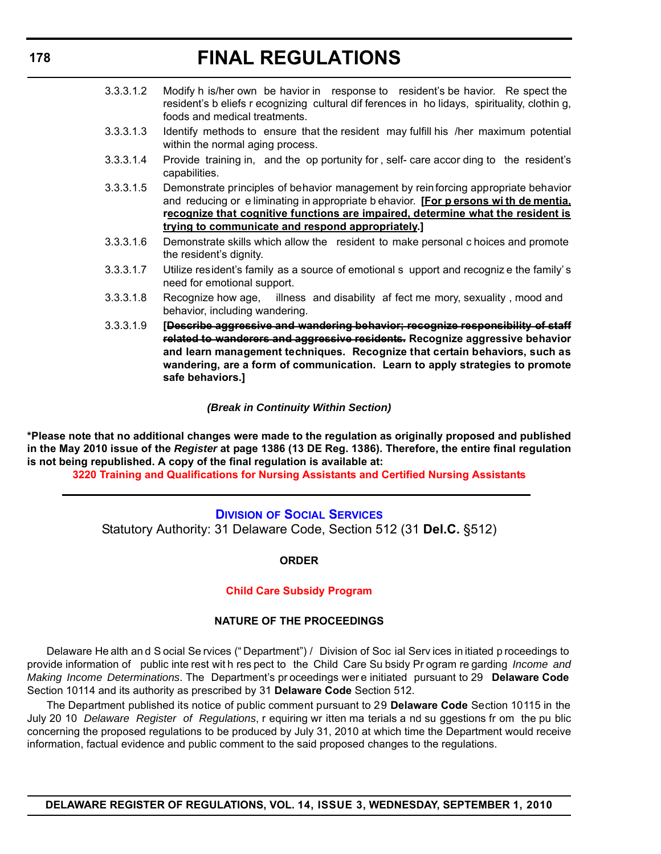- 3.3.3.1.2 Modify h is/her own be havior in response to resident's be havior. Re spect the resident's b eliefs r ecognizing cultural dif ferences in ho lidays, spirituality, clothin g, foods and medical treatments.
- 3.3.3.1.3 Identify methods to ensure that the resident may fulfill his /her maximum potential within the normal aging process.
- 3.3.3.1.4 Provide training in, and the op portunity for , self- care accor ding to the resident's capabilities.
- 3.3.3.1.5 Demonstrate principles of behavior management by reinforcing appropriate behavior and reducing or e liminating in appropriate b ehavior. **[For p ersons wi th de mentia, recognize that cognitive functions are impaired, determine what the resident is trying to communicate and respond appropriately.]**
- 3.3.3.1.6 Demonstrate skills which allow the resident to make personal c hoices and promote the resident's dignity.
- 3.3.3.1.7 Utilize resident's family as a source of emotional s upport and recogniz e the family' s need for emotional support.
- 3.3.3.1.8 Recognize how age, illness and disability af fect me mory, sexuality , mood and behavior, including wandering.
- 3.3.3.1.9 **[Describe aggressive and wandering behavior; recognize responsibility of staff related to wanderers and aggressive residents. Recognize aggressive behavior and learn management techniques. Recognize that certain behaviors, such as wandering, are a form of communication. Learn to apply strategies to promote safe behaviors.]**

## *(Break in Continuity Within Section)*

**\*Please note that no additional changes were made to the regulation as originally proposed and published in the May 2010 issue of the** *Register* **at page 1386 (13 DE Reg. 1386). Therefore, the entire final regulation is not being republished. A copy of the final regulation is available at:**

**[3220 Training and Qualifications for Nursing Assistants and Certified Nursing Assistants](http://regulations.delaware.gov/register/september2010/final/14 DE Reg 169 09-01-10.htm)**

## **DIVISION [OF SOCIAL SERVICES](http://www.dhss.delaware.gov/dhss/dss/index.html)**

Statutory Authority: 31 Delaware Code, Section 512 (31 **Del.C.** §512)

## **ORDER**

#### **[Child Care Subsidy Program](#page-3-0)**

#### **NATURE OF THE PROCEEDINGS**

Delaware He alth an d S ocial Se rvices (" Department") / Division of Soc ial Serv ices in itiated p roceedings to provide information of public inte rest wit h res pect to the Child Care Su bsidy Pr ogram re garding *Income and Making Income Determinations*. The Department's pr oceedings wer e initiated pursuant to 29 **Delaware Code** Section 10114 and its authority as prescribed by 31 **Delaware Code** Section 512.

The Department published its notice of public comment pursuant to 29 **Delaware Code** Section 10115 in the July 20 10 *Delaware Register of Regulations*, r equiring wr itten ma terials a nd su ggestions fr om the pu blic concerning the proposed regulations to be produced by July 31, 2010 at which time the Department would receive information, factual evidence and public comment to the said proposed changes to the regulations.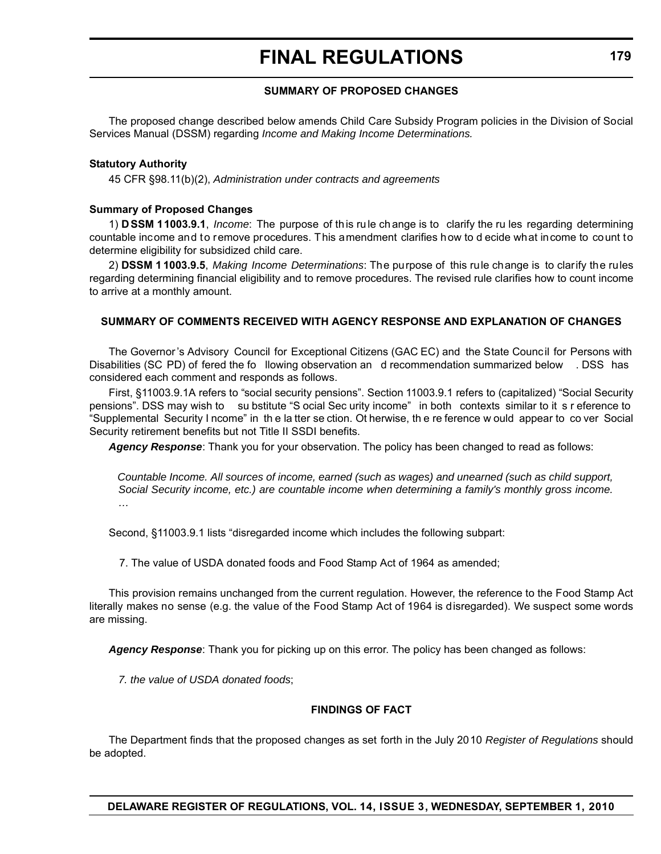## **SUMMARY OF PROPOSED CHANGES**

The proposed change described below amends Child Care Subsidy Program policies in the Division of Social Services Manual (DSSM) regarding *Income and Making Income Determinations.*

#### **Statutory Authority**

45 CFR §98.11(b)(2), *Administration under contracts and agreements*

#### **Summary of Proposed Changes**

1) **D SSM 11003.9.1**, *Income*: The purpose of th is ru le ch ange is to clarify the ru les regarding determining countable income and to remove procedures. This amendment clarifies how to d ecide what income to count to determine eligibility for subsidized child care.

2) **DSSM 1 1003.9.5**, *Making Income Determinations*: The purpose of this rule change is to clarify the rules regarding determining financial eligibility and to remove procedures. The revised rule clarifies how to count income to arrive at a monthly amount.

#### **SUMMARY OF COMMENTS RECEIVED WITH AGENCY RESPONSE AND EXPLANATION OF CHANGES**

The Governor 's Advisory Council for Exceptional Citizens (GAC EC) and the State Council for Persons with Disabilities (SC PD) of fered the fo llowing observation an d recommendation summarized below . DSS has considered each comment and responds as follows.

First, §11003.9.1A refers to "social security pensions". Section 11003.9.1 refers to (capitalized) "Social Security pensions". DSS may wish to su bstitute "S ocial Sec urity income" in both contexts similar to it s r eference to "Supplemental Security I ncome" in th e la tter se ction. Ot herwise, th e re ference w ould appear to co ver Social Security retirement benefits but not Title II SSDI benefits.

*Agency Response*: Thank you for your observation. The policy has been changed to read as follows:

*Countable Income. All sources of income, earned (such as wages) and unearned (such as child support, Social Security income, etc.) are countable income when determining a family's monthly gross income. …*

Second, §11003.9.1 lists "disregarded income which includes the following subpart:

7. The value of USDA donated foods and Food Stamp Act of 1964 as amended;

This provision remains unchanged from the current regulation. However, the reference to the Food Stamp Act literally makes no sense (e.g. the value of the Food Stamp Act of 1964 is disregarded). We suspect some words are missing.

*Agency Response*: Thank you for picking up on this error. The policy has been changed as follows:

*7. the value of USDA donated foods*;

#### **FINDINGS OF FACT**

The Department finds that the proposed changes as set forth in the July 2010 *Register of Regulations* should be adopted.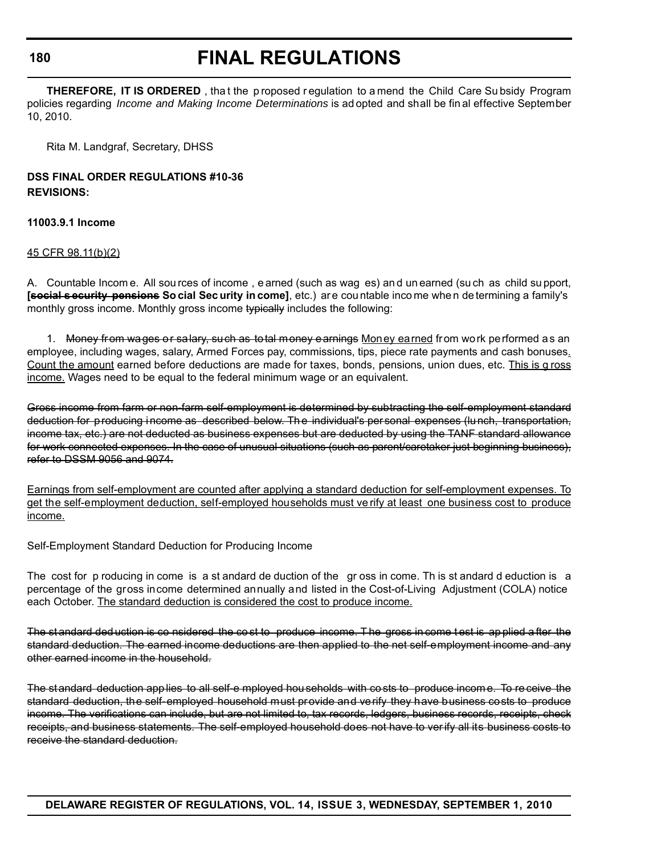**180**

## **FINAL REGULATIONS**

**THEREFORE, IT IS ORDERED**, that the p roposed r equilation to a mend the Child Care Su bsidy Program policies regarding *Income and Making Income Determinations* is ad opted and shall be fin al effective September 10, 2010.

Rita M. Landgraf, Secretary, DHSS

## **DSS FINAL ORDER REGULATIONS #10-36 REVISIONS:**

**11003.9.1 Income**

45 CFR 98.11(b)(2)

A. Countable Incom e. All sou rces of income , e arned (such as wag es) an d un earned (su ch as child su pport, **[social s ecurity pensions So cial Sec urity in come]**, etc.) are countable income when de termining a family's monthly gross income. Monthly gross income typically includes the following:

1. Money from wages or salary, such as total money earnings Money earned from work performed as an employee, including wages, salary, Armed Forces pay, commissions, tips, piece rate payments and cash bonuses. Count the amount earned before deductions are made for taxes, bonds, pensions, union dues, etc. This is g ross income. Wages need to be equal to the federal minimum wage or an equivalent.

Gross income from farm or non-farm self-employment is determined by subtracting the self-employment standard deduction for producing income as described below. The individual's personal expenses (lunch, transportation, income tax, etc.) are not deducted as business expenses but are deducted by using the TANF standard allowance for work connected expenses. In the case of unusual situations (such as parent/caretaker just beginning business), refer to DSSM 9056 and 9074.

Earnings from self-employment are counted after applying a standard deduction for self-employment expenses. To get the self-employment deduction, self-employed households must ve rify at least one business cost to produce income.

Self-Employment Standard Deduction for Producing Income

The cost for p roducing in come is a st andard de duction of the gr oss in come. Th is st andard d eduction is a percentage of the gross income determined annually and listed in the Cost-of-Living Adjustment (COLA) notice each October. The standard deduction is considered the cost to produce income.

The st andard ded uction is co nsidered the co st to produce income. T he gross in come t est is ap plied a fter the standard deduction. The earned income deductions are then applied to the net self-employment income and any other earned income in the household.

The standard deduction app lies to all self-e mployed hou seholds with co sts to produce income. To receive the standard deduction, the self-employed household must provide and verify they have business costs to produce income. The verifications can include, but are not limited to, tax records, ledgers, business records, receipts, check receipts, and business statements. The self-employed household does not have to verify all its business costs to receive the standard deduction.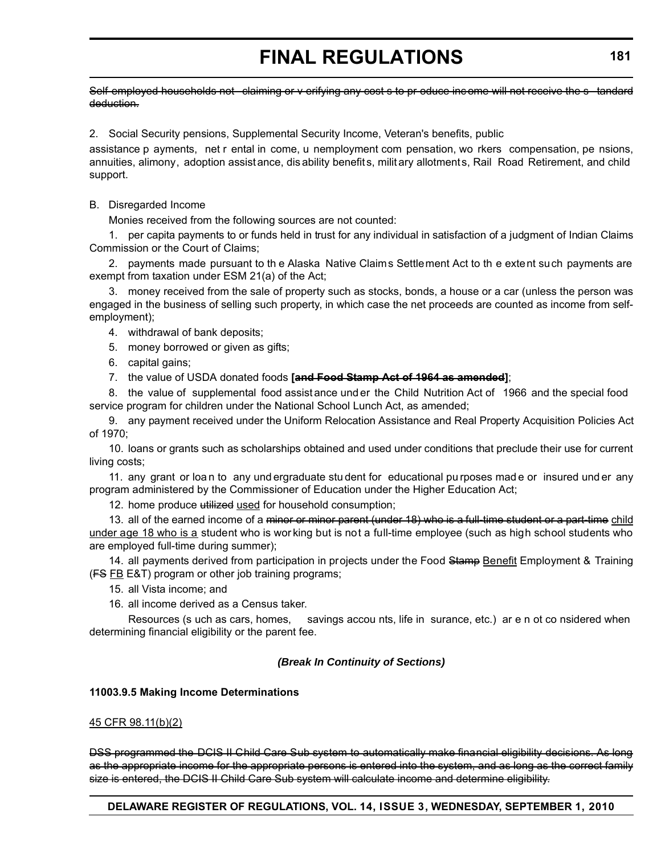Self-employed households not claiming or y erifying any cost s to pr oduce inc ome will not receive the s tandard deduction.

2. Social Security pensions, Supplemental Security Income, Veteran's benefits, public

assistance p ayments, net r ental in come, u nemployment com pensation, wo rkers compensation, pe nsions, annuities, alimony, adoption assistance, dis ability benefits, milit ary allotments, Rail Road Retirement, and child support.

## B. Disregarded Income

Monies received from the following sources are not counted:

1. per capita payments to or funds held in trust for any individual in satisfaction of a judgment of Indian Claims Commission or the Court of Claims;

2. payments made pursuant to th e Alaska Native Claims Settlement Act to th e extent such payments are exempt from taxation under ESM 21(a) of the Act;

3. money received from the sale of property such as stocks, bonds, a house or a car (unless the person was engaged in the business of selling such property, in which case the net proceeds are counted as income from selfemployment);

4. withdrawal of bank deposits;

- 5. money borrowed or given as gifts;
- 6. capital gains;
- 7. the value of USDA donated foods **[and Food Stamp Act of 1964 as amended]**;

8. the value of supplemental food assist ance und er the Child Nutrition Act of 1966 and the special food service program for children under the National School Lunch Act, as amended;

9. any payment received under the Uniform Relocation Assistance and Real Property Acquisition Policies Act of 1970;

10. loans or grants such as scholarships obtained and used under conditions that preclude their use for current living costs;

11. any grant or loa n to any und ergraduate stu dent for educational pu rposes mad e or insured und er any program administered by the Commissioner of Education under the Higher Education Act;

12. home produce utilized used for household consumption;

13. all of the earned income of a <del>minor or minor parent (under 18) who is a full-time student or a part-time child</del> under age 18 who is a student who is wor king but is not a full-time employee (such as high school students who are employed full-time during summer);

14. all payments derived from participation in projects under the Food Stamp Benefit Employment & Training  $(FS FB E&T)$  program or other job training programs;

- 15. all Vista income; and
- 16. all income derived as a Census taker.

Resources (s uch as cars, homes, savings accou nts, life in surance, etc.) ar e n ot co nsidered when determining financial eligibility or the parent fee.

## *(Break In Continuity of Sections)*

## **11003.9.5 Making Income Determinations**

## 45 CFR 98.11(b)(2)

DSS programmed the DCIS II Child Care Sub system to automatically make financial eligibility decisions. As long as the appropriate income for the appropriate persons is entered into the system, and as long as the correct family size is entered, the DCIS II Child Care Sub system will calculate income and determine eligibility.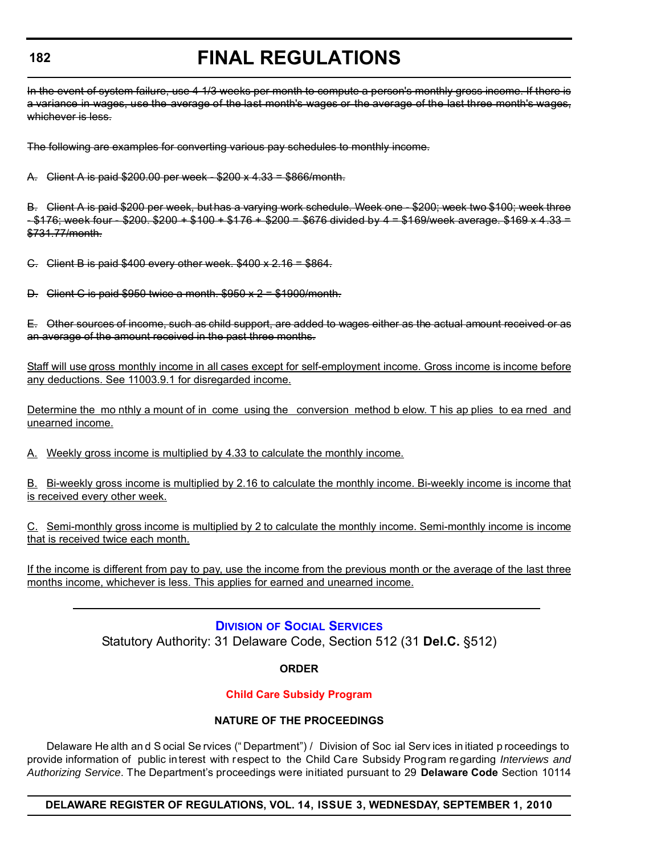### **182**

## **FINAL REGULATIONS**

In the event of system failure, use 4 1/3 weeks per month to compute a person's monthly gross income. If there is a variance in wages, use the average of the last month's wages or the average of the last three month's wages, whichever is less.

The following are examples for converting various pay schedules to monthly income.

A. Client A is paid \$200.00 per week - \$200 x 4.33 = \$866/month.

B. Client A is paid \$200 per week, but has a varying work schedule. Week one - \$200; week two \$100; week three  $-$  \$176; week four  $-$  \$200. \$200 + \$100 + \$176 + \$200 = \$676 divided by 4 = \$169/week average. \$169 x 4.33 = \$731.77/month.

C. Client B is paid \$400 every other week. \$400 x 2.16 = \$864.

D. Client C is paid  $$950$  twice a month.  $$950 \times 2 = $1900/m$  onth.

E. Other sources of income, such as child support, are added to wages either as the actual amount received or as an average of the amount received in the past three months.

Staff will use gross monthly income in all cases except for self-employment income. Gross income is income before any deductions. See 11003.9.1 for disregarded income.

Determine the mo nthly a mount of in come using the conversion method b elow. T his ap plies to ea rned and unearned income.

A. Weekly gross income is multiplied by 4.33 to calculate the monthly income.

B. Bi-weekly gross income is multiplied by 2.16 to calculate the monthly income. Bi-weekly income is income that is received every other week.

C. Semi-monthly gross income is multiplied by 2 to calculate the monthly income. Semi-monthly income is income that is received twice each month.

If the income is different from pay to pay, use the income from the previous month or the average of the last three months income, whichever is less. This applies for earned and unearned income.

## **DIVISION [OF SOCIAL SERVICES](http://www.dhss.delaware.gov/dhss/dss/index.html)**

Statutory Authority: 31 Delaware Code, Section 512 (31 **Del.C.** §512)

## **ORDER**

## **[Child Care Subsidy Program](#page-3-0)**

## **NATURE OF THE PROCEEDINGS**

Delaware He alth an d S ocial Se rvices (" Department") / Division of Soc ial Serv ices in itiated p roceedings to provide information of public interest with respect to the Child Care Subsidy Program regarding *Interviews and Authorizing Service*. The Department's proceedings were initiated pursuant to 29 **Delaware Code** Section 10114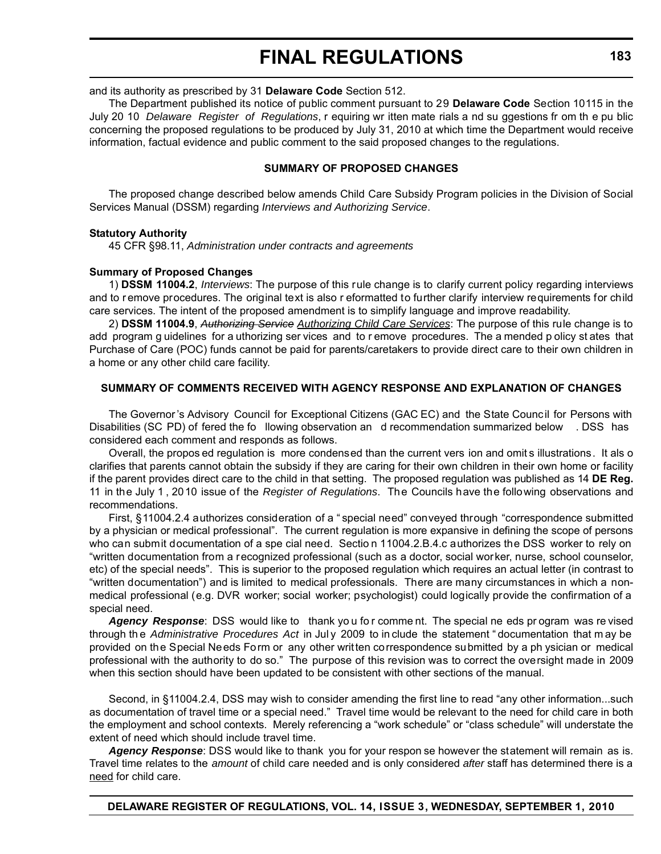and its authority as prescribed by 31 **Delaware Code** Section 512.

The Department published its notice of public comment pursuant to 29 **Delaware Code** Section 10115 in the July 20 10 *Delaware Register of Regulations*, r equiring wr itten mate rials a nd su ggestions fr om th e pu blic concerning the proposed regulations to be produced by July 31, 2010 at which time the Department would receive information, factual evidence and public comment to the said proposed changes to the regulations.

#### **SUMMARY OF PROPOSED CHANGES**

The proposed change described below amends Child Care Subsidy Program policies in the Division of Social Services Manual (DSSM) regarding *Interviews and Authorizing Service*.

#### **Statutory Authority**

45 CFR §98.11, *Administration under contracts and agreements*

#### **Summary of Proposed Changes**

1) **DSSM 11004.2**, *Interviews*: The purpose of this rule change is to clarify current policy regarding interviews and to remove procedures. The original text is also r eformatted to further clarify interview requirements for child care services. The intent of the proposed amendment is to simplify language and improve readability.

2) **DSSM 11004.9**, *Authorizing Service Authorizing Child Care Services*: The purpose of this rule change is to add program g uidelines for a uthorizing ser vices and to r emove procedures. The a mended p olicy st ates that Purchase of Care (POC) funds cannot be paid for parents/caretakers to provide direct care to their own children in a home or any other child care facility.

## **SUMMARY OF COMMENTS RECEIVED WITH AGENCY RESPONSE AND EXPLANATION OF CHANGES**

The Governor 's Advisory Council for Exceptional Citizens (GAC EC) and the State Council for Persons with Disabilities (SC PD) of fered the fo llowing observation an d recommendation summarized below . DSS has considered each comment and responds as follows.

Overall, the propos ed regulation is more condensed than the current vers ion and omit s illustrations. It als o clarifies that parents cannot obtain the subsidy if they are caring for their own children in their own home or facility if the parent provides direct care to the child in that setting. The proposed regulation was published as 14 **DE Reg.** 11 in the July 1 , 2010 issue of the *Register of Regulations*. The Councils have the following observations and recommendations.

First, §11004.2.4 authorizes consideration of a " special need" conveyed through "correspondence submitted by a physician or medical professional". The current regulation is more expansive in defining the scope of persons who can submit documentation of a spe cial need. Sectio n 11004.2.B.4.c authorizes the DSS worker to rely on "written documentation from a recognized professional (such as a doctor, social worker, nurse, school counselor, etc) of the special needs". This is superior to the proposed regulation which requires an actual letter (in contrast to "written documentation") and is limited to medical professionals. There are many circumstances in which a nonmedical professional (e.g. DVR worker; social worker; psychologist) could logically provide the confirmation of a special need.

Agency Response: DSS would like to thank you for comme nt. The special ne eds program was re vised through th e *Administrative Procedures Act* in Jul y 2009 to in clude the statement " documentation that m ay be provided on the Special Needs Form or any other written correspondence submitted by a ph ysician or medical professional with the authority to do so." The purpose of this revision was to correct the oversight made in 2009 when this section should have been updated to be consistent with other sections of the manual.

Second, in §11004.2.4, DSS may wish to consider amending the first line to read "any other information...such as documentation of travel time or a special need." Travel time would be relevant to the need for child care in both the employment and school contexts. Merely referencing a "work schedule" or "class schedule" will understate the extent of need which should include travel time.

*Agency Response*: DSS would like to thank you for your respon se however the statement will remain as is. Travel time relates to the *amount* of child care needed and is only considered *after* staff has determined there is a need for child care.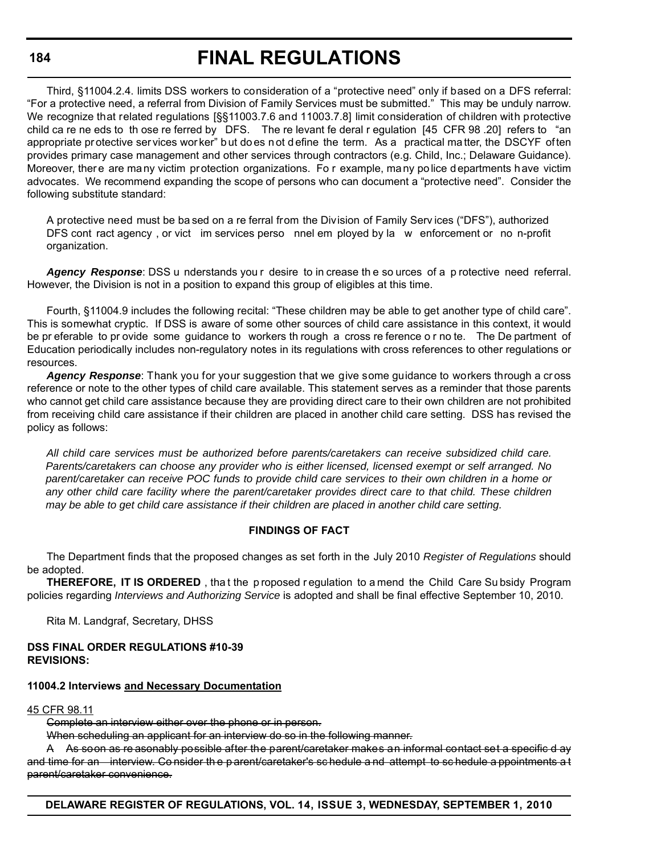#### **184**

## **FINAL REGULATIONS**

Third, §11004.2.4. limits DSS workers to consideration of a "protective need" only if based on a DFS referral: "For a protective need, a referral from Division of Family Services must be submitted." This may be unduly narrow. We recognize that related regulations [§§11003.7.6 and 11003.7.8] limit consideration of children with protective child ca re ne eds to th ose re ferred by DFS. The re levant fe deral r egulation [45 CFR 98 .20] refers to "an appropriate pr otective ser vices wor ker" b ut do es n ot d efine the term. As a practical ma tter, the DSCYF often provides primary case management and other services through contractors (e.g. Child, Inc.; Delaware Guidance). Moreover, there are many victim protection organizations. Fo r example, many police departments have victim advocates. We recommend expanding the scope of persons who can document a "protective need". Consider the following substitute standard:

A protective need must be ba sed on a re ferral from the Division of Family Serv ices ("DFS"), authorized DFS cont ract agency, or vict im services perso nnel em ployed by la w enforcement or no n-profit organization.

Agency Response: DSS u nderstands you r desire to in crease the so urces of a p rotective need referral. However, the Division is not in a position to expand this group of eligibles at this time.

Fourth, §11004.9 includes the following recital: "These children may be able to get another type of child care". This is somewhat cryptic. If DSS is aware of some other sources of child care assistance in this context, it would be pr eferable to pr ovide some guidance to workers th rough a cross re ference o r no te. The De partment of Education periodically includes non-regulatory notes in its regulations with cross references to other regulations or resources.

*Agency Response*: Thank you for your suggestion that we give some guidance to workers through a cr oss reference or note to the other types of child care available. This statement serves as a reminder that those parents who cannot get child care assistance because they are providing direct care to their own children are not prohibited from receiving child care assistance if their children are placed in another child care setting. DSS has revised the policy as follows:

*All child care services must be authorized before parents/caretakers can receive subsidized child care. Parents/caretakers can choose any provider who is either licensed, licensed exempt or self arranged. No parent/caretaker can receive POC funds to provide child care services to their own children in a home or any other child care facility where the parent/caretaker provides direct care to that child. These children may be able to get child care assistance if their children are placed in another child care setting.* 

## **FINDINGS OF FACT**

The Department finds that the proposed changes as set forth in the July 2010 *Register of Regulations* should be adopted.

**THEREFORE, IT IS ORDERED**, that the p roposed r equilation to a mend the Child Care Su bsidy Program policies regarding *Interviews and Authorizing Service* is adopted and shall be final effective September 10, 2010.

Rita M. Landgraf, Secretary, DHSS

#### **DSS FINAL ORDER REGULATIONS #10-39 REVISIONS:**

## **11004.2 Interviews and Necessary Documentation**

45 CFR 98.11

Complete an interview either over the phone or in person.

When scheduling an applicant for an interview do so in the following manner.

A As soon as re asonably possible after the parent/caretaker makes an informal contact set a specific d ay and time for an interview. Co nsider th e p arent/caretaker's sc hedule a nd attempt to sc hedule a ppointments a t parent/caretaker convenience.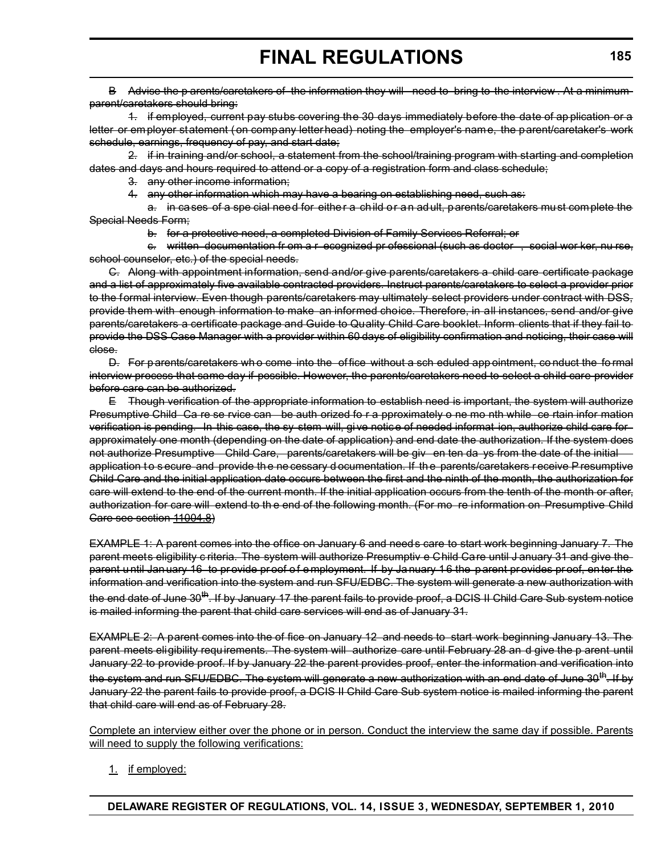B Advise the p arents/caretakers of the information they will need to bring to the interview . At a minimum parent/caretakers should bring:

1. if employed, current pay stubs covering the 30 days immediately before the date of ap plication or a letter or employer statement (on company letterhead) noting the employer's name, the parent/caretaker's work schedule, earnings, frequency of pay, and start date;

2. if in training and/or school, a statement from the school/training program with starting and completion dates and days and hours required to attend or a copy of a registration form and class schedule;

3. any other income information;

4. any other information which may have a bearing on establishing need, such as:

a. in cases of a spe cial need for either a child or an adult, parents/caretakers must complete the Special Needs Form;

b. for a protective need, a completed Division of Family Services Referral; or

c. written documentation fr om a r ecognized pr ofessional (such as doctor , social wor ker, nu rse, school counselor, etc.) of the special needs.

C. Along with appointment information, send and/or give parents/caretakers a child care certificate package and a list of approximately five available contracted providers. Instruct parents/caretakers to select a provider prior to the formal interview. Even though parents/caretakers may ultimately select providers under contract with DSS, provide them with enough information to make an informed choice. Therefore, in all instances, send and/or give parents/caretakers a certificate package and Guide to Quality Child Care booklet. Inform clients that if they fail to provide the DSS Case Manager with a provider within 60 days of eligibility confirmation and noticing, their case will close.

D. For p arents/caretakers wh o come into the of fice without a sch eduled app ointment, co nduct the fo rmal interview process that same day if possible. However, the parents/caretakers need to select a child care provider before care can be authorized.

E Though verification of the appropriate information to establish need is important, the system will authorize Presumptive Child Ca re se rvice can be auth orized fo r a pproximately o ne mo nth while ce rtain infor mation verification is pending. In this case, the sy stem will, gi ve notice of needed informat ion, authorize child care for approximately one month (depending on the date of application) and end date the authorization. If the system does not authorize Presumptive Child Care, parents/caretakers will be giv en ten da ys from the date of the initial application to secure and provide the ne cessary d ocumentation. If the parents/caretakers receive P resumptive Child Care and the initial application date occurs between the first and the ninth of the month, the authorization for care will extend to the end of the current month. If the initial application occurs from the tenth of the month or after, authorization for care will extend to th e end of the following month. (For mo re information on Presumptive Child Care see section 11004.8)

EXAMPLE 1: A parent comes into the office on January 6 and need s care to start work beginning January 7. The parent meets eligibility c riteria. The system will authorize Presumptiv e Child Care until J anuary 31 and give the parent until Jan uary 16 to provide proof of employment. If by January 16 the parent provides proof, enter the information and verification into the system and run SFU/EDBC. The system will generate a new authorization with the end date of June 30<sup>th</sup>. If by January 17 the parent fails to provide proof, a DCIS II Child Care Sub system notice is mailed informing the parent that child care services will end as of January 31.

EXAMPLE 2: A parent comes into the of fice on January 12 and needs to start work beginning January 13. The parent meets eligibility requirements. The system will authorize care until February 28 an d give the p arent until January 22 to provide proof. If by January 22 the parent provides proof, enter the information and verification into the system and run SFU/EDBC. The system will generate a new authorization with an end date of June 30<sup>th</sup>. If by January 22 the parent fails to provide proof, a DCIS II Child Care Sub system notice is mailed informing the parent that child care will end as of February 28.

Complete an interview either over the phone or in person. Conduct the interview the same day if possible. Parents will need to supply the following verifications:

1. if employed: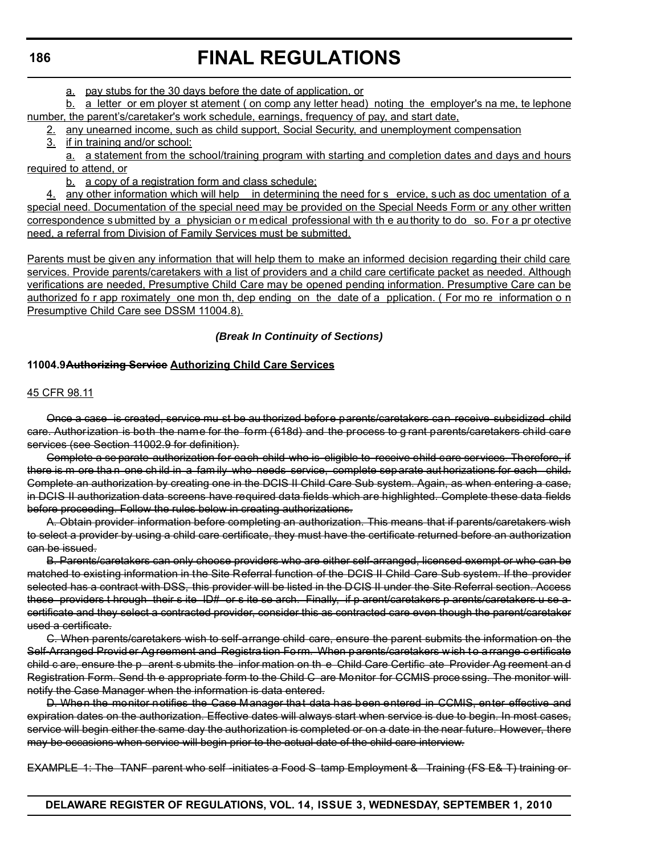#### **186**

## **FINAL REGULATIONS**

a. pay stubs for the 30 days before the date of application, or

b. a letter or em ployer st atement ( on comp any letter head) noting the employer's na me, te lephone number, the parent's/caretaker's work schedule, earnings, frequency of pay, and start date,

2. any unearned income, such as child support, Social Security, and unemployment compensation

3. if in training and/or school:

a. a statement from the school/training program with starting and completion dates and days and hours required to attend, or

b. a copy of a registration form and class schedule;

4. any other information which will help in determining the need for s ervice, s uch as doc umentation of a special need. Documentation of the special need may be provided on the Special Needs Form or any other written correspondence submitted by a physician or medical professional with the authority to do so. For a pr otective need, a referral from Division of Family Services must be submitted.

Parents must be given any information that will help them to make an informed decision regarding their child care services. Provide parents/caretakers with a list of providers and a child care certificate packet as needed. Although verifications are needed, Presumptive Child Care may be opened pending information. Presumptive Care can be authorized fo r app roximately one mon th, dep ending on the date of a pplication. ( For mo re information o n Presumptive Child Care see DSSM 11004.8).

## *(Break In Continuity of Sections)*

#### **11004.9Authorizing Service Authorizing Child Care Services**

#### 45 CFR 98.11

Once a case is created, service mu st be au thorized before parents/caretakers can receive subsidized child care. Authorization is both the name for the form (618d) and the process to g rant parents/caretakers child care services (see Section 11002.9 for definition).

Complete a se parate authorization for each child who is eligible to receive child care services. Therefore, if there is m ore tha n one child in a family who needs service, complete sep arate aut horizations for each child. Complete an authorization by creating one in the DCIS II Child Care Sub system. Again, as when entering a case, in DCIS II authorization data screens have required data fields which are highlighted. Complete these data fields before proceeding. Follow the rules below in creating authorizations.

A. Obtain provider information before completing an authorization. This means that if parents/caretakers wish to select a provider by using a child care certificate, they must have the certificate returned before an authorization can be issued.

B. Parents/caretakers can only choose providers who are either self-arranged, licensed exempt or who can be matched to existing information in the Site Referral function of the DCIS II Child Care Sub system. If the provider selected has a contract with DSS, this provider will be listed in the DCIS II under the Site Referral section. Access these providers t hrough their s ite ID# or s ite se arch. Finally, if p arent/caretakers p arents/caretakers u se a certificate and they select a contracted provider, consider this as contracted care even though the parent/caretaker used a certificate.

C. When parents/caretakers wish to self-arrange child care, ensure the parent submits the information on the Self-Arranged Provid er Ag reement and Registra tion Form. When parents/caretakers w ish to a rrange certificate child c are, ensure the p arent s ubmits the infor mation on th e Child Care Certific ate Provider Ag reement an d Registration Form. Send th e appropriate form to the Child C are Monitor for CCMIS proce ssing. The monitor will notify the Case Manager when the information is data entered.

D. When the monitor notifies the Case Manager that data has been entered in CCMIS, enter effective and expiration dates on the authorization. Effective dates will always start when service is due to begin. In most cases, service will begin either the same day the authorization is completed or on a date in the near future. However, there may be occasions when service will begin prior to the actual date of the child care interview.

EXAMPLE 1: The TANF parent who self -initiates a Food S tamp Employment & Training (FS E& T) training or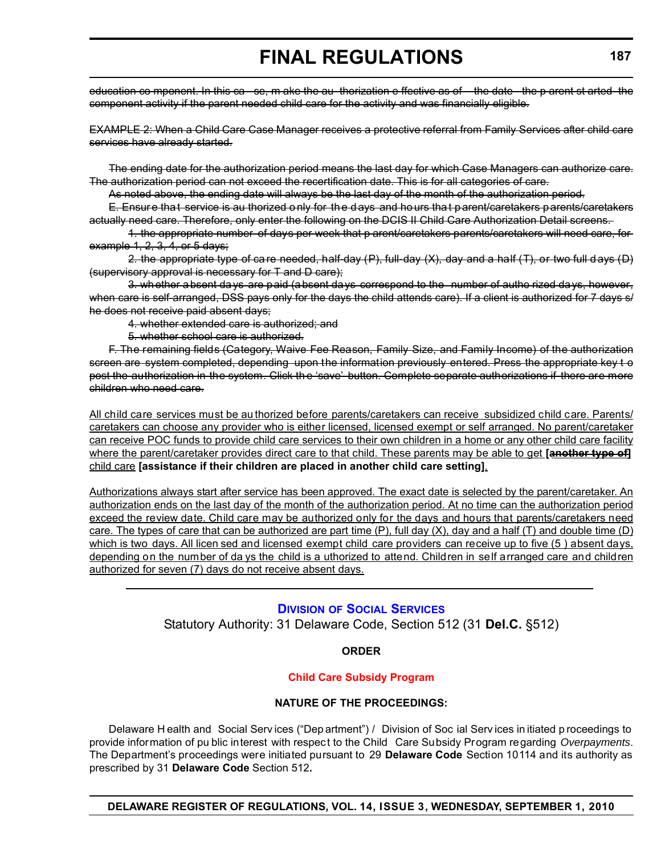education co mponent. In this ca se, m ake the au thorization e ffective as of the date the p arent st arted the component activity if the parent needed child care for the activity and was financially eligible.

EXAMPLE 2: When a Child Care Case Manager receives a protective referral from Family Services after child care services have already started.

The ending date for the authorization period means the last day for which Case Managers can authorize care. The authorization period can not exceed the recertification date. This is for all categories of care.

As noted above, the ending date will always be the last day of the month of the authorization period.

E. Ensur e tha t service is au thorized o nly for th e d ays and ho urs tha t p arent/caretakers parents/caretakers actually need care. Therefore, only enter the following on the DCIS II Child Care Authorization Detail screens.

1. the appropriate number of days per week that p arent/caretakers parents/caretakers will need care, for example 1, 2, 3, 4, or 5 days;

2. the appropriate type of care needed, half-day  $(P)$ , full-day  $(X)$ , day and a half  $(T)$ , or two full d ays  $(D)$ (supervisory approval is necessary for T and D care);

3. whether absent days are paid (absent days correspond to the number of autho rized days, however, when care is self-arranged, DSS pays only for the days the child attends care). If a client is authorized for 7 days s/ he does not receive paid absent days;

4. whether extended care is authorized; and

5. whether school care is authorized.

F. The remaining fields (Category, Waive Fee Reason, Family Size, and Family Income) of the authorization screen are system completed, depending upon the information previously entered. Press the appropriate key to post the authorization in the system. Click th e 'save' button. Complete separate authorizations if there are more children who need care.

All child care services must be au thorized before parents/caretakers can receive subsidized child care. Parents/ caretakers can choose any provider who is either licensed, licensed exempt or self arranged. No parent/caretaker can receive POC funds to provide child care services to their own children in a home or any other child care facility where the parent/caretaker provides direct care to that child. These parents may be able to get **[another type of]** child care **[assistance if their children are placed in another child care setting]**.

Authorizations always start after service has been approved. The exact date is selected by the parent/caretaker. An authorization ends on the last day of the month of the authorization period. At no time can the authorization period exceed the review date. Child care may be authorized only for the days and hours that parents/caretakers need care. The types of care that can be authorized are part time  $(P)$ , full day  $(X)$ , day and a half  $(T)$  and double time  $(D)$ which is two days. All licen sed and licensed exempt child care providers can receive up to five (5) absent days, depending on the number of da ys the child is a uthorized to attend. Children in self arranged care and children authorized for seven (7) days do not receive absent days.

## **DIVISION [OF SOCIAL SERVICES](http://www.dhss.delaware.gov/dhss/dss/index.html)** Statutory Authority: 31 Delaware Code, Section 512 (31 **Del.C.** §512)

## **ORDER**

## **[Child Care Subsidy Program](#page-3-0)**

#### **NATURE OF THE PROCEEDINGS:**

Delaware H ealth and Social Serv ices ("Dep artment") / Division of Soc ial Serv ices in itiated p roceedings to provide information of pu blic interest with respect to the Child Care Subsidy Program regarding *Overpayments*. The Department's proceedings were initiated pursuant to 29 **Delaware Code** Section 10114 and its authority as prescribed by 31 **Delaware Code** Section 512**.**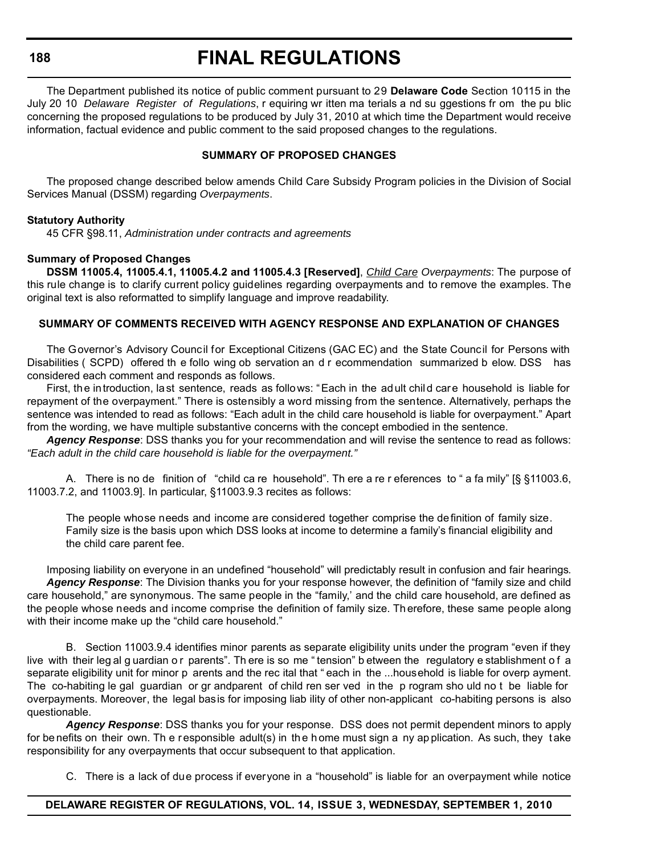**188**

## **FINAL REGULATIONS**

The Department published its notice of public comment pursuant to 29 **Delaware Code** Section 10115 in the July 20 10 *Delaware Register of Regulations*, r equiring wr itten ma terials a nd su ggestions fr om the pu blic concerning the proposed regulations to be produced by July 31, 2010 at which time the Department would receive information, factual evidence and public comment to the said proposed changes to the regulations.

## **SUMMARY OF PROPOSED CHANGES**

The proposed change described below amends Child Care Subsidy Program policies in the Division of Social Services Manual (DSSM) regarding *Overpayments*.

#### **Statutory Authority**

45 CFR §98.11, *Administration under contracts and agreements*

#### **Summary of Proposed Changes**

**DSSM 11005.4, 11005.4.1, 11005.4.2 and 11005.4.3 [Reserved]**, *Child Care Overpayments*: The purpose of this rule change is to clarify current policy guidelines regarding overpayments and to remove the examples. The original text is also reformatted to simplify language and improve readability.

#### **SUMMARY OF COMMENTS RECEIVED WITH AGENCY RESPONSE AND EXPLANATION OF CHANGES**

The Governor's Advisory Council for Exceptional Citizens (GAC EC) and the State Council for Persons with Disabilities ( SCPD) offered th e follo wing ob servation an d r ecommendation summarized b elow. DSS has considered each comment and responds as follows.

First, the introduction, last sentence, reads as follows: "Each in the adult child care household is liable for repayment of the overpayment." There is ostensibly a word missing from the sentence. Alternatively, perhaps the sentence was intended to read as follows: "Each adult in the child care household is liable for overpayment." Apart from the wording, we have multiple substantive concerns with the concept embodied in the sentence.

*Agency Response*: DSS thanks you for your recommendation and will revise the sentence to read as follows: *"Each adult in the child care household is liable for the overpayment."*

A. There is no de finition of "child ca re household". Th ere a re r eferences to " a fa mily" [§ §11003.6, 11003.7.2, and 11003.9]. In particular, §11003.9.3 recites as follows:

The people whose needs and income are considered together comprise the definition of family size. Family size is the basis upon which DSS looks at income to determine a family's financial eligibility and the child care parent fee.

Imposing liability on everyone in an undefined "household" will predictably result in confusion and fair hearings. *Agency Response*: The Division thanks you for your response however, the definition of "family size and child care household," are synonymous. The same people in the "family,' and the child care household, are defined as the people whose needs and income comprise the definition of family size. Th erefore, these same people along with their income make up the "child care household."

B. Section 11003.9.4 identifies minor parents as separate eligibility units under the program "even if they live with their leg al g uardian o r parents". Th ere is so me " tension" b etween the regulatory e stablishment o f a separate eligibility unit for minor p arents and the rec ital that " each in the ...household is liable for overp ayment. The co-habiting le gal guardian or gr andparent of child ren ser ved in the p rogram sho uld no t be liable for overpayments. Moreover, the legal basis for imposing liab ility of other non-applicant co-habiting persons is also questionable.

*Agency Response*: DSS thanks you for your response. DSS does not permit dependent minors to apply for be nefits on their own. Th e responsible adult(s) in the h ome must sign a ny application. As such, they take responsibility for any overpayments that occur subsequent to that application.

C. There is a lack of due process if everyone in a "household" is liable for an overpayment while notice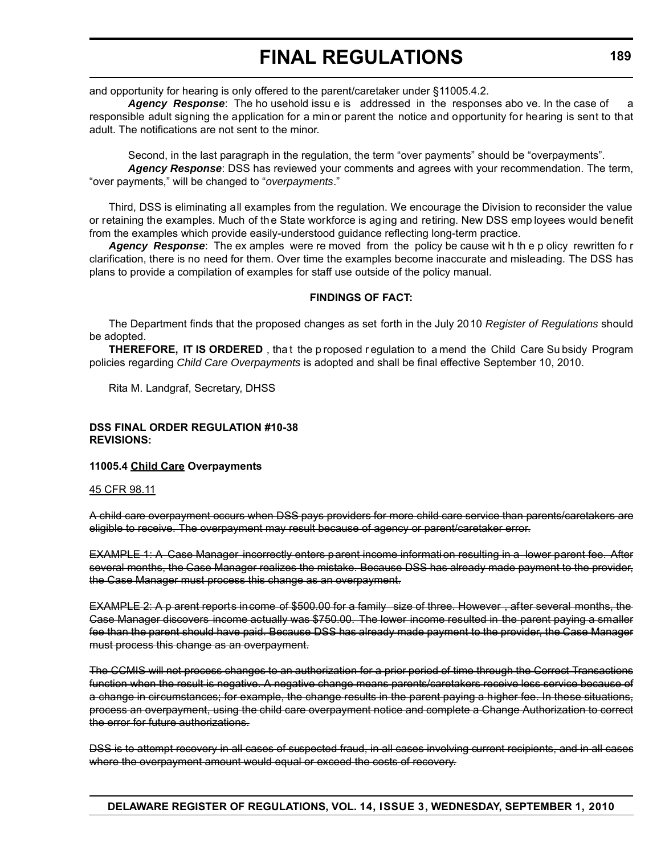and opportunity for hearing is only offered to the parent/caretaker under §11005.4.2.

**Agency Response**: The ho usehold issu e is addressed in the responses abo ve. In the case of a responsible adult signing the application for a min or parent the notice and opportunity for hearing is sent to that adult. The notifications are not sent to the minor.

Second, in the last paragraph in the regulation, the term "over payments" should be "overpayments".

*Agency Response*: DSS has reviewed your comments and agrees with your recommendation. The term, "over payments," will be changed to "*overpayments*."

Third, DSS is eliminating all examples from the regulation. We encourage the Division to reconsider the value or retaining the examples. Much of the State workforce is aging and retiring. New DSS emp loyees would benefit from the examples which provide easily-understood guidance reflecting long-term practice.

*Agency Response*: The ex amples were re moved from the policy be cause wit h th e p olicy rewritten fo r clarification, there is no need for them. Over time the examples become inaccurate and misleading. The DSS has plans to provide a compilation of examples for staff use outside of the policy manual.

#### **FINDINGS OF FACT:**

The Department finds that the proposed changes as set forth in the July 2010 *Register of Regulations* should be adopted.

**THEREFORE, IT IS ORDERED**, that the p roposed r equilation to a mend the Child Care Su bsidy Program policies regarding *Child Care Overpayments* is adopted and shall be final effective September 10, 2010.

Rita M. Landgraf, Secretary, DHSS

## **DSS FINAL ORDER REGULATION #10-38 REVISIONS:**

#### **11005.4 Child Care Overpayments**

#### 45 CFR 98.11

A child care overpayment occurs when DSS pays providers for more child care service than parents/caretakers are eligible to receive. The overpayment may result because of agency or parent/caretaker error.

EXAMPLE 1: A Case Manager incorrectly enters parent income informati on resulting in a lower parent fee. After several months, the Case Manager realizes the mistake. Because DSS has already made payment to the provider, the Case Manager must process this change as an overpayment.

EXAMPLE 2: A p arent reports income of \$500.00 for a family size of three. However , after several months, the Case Manager discovers income actually was \$750.00. The lower income resulted in the parent paying a smaller fee than the parent should have paid. Because DSS has already made payment to the provider, the Case Manager must process this change as an overpayment.

The CCMIS will not process changes to an authorization for a prior period of time through the Correct Transactions function when the result is negative. A negative change means parents/caretakers receive less service because of a change in circumstances; for example, the change results in the parent paying a higher fee. In these situations, process an overpayment, using the child care overpayment notice and complete a Change Authorization to correct the error for future authorizations.

DSS is to attempt recovery in all cases of suspected fraud, in all cases involving current recipients, and in all cases where the overpayment amount would equal or exceed the costs of recovery.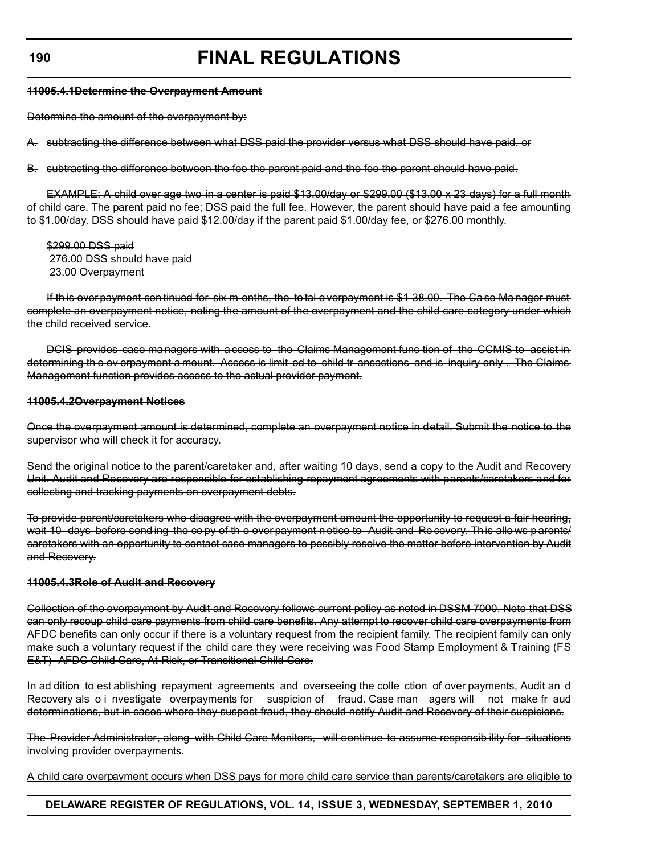#### **11005.4.1Determine the Overpayment Amount**

Determine the amount of the overpayment by:

A. subtracting the difference between what DSS paid the provider versus what DSS should have paid, or

B. subtracting the difference between the fee the parent paid and the fee the parent should have paid.

EXAMPLE: A child over age two in a center is paid \$13.00/day or \$299.00 (\$13.00 x 23 days) for a full month of child care. The parent paid no fee; DSS paid the full fee. However, the parent should have paid a fee amounting to \$1.00/day. DSS should have paid \$12.00/day if the parent paid \$1.00/day fee, or \$276.00 monthly.

\$299.00 DSS paid 276.00 DSS should have paid 23.00 Overpayment

If th is over payment con tinued for six m onths, the to tal o verpayment is \$1 38.00. The Ca se Ma nager must complete an overpayment notice, noting the amount of the overpayment and the child care category under which the child received service.

DCIS provides case ma nagers with a ccess to the Claims Management func tion of the CCMIS to assist in determining th e ov erpayment a mount. Access is limit ed to child tr ansactions and is inquiry only . The Claims Management function provides access to the actual provider payment.

#### **11005.4.2Overpayment Notices**

Once the overpayment amount is determined, complete an overpayment notice in detail. Submit the notice to the supervisor who will check it for accuracy.

Send the original notice to the parent/caretaker and, after waiting 10 days, send a copy to the Audit and Recovery Unit. Audit and Recovery are responsible for establishing repayment agreements with parents/caretakers and for collecting and tracking payments on overpayment debts.

To provide parent/caretakers who disagree with the overpayment amount the opportunity to request a fair hearing, wait 10 days before send ing the co py of th e over payment n otice to Audit and Re covery. This allows parents/ caretakers with an opportunity to contact case managers to possibly resolve the matter before intervention by Audit and Recovery.

#### **11005.4.3Role of Audit and Recovery**

Collection of the overpayment by Audit and Recovery follows current policy as noted in DSSM 7000. Note that DSS can only recoup child care payments from child care benefits. Any attempt to recover child care overpayments from AFDC benefits can only occur if there is a voluntary request from the recipient family. The recipient family can only make such a voluntary request if the child care they were receiving was Food Stamp Employment & Training (FS E&T) - AFDC Child Care, At-Risk, or Transitional Child Care.

In ad dition to est ablishing repayment agreements and overseeing the colle ction of over payments, Audit an d Recovery als o i nvestigate overpayments for suspicion of fraud. Case man agers will not make fr aud determinations, but in cases where they suspect fraud, they should notify Audit and Recovery of their suspicions.

The Provider Administrator, along with Child Care Monitors, will continue to assume responsib ility for situations involving provider overpayments.

A child care overpayment occurs when DSS pays for more child care service than parents/caretakers are eligible to

## **DELAWARE REGISTER OF REGULATIONS, VOL. 14, ISSUE 3, WEDNESDAY, SEPTEMBER 1, 2010**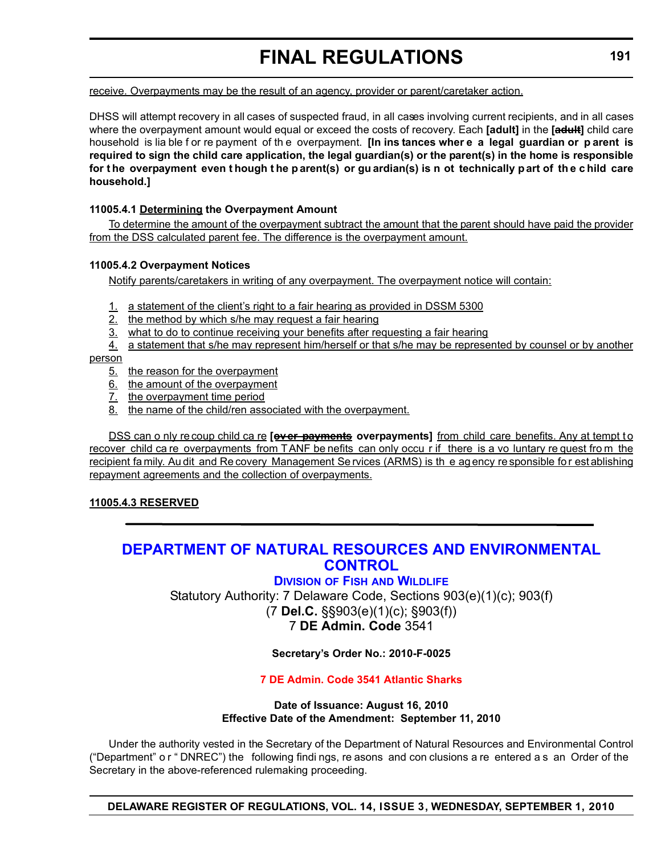receive. Overpayments may be the result of an agency, provider or parent/caretaker action.

DHSS will attempt recovery in all cases of suspected fraud, in all cases involving current recipients, and in all cases where the overpayment amount would equal or exceed the costs of recovery. Each **[adult]** in the **[adult]** child care household is lia ble f or re payment of th e overpayment. **[In ins tances wher e a legal guardian or p arent is required to sign the child care application, the legal guardian(s) or the parent(s) in the home is responsible for t he overpayment even t hough t he p arent(s) or gu ardian(s) is n ot technically p art of th e c hild care household.]**

## **11005.4.1 Determining the Overpayment Amount**

To determine the amount of the overpayment subtract the amount that the parent should have paid the provider from the DSS calculated parent fee. The difference is the overpayment amount.

## **11005.4.2 Overpayment Notices**

Notify parents/caretakers in writing of any overpayment. The overpayment notice will contain:

- 1. a statement of the client's right to a fair hearing as provided in DSSM 5300
- 2. the method by which s/he may request a fair hearing
- 3. what to do to continue receiving your benefits after requesting a fair hearing
- 4. a statement that s/he may represent him/herself or that s/he may be represented by counsel or by another

## person

- 5. the reason for the overpayment
- 6. the amount of the overpayment
- 7. the overpayment time period
- 8. the name of the child/ren associated with the overpayment.

DSS can o nly re coup child ca re **[exer payments** overpayments] from child care benefits. Any at tempt to recover child ca re overpayments from TANF be nefits can only occu r if there is a vo luntary re quest fro m the recipient fa mily. Au dit and Re covery Management Se rvices (ARMS) is the agency re sponsible for establishing repayment agreements and the collection of overpayments.

## **11005.4.3 RESERVED**

## **[DEPARTMENT OF NATURAL RESOURCES AND ENVIRONMENTAL](http://www.fw.delaware.gov/Pages/FWPortal.aspx)  CONTROL**

## **DIVISION OF FISH AND WILDLIFE**

Statutory Authority: 7 Delaware Code, Sections 903(e)(1)(c); 903(f) (7 **Del.C.** §§903(e)(1)(c); §903(f)) 7 **DE Admin. Code** 3541

## **Secretary's Order No.: 2010-F-0025**

## **[7 DE Admin. Code 3541 Atlantic Sharks](#page-3-0)**

#### **Date of Issuance: August 16, 2010 Effective Date of the Amendment: September 11, 2010**

Under the authority vested in the Secretary of the Department of Natural Resources and Environmental Control ("Department" o r " DNREC") the following findi ngs, re asons and con clusions a re entered a s an Order of the Secretary in the above-referenced rulemaking proceeding.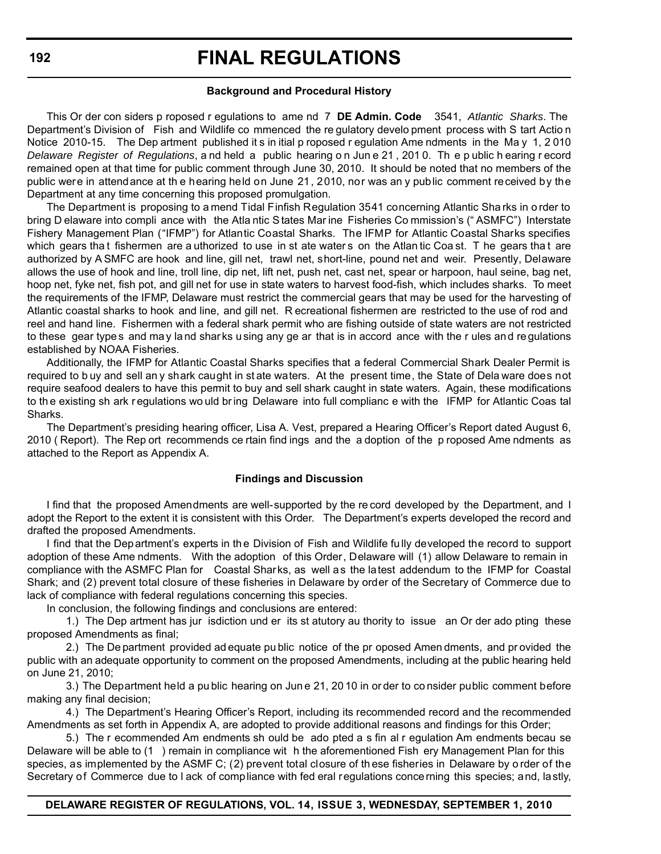#### **Background and Procedural History**

This Or der con siders p roposed r egulations to ame nd 7 **DE Admin. Code** 3541, *Atlantic Sharks*. The Department's Division of Fish and Wildlife co mmenced the re gulatory develo pment process with S tart Actio n Notice 2010-15. The Dep artment published it s in itial p roposed r egulation Ame ndments in the Ma y 1, 2 010 *Delaware Register of Regulations*, a nd held a public hearing o n Jun e 21 , 201 0. Th e p ublic h earing r ecord remained open at that time for public comment through June 30, 2010. It should be noted that no members of the public were in attendance at th e hearing held on June 21, 2010, nor was an y public comment received by the Department at any time concerning this proposed promulgation.

The Department is proposing to a mend Tidal Finfish Regulation 3541 concerning Atlantic Sha rks in o rder to bring D elaware into compli ance with the Atla ntic S tates Mar ine Fisheries Co mmission's (" ASMFC") Interstate Fishery Management Plan ("IFMP") for Atlantic Coastal Sharks. The IFMP for Atlantic Coastal Sharks specifies which gears that fishermen are a uthorized to use in st ate waters on the Atlan tic Coast. The gears that are authorized by A SMFC are hook and line, gill net, trawl net, short-line, pound net and weir. Presently, Delaware allows the use of hook and line, troll line, dip net, lift net, push net, cast net, spear or harpoon, haul seine, bag net, hoop net, fyke net, fish pot, and gill net for use in state waters to harvest food-fish, which includes sharks. To meet the requirements of the IFMP, Delaware must restrict the commercial gears that may be used for the harvesting of Atlantic coastal sharks to hook and line, and gill net. R ecreational fishermen are restricted to the use of rod and reel and hand line. Fishermen with a federal shark permit who are fishing outside of state waters are not restricted to these gear types and may land sharks using any ge ar that is in accord ance with the r ules and regulations established by NOAA Fisheries.

Additionally, the IFMP for Atlantic Coastal Sharks specifies that a federal Commercial Shark Dealer Permit is required to b uy and sell an y shark caught in st ate waters. At the present time, the State of Dela ware does not require seafood dealers to have this permit to buy and sell shark caught in state waters. Again, these modifications to th e existing sh ark r egulations wo uld br ing Delaware into full complianc e with the IFMP for Atlantic Coas tal Sharks.

The Department's presiding hearing officer, Lisa A. Vest, prepared a Hearing Officer's Report dated August 6, 2010 ( Report). The Rep ort recommends ce rtain find ings and the a doption of the p roposed Ame ndments as attached to the Report as Appendix A.

#### **Findings and Discussion**

I find that the proposed Amendments are well-supported by the re cord developed by the Department, and I adopt the Report to the extent it is consistent with this Order. The Department's experts developed the record and drafted the proposed Amendments.

I find that the Department's experts in the Division of Fish and Wildlife fully developed the record to support adoption of these Ame ndments. With the adoption of this Order, Delaware will (1) allow Delaware to remain in compliance with the ASMFC Plan for Coastal Sharks, as well as the latest addendum to the IFMP for Coastal Shark; and (2) prevent total closure of these fisheries in Delaware by order of the Secretary of Commerce due to lack of compliance with federal regulations concerning this species.

In conclusion, the following findings and conclusions are entered:

1.) The Dep artment has jur isdiction und er its st atutory au thority to issue an Or der ado pting these proposed Amendments as final;

2.) The De partment provided ad equate pu blic notice of the pr oposed Amen dments, and pr ovided the public with an adequate opportunity to comment on the proposed Amendments, including at the public hearing held on June 21, 2010;

3.) The Department held a pu blic hearing on Jun e 21, 20 10 in or der to co nsider public comment before making any final decision;

4.) The Department's Hearing Officer's Report, including its recommended record and the recommended Amendments as set forth in Appendix A, are adopted to provide additional reasons and findings for this Order;

5.) The r ecommended Am endments sh ould be ado pted a s fin al r egulation Am endments becau se Delaware will be able to (1 ) remain in compliance wit h the aforementioned Fish ery Management Plan for this species, as implemented by the ASMF C; (2) prevent total closure of th ese fisheries in Delaware by o rder of the Secretary of Commerce due to l ack of compliance with fed eral regulations concerning this species; and, lastly,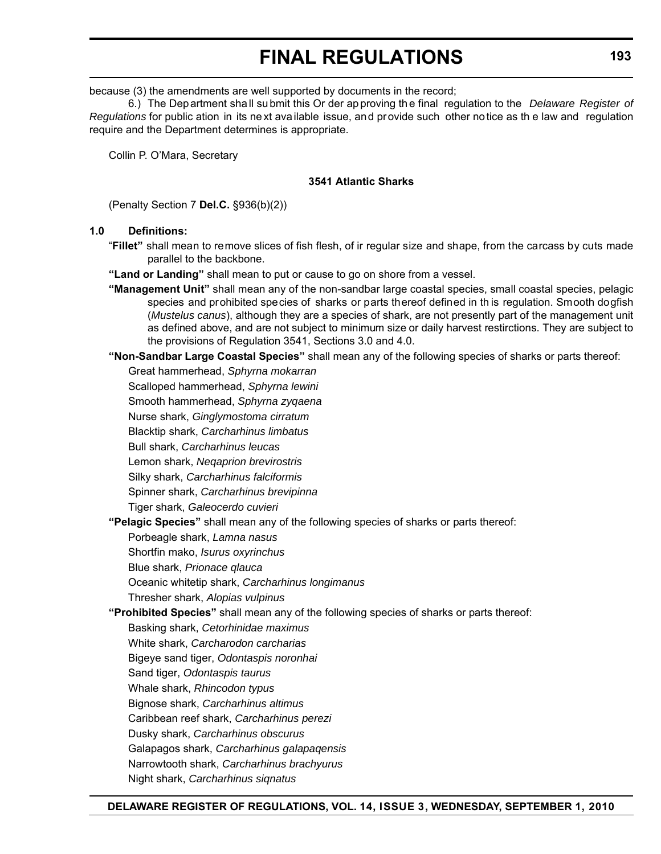because (3) the amendments are well supported by documents in the record;

6.) The Department sha ll su bmit this Or der ap proving th e final regulation to the *Delaware Register of Regulations* for public ation in its ne xt available issue, and provide such other notice as th e law and regulation require and the Department determines is appropriate.

Collin P. O'Mara, Secretary

## **3541 Atlantic Sharks**

(Penalty Section 7 **Del.C.** §936(b)(2))

## **1.0 Definitions:**

- "**Fillet"** shall mean to remove slices of fish flesh, of ir regular size and shape, from the carcass by cuts made parallel to the backbone.
- **"Land or Landing"** shall mean to put or cause to go on shore from a vessel.
- **"Management Unit"** shall mean any of the non-sandbar large coastal species, small coastal species, pelagic species and prohibited species of sharks or parts thereof defined in th is regulation. Smooth dogfish (*Mustelus canus*), although they are a species of shark, are not presently part of the management unit as defined above, and are not subject to minimum size or daily harvest restirctions. They are subject to the provisions of Regulation 3541, Sections 3.0 and 4.0.
- **"Non-Sandbar Large Coastal Species"** shall mean any of the following species of sharks or parts thereof:

Great hammerhead, *Sphyrna mokarran* Scalloped hammerhead, *Sphyrna lewini* Smooth hammerhead, *Sphyrna zyqaena*

Nurse shark, *Ginglymostoma cirratum*

Blacktip shark, *Carcharhinus limbatus*

Bull shark, *Carcharhinus leucas*

Lemon shark, *Neqaprion brevirostris*

Silky shark, *Carcharhinus falciformis*

Spinner shark, *Carcharhinus brevipinna*

Tiger shark, *Galeocerdo cuvieri*

**"Pelagic Species"** shall mean any of the following species of sharks or parts thereof:

Porbeagle shark, *Lamna nasus*

Shortfin mako, *Isurus oxyrinchus*

Blue shark, *Prionace qlauca*

Oceanic whitetip shark, *Carcharhinus longimanus*

Thresher shark, *Alopias vulpinus*

**"Prohibited Species"** shall mean any of the following species of sharks or parts thereof:

- Basking shark, *Cetorhinidae maximus*
- White shark, *Carcharodon carcharias*
- Bigeye sand tiger, *Odontaspis noronhai*
- Sand tiger, *Odontaspis taurus*
- Whale shark, *Rhincodon typus*
- Bignose shark, *Carcharhinus altimus*
- Caribbean reef shark, *Carcharhinus perezi*
- Dusky shark, *Carcharhinus obscurus*
- Galapagos shark, *Carcharhinus galapaqensis*
- Narrowtooth shark, *Carcharhinus brachyurus*
- Night shark, *Carcharhinus siqnatus*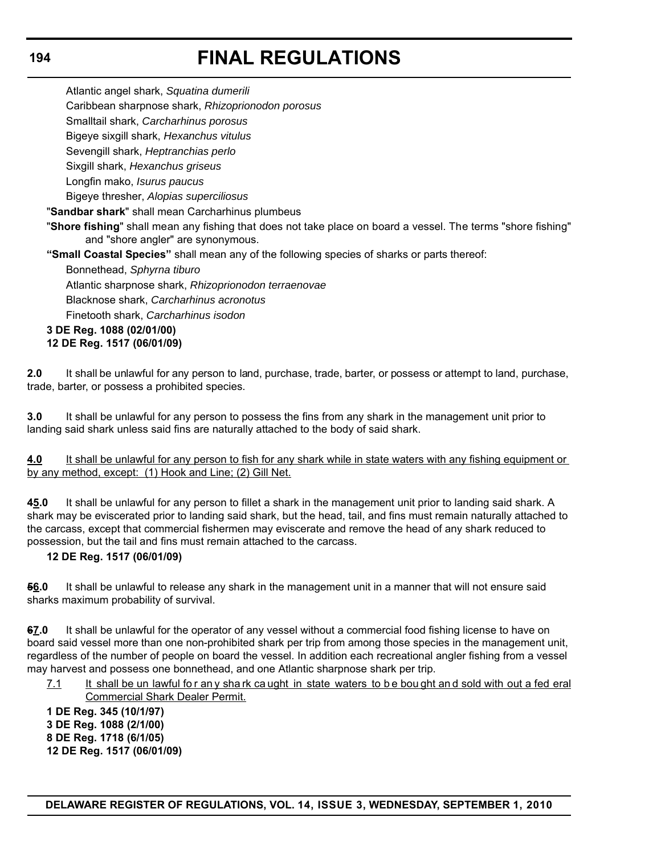Atlantic angel shark, *Squatina dumerili*

Caribbean sharpnose shark, *Rhizoprionodon porosus*

Smalltail shark, *Carcharhinus porosus*

Bigeye sixgill shark, *Hexanchus vitulus*

Sevengill shark, *Heptranchias perlo*

Sixgill shark, *Hexanchus griseus*

Longfin mako, *Isurus paucus*

Bigeye thresher, *Alopias superciliosus*

"**Sandbar shark**" shall mean Carcharhinus plumbeus

"**Shore fishing**" shall mean any fishing that does not take place on board a vessel. The terms "shore fishing" and "shore angler" are synonymous.

**"Small Coastal Species"** shall mean any of the following species of sharks or parts thereof:

Bonnethead, *Sphyrna tiburo*

Atlantic sharpnose shark, *Rhizoprionodon terraenovae* Blacknose shark, *Carcharhinus acronotus* Finetooth shark, *Carcharhinus isodon*

#### **3 DE Reg. 1088 (02/01/00) 12 DE Reg. 1517 (06/01/09)**

**2.0** It shall be unlawful for any person to land, purchase, trade, barter, or possess or attempt to land, purchase, trade, barter, or possess a prohibited species.

**3.0** It shall be unlawful for any person to possess the fins from any shark in the management unit prior to landing said shark unless said fins are naturally attached to the body of said shark.

**4.0** It shall be unlawful for any person to fish for any shark while in state waters with any fishing equipment or by any method, except: (1) Hook and Line; (2) Gill Net.

**45.0** It shall be unlawful for any person to fillet a shark in the management unit prior to landing said shark. A shark may be eviscerated prior to landing said shark, but the head, tail, and fins must remain naturally attached to the carcass, except that commercial fishermen may eviscerate and remove the head of any shark reduced to possession, but the tail and fins must remain attached to the carcass.

## **12 DE Reg. 1517 (06/01/09)**

**56.0** It shall be unlawful to release any shark in the management unit in a manner that will not ensure said sharks maximum probability of survival.

**67.0** It shall be unlawful for the operator of any vessel without a commercial food fishing license to have on board said vessel more than one non-prohibited shark per trip from among those species in the management unit, regardless of the number of people on board the vessel. In addition each recreational angler fishing from a vessel may harvest and possess one bonnethead, and one Atlantic sharpnose shark per trip.

7.1 It shall be un lawful for any shark ca ught in state waters to be bou ght and sold with out a fed eral Commercial Shark Dealer Permit.

**1 DE Reg. 345 (10/1/97) 3 DE Reg. 1088 (2/1/00) 8 DE Reg. 1718 (6/1/05) 12 DE Reg. 1517 (06/01/09)**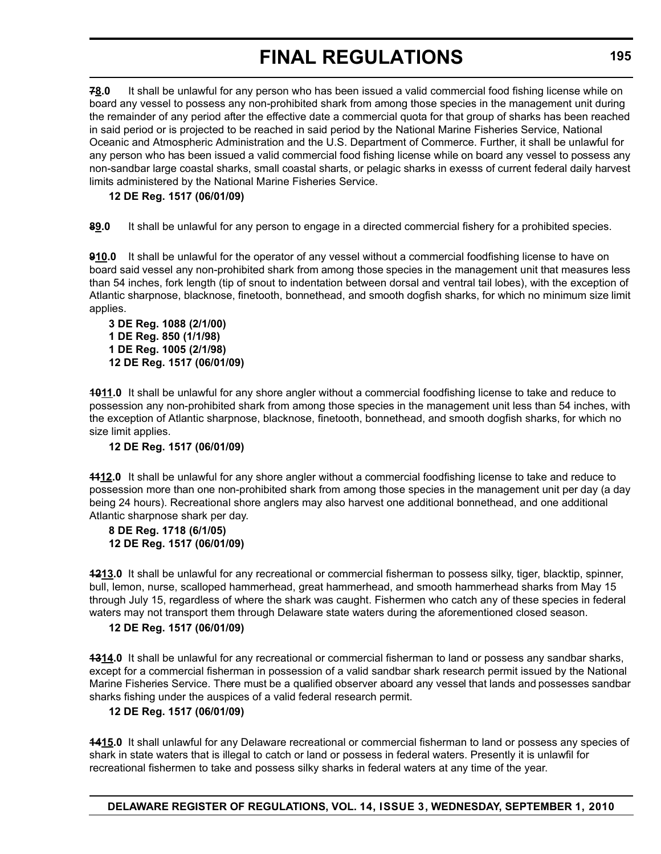**78.0** It shall be unlawful for any person who has been issued a valid commercial food fishing license while on board any vessel to possess any non-prohibited shark from among those species in the management unit during the remainder of any period after the effective date a commercial quota for that group of sharks has been reached in said period or is projected to be reached in said period by the National Marine Fisheries Service, National Oceanic and Atmospheric Administration and the U.S. Department of Commerce. Further, it shall be unlawful for any person who has been issued a valid commercial food fishing license while on board any vessel to possess any non-sandbar large coastal sharks, small coastal sharts, or pelagic sharks in exesss of current federal daily harvest limits administered by the National Marine Fisheries Service.

## **12 DE Reg. 1517 (06/01/09)**

**89.0** It shall be unlawful for any person to engage in a directed commercial fishery for a prohibited species.

**910.0** It shall be unlawful for the operator of any vessel without a commercial foodfishing license to have on board said vessel any non-prohibited shark from among those species in the management unit that measures less than 54 inches, fork length (tip of snout to indentation between dorsal and ventral tail lobes), with the exception of Atlantic sharpnose, blacknose, finetooth, bonnethead, and smooth dogfish sharks, for which no minimum size limit applies.

```
3 DE Reg. 1088 (2/1/00)
1 DE Reg. 850 (1/1/98)
1 DE Reg. 1005 (2/1/98)
12 DE Reg. 1517 (06/01/09)
```
**1011.0** It shall be unlawful for any shore angler without a commercial foodfishing license to take and reduce to possession any non-prohibited shark from among those species in the management unit less than 54 inches, with the exception of Atlantic sharpnose, blacknose, finetooth, bonnethead, and smooth dogfish sharks, for which no size limit applies.

## **12 DE Reg. 1517 (06/01/09)**

**1112.0** It shall be unlawful for any shore angler without a commercial foodfishing license to take and reduce to possession more than one non-prohibited shark from among those species in the management unit per day (a day being 24 hours). Recreational shore anglers may also harvest one additional bonnethead, and one additional Atlantic sharpnose shark per day.

## **8 DE Reg. 1718 (6/1/05) 12 DE Reg. 1517 (06/01/09)**

**1213.0** It shall be unlawful for any recreational or commercial fisherman to possess silky, tiger, blacktip, spinner, bull, lemon, nurse, scalloped hammerhead, great hammerhead, and smooth hammerhead sharks from May 15 through July 15, regardless of where the shark was caught. Fishermen who catch any of these species in federal waters may not transport them through Delaware state waters during the aforementioned closed season.

## **12 DE Reg. 1517 (06/01/09)**

**1314.0** It shall be unlawful for any recreational or commercial fisherman to land or possess any sandbar sharks, except for a commercial fisherman in possession of a valid sandbar shark research permit issued by the National Marine Fisheries Service. There must be a qualified observer aboard any vessel that lands and possesses sandbar sharks fishing under the auspices of a valid federal research permit.

## **12 DE Reg. 1517 (06/01/09)**

**1415.0** It shall unlawful for any Delaware recreational or commercial fisherman to land or possess any species of shark in state waters that is illegal to catch or land or possess in federal waters. Presently it is unlawfil for recreational fishermen to take and possess silky sharks in federal waters at any time of the year.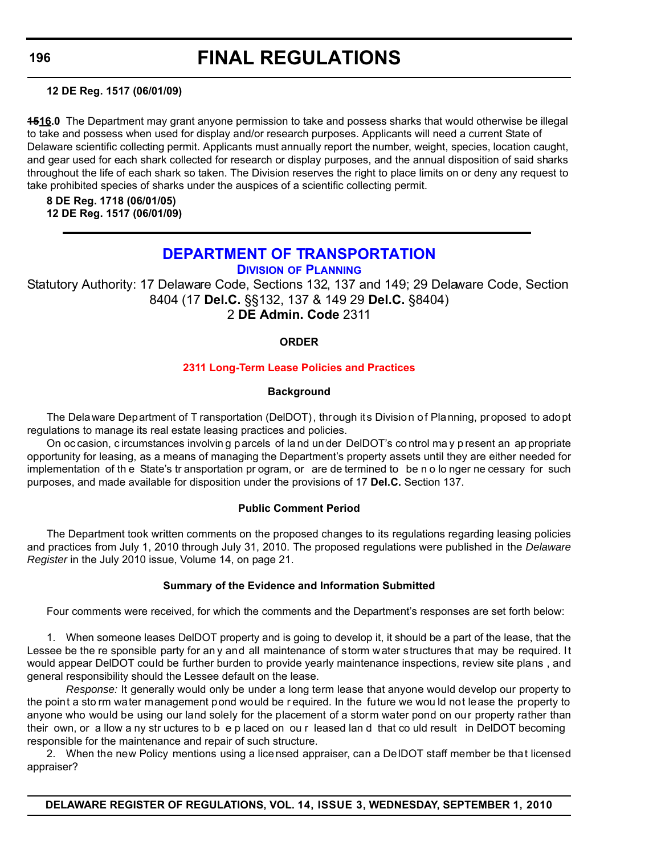**12 DE Reg. 1517 (06/01/09)**

**1516.0** The Department may grant anyone permission to take and possess sharks that would otherwise be illegal to take and possess when used for display and/or research purposes. Applicants will need a current State of Delaware scientific collecting permit. Applicants must annually report the number, weight, species, location caught, and gear used for each shark collected for research or display purposes, and the annual disposition of said sharks throughout the life of each shark so taken. The Division reserves the right to place limits on or deny any request to take prohibited species of sharks under the auspices of a scientific collecting permit.

**8 DE Reg. 1718 (06/01/05) 12 DE Reg. 1517 (06/01/09)**

## **[DEPARTMENT OF TRANSPORTATION](http://www.deldot.gov/home/divisions/)**

**DIVISION OF PLANNING**

Statutory Authority: 17 Delaware Code, Sections 132, 137 and 149; 29 Delaware Code, Section 8404 (17 **Del.C.** §§132, 137 & 149 29 **Del.C.** §8404) 2 **DE Admin. Code** 2311

## **ORDER**

## **[2311 Long-Term Lease Policies and Practices](#page-4-0)**

## **Background**

The Delaware Department of T ransportation (DelDOT), through its Division of Planning, proposed to adopt regulations to manage its real estate leasing practices and policies.

On oc casion, c ircumstances involvin g p arcels of la nd un der DelDOT's co ntrol ma y p resent an ap propriate opportunity for leasing, as a means of managing the Department's property assets until they are either needed for implementation of th e State's tr ansportation pr ogram, or are de termined to be n o lo nger ne cessary for such purposes, and made available for disposition under the provisions of 17 **Del.C.** Section 137.

## **Public Comment Period**

The Department took written comments on the proposed changes to its regulations regarding leasing policies and practices from July 1, 2010 through July 31, 2010. The proposed regulations were published in the *Delaware Register* in the July 2010 issue, Volume 14, on page 21.

## **Summary of the Evidence and Information Submitted**

Four comments were received, for which the comments and the Department's responses are set forth below:

1. When someone leases DelDOT property and is going to develop it, it should be a part of the lease, that the Lessee be the re sponsible party for an y and all maintenance of storm water structures that may be required. It would appear DelDOT could be further burden to provide yearly maintenance inspections, review site plans , and general responsibility should the Lessee default on the lease.

*Response:* It generally would only be under a long term lease that anyone would develop our property to the point a sto rm water management pond would be r equired. In the future we wou ld not lease the property to anyone who would be using our land solely for the placement of a storm water pond on our property rather than their own, or a llow a ny str uctures to b e p laced on ou r leased lan d that co uld result in DelDOT becoming responsible for the maintenance and repair of such structure.

2. When the new Policy mentions using a licensed appraiser, can a DelDOT staff member be that licensed appraiser?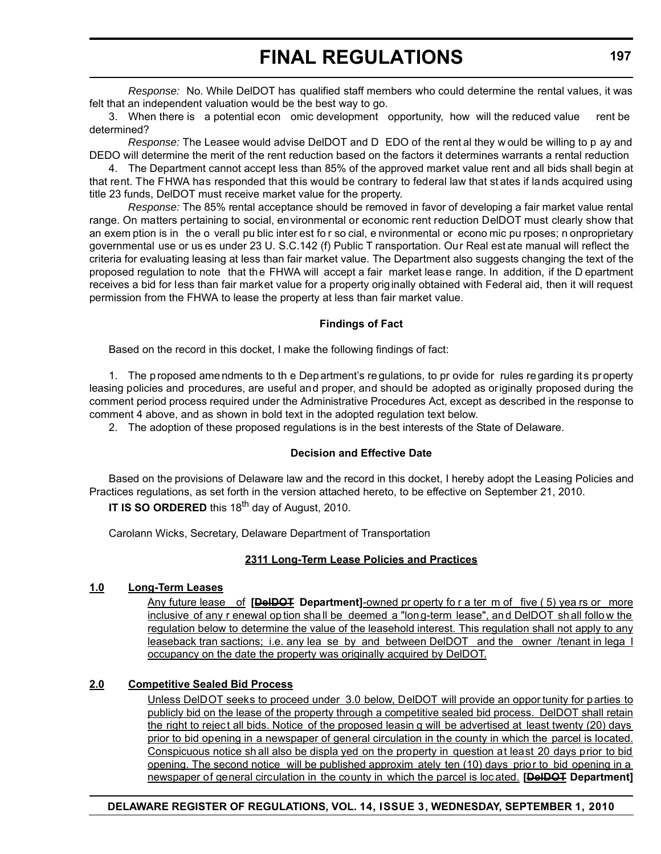*Response:* No. While DelDOT has qualified staff members who could determine the rental values, it was felt that an independent valuation would be the best way to go.

3. When there is a potential econ omic development opportunity, how will the reduced value rent be determined?

*Response:* The Leasee would advise DelDOT and D EDO of the rent al they w ould be willing to p ay and DEDO will determine the merit of the rent reduction based on the factors it determines warrants a rental reduction

4. The Department cannot accept less than 85% of the approved market value rent and all bids shall begin at that rent. The FHWA has responded that this would be contrary to federal law that st ates if lands acquired using title 23 funds, DelDOT must receive market value for the property.

*Response:* The 85% rental acceptance should be removed in favor of developing a fair market value rental range. On matters pertaining to social, environmental or economic rent reduction DelDOT must clearly show that an exem ption is in the o verall pu blic inter est fo r so cial, e nvironmental or econo mic pu rposes; n onproprietary governmental use or us es under 23 U. S.C.142 (f) Public T ransportation. Our Real est ate manual will reflect the criteria for evaluating leasing at less than fair market value. The Department also suggests changing the text of the proposed regulation to note that the FHWA will accept a fair market lease range. In addition, if the D epartment receives a bid for less than fair market value for a property originally obtained with Federal aid, then it will request permission from the FHWA to lease the property at less than fair market value.

## **Findings of Fact**

Based on the record in this docket, I make the following findings of fact:

1. The p roposed ame ndments to th e Department's re gulations, to pr ovide for rules re garding its pr operty leasing policies and procedures, are useful and proper, and should be adopted as originally proposed during the comment period process required under the Administrative Procedures Act, except as described in the response to comment 4 above, and as shown in bold text in the adopted regulation text below.

2. The adoption of these proposed regulations is in the best interests of the State of Delaware.

## **Decision and Effective Date**

Based on the provisions of Delaware law and the record in this docket, I hereby adopt the Leasing Policies and Practices regulations, as set forth in the version attached hereto, to be effective on September 21, 2010. **IT IS SO ORDERED** this 18<sup>th</sup> day of August, 2010.

Carolann Wicks, Secretary, Delaware Department of Transportation

## **2311 Long-Term Lease Policies and Practices**

## **1.0 Long-Term Leases**

Any future lease of **[DelDOT Department]**-owned pr operty fo r a ter m of five ( 5) yea rs or more inclusive of any r enewal option shall be deemed a "long-term lease", and DelDOT shall follow the regulation below to determine the value of the leasehold interest. This regulation shall not apply to any leaseback tran sactions; i.e. any lea se by and between DelDOT and the owner /tenant in lega l occupancy on the date the property was originally acquired by DelDOT.

## **2.0 Competitive Sealed Bid Process**

Unless DelDOT seeks to proceed under 3.0 below, DelDOT will provide an oppor tunity for parties to publicly bid on the lease of the property through a competitive sealed bid process. DelDOT shall retain the right to reject all bids. Notice of the proposed leasin g will be advertised at least twenty (20) days prior to bid opening in a newspaper of general circulation in the county in which the parcel is located. Conspicuous notice sh all also be displa yed on the property in question at least 20 days prior to bid opening. The second notice will be published approxim ately ten (10) days prior to bid opening in a newspaper of general circulation in the county in which the parcel is loc ated. **[DelDOT Department]**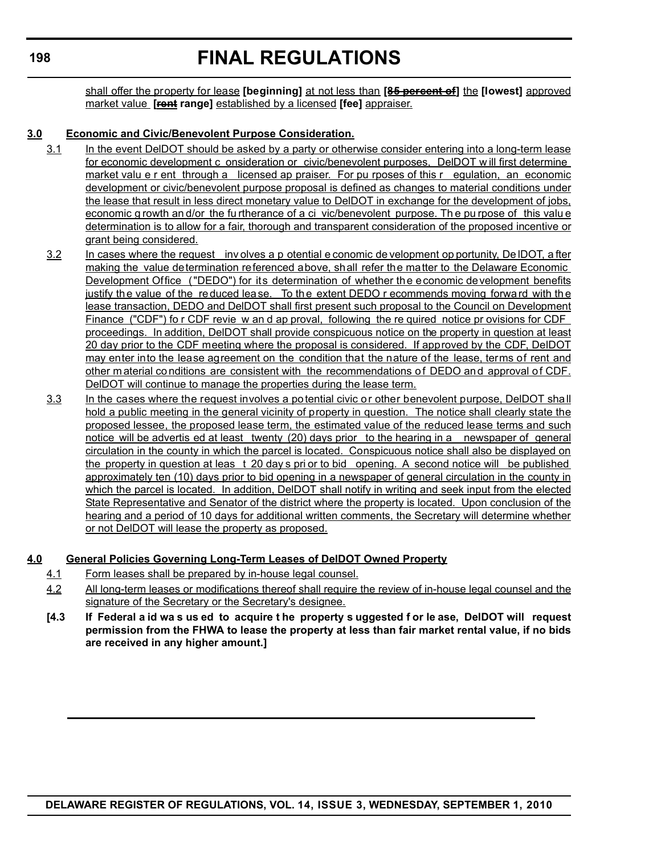# **FINAL REGULATIONS**

shall offer the property for lease **[beginning]** at not less than **[85 percent of]** the **[lowest]** approved market value **[rent range]** established by a licensed **[fee]** appraiser.

## **3.0 Economic and Civic/Benevolent Purpose Consideration.**

- 3.1 In the event DelDOT should be asked by a party or otherwise consider entering into a long-term lease for economic development c onsideration or civic/benevolent purposes, DelDOT w ill first determine market valu e r ent through a licensed ap praiser. For pu rposes of this r egulation, an economic development or civic/benevolent purpose proposal is defined as changes to material conditions under the lease that result in less direct monetary value to DelDOT in exchange for the development of jobs, economic g rowth an d/or the fu rtherance of a ci vic/benevolent purpose. Th e pu rpose of this valu e determination is to allow for a fair, thorough and transparent consideration of the proposed incentive or grant being considered.
- 3.2 In cases where the request inv olves a p otential e conomic de velopment op portunity, De IDOT, a fter making the value determination referenced above, shall refer the matter to the Delaware Economic Development Office ("DEDO") for its determination of whether the economic development benefits justify the value of the reduced lease. To the extent DEDO r ecommends moving forward with the lease transaction, DEDO and DelDOT shall first present such proposal to the Council on Development Finance ("CDF") fo r CDF revie w an d ap proval, following the re quired notice pr ovisions for CDF proceedings. In addition, DelDOT shall provide conspicuous notice on the property in question at least 20 day prior to the CDF meeting where the proposal is considered. If approved by the CDF, DelDOT may enter into the lease agreement on the condition that the nature of the lease, terms of rent and other m aterial co nditions are consistent with the recommendations of DEDO and approval of CDF. DelDOT will continue to manage the properties during the lease term.
- 3.3 In the cases where the request involves a potential civic or other benevolent purpose, DelDOT shall hold a public meeting in the general vicinity of property in question. The notice shall clearly state the proposed lessee, the proposed lease term, the estimated value of the reduced lease terms and such notice will be advertis ed at least twenty (20) days prior to the hearing in a newspaper of general circulation in the county in which the parcel is located. Conspicuous notice shall also be displayed on the property in question at leas t 20 day s pri or to bid opening. A second notice will be published approximately ten (10) days prior to bid opening in a newspaper of general circulation in the county in which the parcel is located. In addition, DelDOT shall notify in writing and seek input from the elected State Representative and Senator of the district where the property is located. Upon conclusion of the hearing and a period of 10 days for additional written comments, the Secretary will determine whether or not DelDOT will lease the property as proposed.

### **4.0 General Policies Governing Long-Term Leases of DelDOT Owned Property**

- 4.1 Form leases shall be prepared by in-house legal counsel.
- 4.2 All long-term leases or modifications thereof shall require the review of in-house legal counsel and the signature of the Secretary or the Secretary's designee.
- **[4.3 If Federal a id wa s us ed to acquire t he property s uggested f or le ase, DelDOT will request permission from the FHWA to lease the property at less than fair market rental value, if no bids are received in any higher amount.]**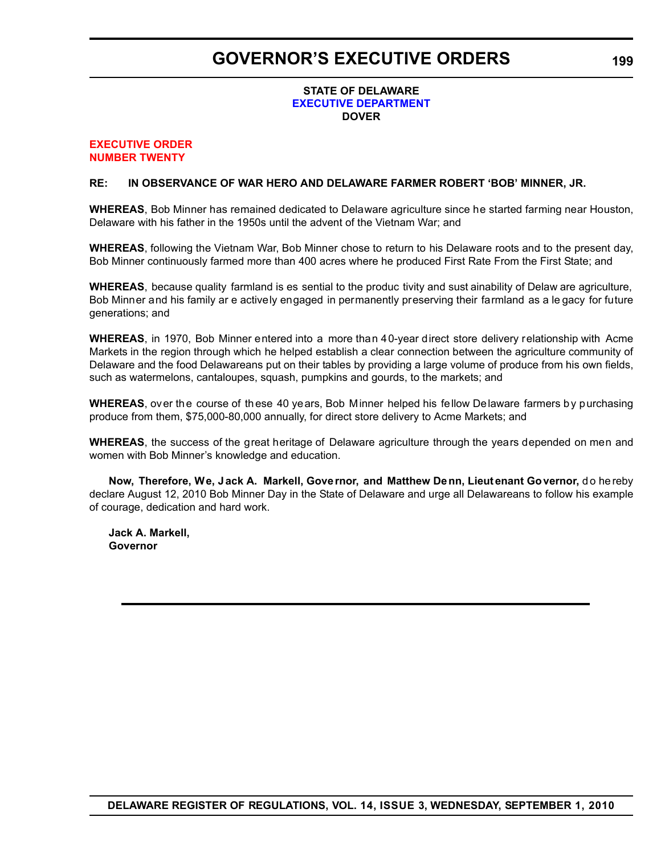## **GOVERNOR'S EXECUTIVE ORDERS**

### **STATE OF DELAWARE [EXECUTIVE DEPARTMENT](http://governor.delaware.gov/orders/index.shtml) DOVER**

#### **[EXECUTIVE ORDER](#page-4-0) NUMBER TWENTY**

### **RE: IN OBSERVANCE OF WAR HERO AND DELAWARE FARMER ROBERT 'BOB' MINNER, JR.**

**WHEREAS**, Bob Minner has remained dedicated to Delaware agriculture since he started farming near Houston, Delaware with his father in the 1950s until the advent of the Vietnam War; and

**WHEREAS**, following the Vietnam War, Bob Minner chose to return to his Delaware roots and to the present day, Bob Minner continuously farmed more than 400 acres where he produced First Rate From the First State; and

**WHEREAS**, because quality farmland is es sential to the produc tivity and sust ainability of Delaw are agriculture, Bob Minner and his family ar e actively engaged in permanently preserving their farmland as a le gacy for future generations; and

**WHEREAS**, in 1970, Bob Minner entered into a more than 40-year direct store delivery relationship with Acme Markets in the region through which he helped establish a clear connection between the agriculture community of Delaware and the food Delawareans put on their tables by providing a large volume of produce from his own fields, such as watermelons, cantaloupes, squash, pumpkins and gourds, to the markets; and

**WHEREAS**, over the course of these 40 years, Bob Minner helped his fellow Delaware farmers by purchasing produce from them, \$75,000-80,000 annually, for direct store delivery to Acme Markets; and

**WHEREAS**, the success of the great heritage of Delaware agriculture through the years depended on men and women with Bob Minner's knowledge and education.

**Now, Therefore, We, J ack A. Markell, Gove rnor, and Matthew De nn, Lieut enant Go vernor,** do hereby declare August 12, 2010 Bob Minner Day in the State of Delaware and urge all Delawareans to follow his example of courage, dedication and hard work.

**Jack A. Markell, Governor**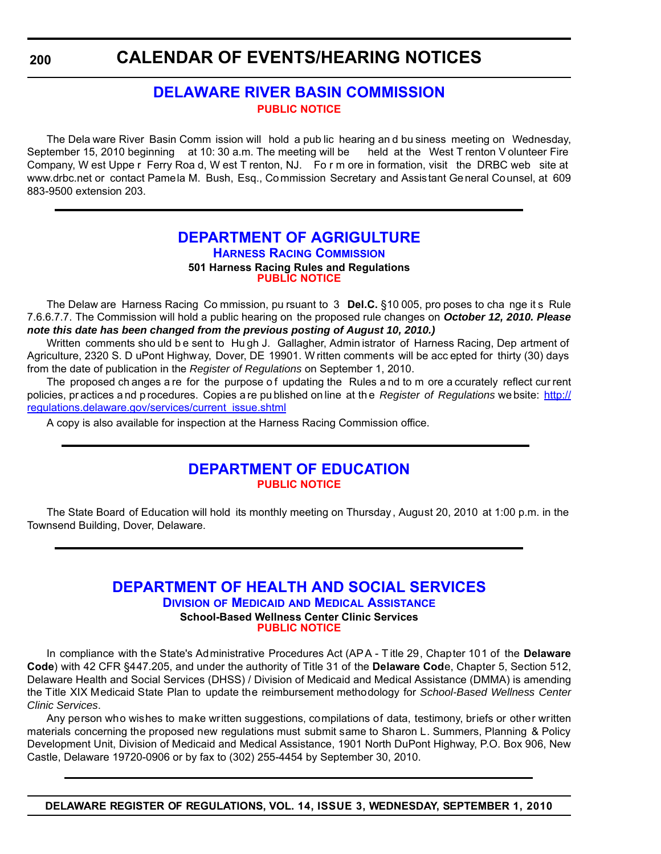## **CALENDAR OF EVENTS/HEARING NOTICES**

## **[DELAWARE RIVER BASIN COMMISSION](http://www.state.nj.us/drbc/) [PUBLIC NOTICE](#page-4-0)**

The Dela ware River Basin Comm ission will hold a pub lic hearing an d bu siness meeting on Wednesday, September 15, 2010 beginning at 10: 30 a.m. The meeting will be held at the West T renton V olunteer Fire Company, W est Uppe r Ferry Roa d, W est T renton, NJ. Fo r m ore in formation, visit the DRBC web site at www.drbc.net or contact Pamela M. Bush, Esq., Commission Secretary and Assistant General Counsel, at 609 883-9500 extension 203.

## **[DEPARTMENT OF AGRIGULTURE](http://dda.delaware.gov/harness/index.shtml) HARNESS RACING COMMISSION 501 Harness Racing Rules and Regulations [PUBLIC NOTICE](#page-4-0)**

The Delaw are Harness Racing Co mmission, pu rsuant to 3 **Del.C.** §10 005, pro poses to cha nge it s Rule 7.6.6.7.7. The Commission will hold a public hearing on the proposed rule changes on *October 12, 2010. Please note this date has been changed from the previous posting of August 10, 2010.)*

Written comments sho uld be sent to Hu gh J. Gallagher, Admin istrator of Harness Racing, Dep artment of Agriculture, 2320 S. D uPont Highway, Dover, DE 19901. W ritten comments will be acc epted for thirty (30) days from the date of publication in the *Register of Regulations* on September 1, 2010.

The proposed ch anges a re for the purpose of updating the Rules and to m ore a ccurately reflect cur rent policies, pr actices a nd p rocedures. Copies a re pu blished on line at th e *Register of Regulations* we bsite: http:// regulations.delaware.gov/services/current\_issue.shtml

A copy is also available for inspection at the Harness Racing Commission office.

## **[DEPARTMENT OF EDUCATION](http://www.doe.k12.de.us/) [PUBLIC NOTICE](#page-4-0)**

The State Board of Education will hold its monthly meeting on Thursday, August 20, 2010 at 1:00 p.m. in the Townsend Building, Dover, Delaware.

## **[DEPARTMENT OF HEALTH AND SOCIAL SERVICES](http://www.dhss.delaware.gov/dhss/dmma/)**

**DIVISION OF MEDICAID AND MEDICAL ASSISTANCE School-Based Wellness Center Clinic Services [PUBLIC NOTICE](#page-4-0)**

In compliance with the State's Administrative Procedures Act (APA - T itle 29, Chapter 101 of the **Delaware Code**) with 42 CFR §447.205, and under the authority of Title 31 of the **Delaware Cod**e, Chapter 5, Section 512, Delaware Health and Social Services (DHSS) / Division of Medicaid and Medical Assistance (DMMA) is amending the Title XIX Medicaid State Plan to update the reimbursement methodology for *School-Based Wellness Center Clinic Services*.

Any person who wishes to make written suggestions, compilations of data, testimony, briefs or other written materials concerning the proposed new regulations must submit same to Sharon L. Summers, Planning & Policy Development Unit, Division of Medicaid and Medical Assistance, 1901 North DuPont Highway, P.O. Box 906, New Castle, Delaware 19720-0906 or by fax to (302) 255-4454 by September 30, 2010.

**DELAWARE REGISTER OF REGULATIONS, VOL. 14, ISSUE 3, WEDNESDAY, SEPTEMBER 1, 2010**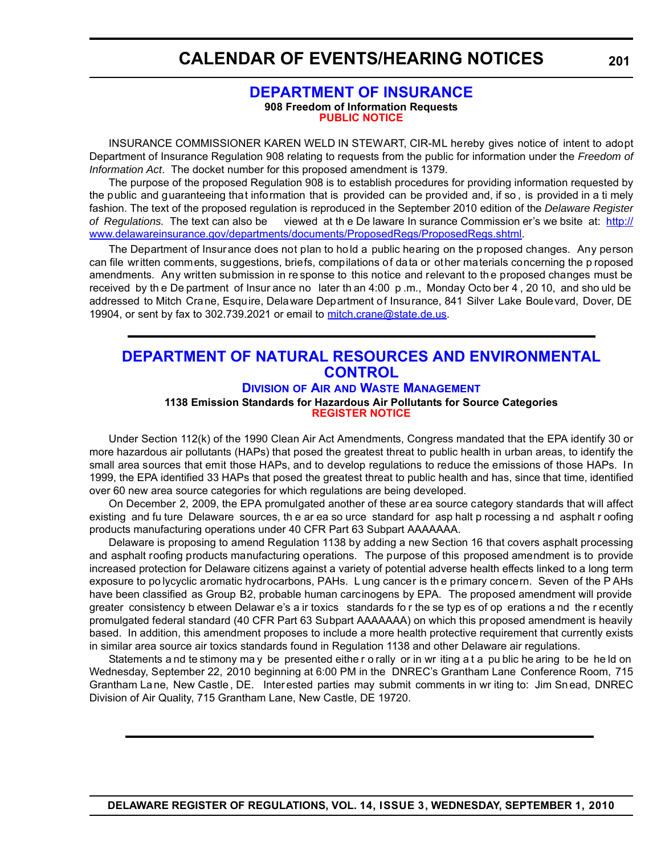## **CALENDAR OF EVENTS/HEARING NOTICES**

### **[DEPARTMENT OF INSURANCE](http://www.delawareinsurance.gov/) 908 Freedom of Information Requests [PUBLIC NOTICE](#page-4-0)**

INSURANCE COMMISSIONER KAREN WELD IN STEWART, CIR-ML hereby gives notice of intent to adopt Department of Insurance Regulation 908 relating to requests from the public for information under the *Freedom of Information Act*. The docket number for this proposed amendment is 1379.

The purpose of the proposed Regulation 908 is to establish procedures for providing information requested by the public and guaranteeing that information that is provided can be provided and, if so , is provided in a ti mely fashion. The text of the proposed regulation is reproduced in the September 2010 edition of the *Delaware Register of Regulations.* The text can also be viewed at th e De laware In surance Commission er's we bsite at: http:// www.delawareinsurance.gov/departments/documents/ProposedRegs/ProposedRegs.shtml.

The Department of Insurance does not plan to hold a public hearing on the proposed changes. Any person can file written comments, suggestions, briefs, compilations of data or other materials concerning the p roposed amendments. Any written submission in re sponse to this notice and relevant to th e proposed changes must be received by th e De partment of Insur ance no later th an 4:00 p .m., Monday Octo ber 4 , 20 10, and sho uld be addressed to Mitch Crane, Esquire, Delaware Department of Insurance, 841 Silver Lake Boulevard, Dover, DE 19904, or sent by fax to 302.739.2021 or email to mitch.crane@state.de.us.

## **[DEPARTMENT OF NATURAL RESOURCES AND ENVIRONMENTAL](http://www.awm.delaware.gov/Pages/default.aspx)  CONTROL**

**DIVISION OF AIR AND WASTE MANAGEMENT**

#### **1138 Emission Standards for Hazardous Air Pollutants for Source Categories [REGISTER NOTICE](#page-4-0)**

Under Section 112(k) of the 1990 Clean Air Act Amendments, Congress mandated that the EPA identify 30 or more hazardous air pollutants (HAPs) that posed the greatest threat to public health in urban areas, to identify the small area sources that emit those HAPs, and to develop regulations to reduce the emissions of those HAPs. In 1999, the EPA identified 33 HAPs that posed the greatest threat to public health and has, since that time, identified over 60 new area source categories for which regulations are being developed.

On December 2, 2009, the EPA promulgated another of these ar ea source category standards that will affect existing and fu ture Delaware sources, th e ar ea so urce standard for asp halt p rocessing a nd asphalt r oofing products manufacturing operations under 40 CFR Part 63 Subpart AAAAAAA.

Delaware is proposing to amend Regulation 1138 by adding a new Section 16 that covers asphalt processing and asphalt roofing products manufacturing operations. The purpose of this proposed amendment is to provide increased protection for Delaware citizens against a variety of potential adverse health effects linked to a long term exposure to po lycyclic aromatic hydrocarbons, PAHs. L ung cancer is th e primary concern. Seven of the P AHs have been classified as Group B2, probable human carcinogens by EPA. The proposed amendment will provide greater consistency b etween Delawar e's a ir toxics standards fo r the se typ es of op erations a nd the r ecently promulgated federal standard (40 CFR Part 63 Subpart AAAAAAA) on which this proposed amendment is heavily based. In addition, this amendment proposes to include a more health protective requirement that currently exists in similar area source air toxics standards found in Regulation 1138 and other Delaware air regulations.

Statements a nd te stimony ma y be presented eithe r o rally or in wr iting a t a pu blic he aring to be he ld on Wednesday, September 22, 2010 beginning at 6:00 PM in the DNREC's Grantham Lane Conference Room, 715 Grantham La ne, New Castle , DE. Inter ested parties may submit comments in wr iting to: Jim Sn ead, DNREC Division of Air Quality, 715 Grantham Lane, New Castle, DE 19720.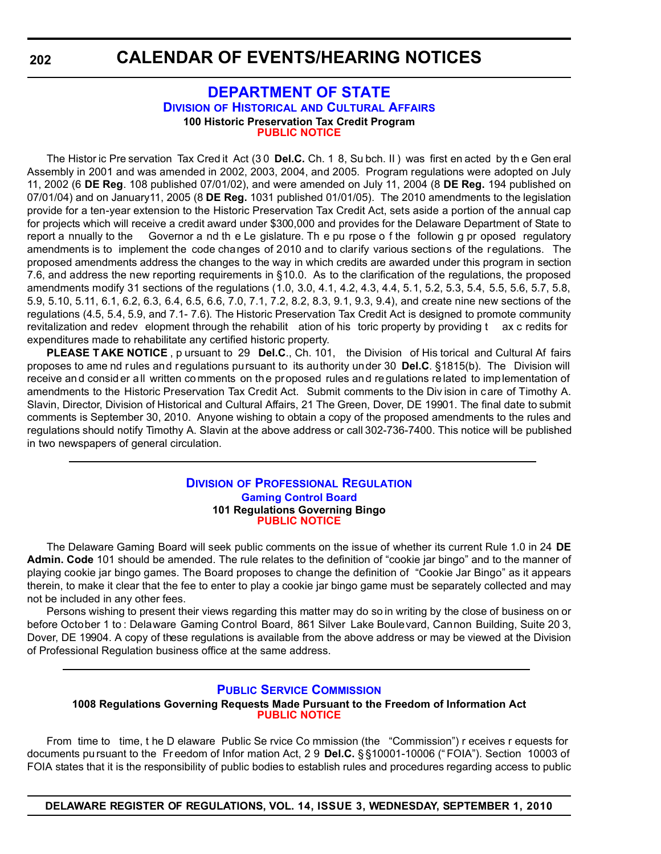## **[DEPARTMENT OF STATE](http://history.delaware.gov/) DIVISION OF HISTORICAL AND CULTURAL AFFAIRS 100 Historic Preservation Tax Credit Program [PUBLIC NOTICE](#page-4-0)**

The Histor ic Pre servation Tax Cred it Act (3 0 **Del.C.** Ch. 1 8, Su bch. II ) was first en acted by th e Gen eral Assembly in 2001 and was amended in 2002, 2003, 2004, and 2005. Program regulations were adopted on July 11, 2002 (6 **DE Reg**. 108 published 07/01/02), and were amended on July 11, 2004 (8 **DE Reg.** 194 published on 07/01/04) and on January11, 2005 (8 **DE Reg.** 1031 published 01/01/05). The 2010 amendments to the legislation provide for a ten-year extension to the Historic Preservation Tax Credit Act, sets aside a portion of the annual cap for projects which will receive a credit award under \$300,000 and provides for the Delaware Department of State to report a nnually to the Governor a nd th e Le gislature. Th e pu rpose o f the followin g pr oposed regulatory amendments is to implement the code changes of 2010 and to clarify various sections of the regulations. The proposed amendments address the changes to the way in which credits are awarded under this program in section 7.6, and address the new reporting requirements in §10.0. As to the clarification of the regulations, the proposed amendments modify 31 sections of the regulations (1.0, 3.0, 4.1, 4.2, 4.3, 4.4, 5.1, 5.2, 5.3, 5.4, 5.5, 5.6, 5.7, 5.8, 5.9, 5.10, 5.11, 6.1, 6.2, 6.3, 6.4, 6.5, 6.6, 7.0, 7.1, 7.2, 8.2, 8.3, 9.1, 9.3, 9.4), and create nine new sections of the regulations (4.5, 5.4, 5.9, and 7.1- 7.6). The Historic Preservation Tax Credit Act is designed to promote community revitalization and redev elopment through the rehabilit ation of his toric property by providing t ax c redits for expenditures made to rehabilitate any certified historic property.

**PLEASE T AKE NOTICE** , p ursuant to 29 **Del.C**., Ch. 101, the Division of His torical and Cultural Af fairs proposes to ame nd rules and regulations pursuant to its authority under 30 **Del.C**. §1815(b). The Division will receive and consider all written comments on the proposed rules and requiations related to imp lementation of amendments to the Historic Preservation Tax Credit Act. Submit comments to the Div ision in care of Timothy A. Slavin, Director, Division of Historical and Cultural Affairs, 21 The Green, Dover, DE 19901. The final date to submit comments is September 30, 2010. Anyone wishing to obtain a copy of the proposed amendments to the rules and regulations should notify Timothy A. Slavin at the above address or call 302-736-7400. This notice will be published in two newspapers of general circulation.

#### **DIVISION [OF PROFESSIONAL REGULATION](http://dpr.delaware.gov/boards/gaming/index.shtml) Gaming Control Board 101 Regulations Governing Bingo [PUBLIC NOTICE](#page-4-0)**

The Delaware Gaming Board will seek public comments on the issue of whether its current Rule 1.0 in 24 **DE Admin. Code** 101 should be amended. The rule relates to the definition of "cookie jar bingo" and to the manner of playing cookie jar bingo games. The Board proposes to change the definition of "Cookie Jar Bingo" as it appears therein, to make it clear that the fee to enter to play a cookie jar bingo game must be separately collected and may not be included in any other fees.

Persons wishing to present their views regarding this matter may do so in writing by the close of business on or before October 1 to : Delaware Gaming Control Board, 861 Silver Lake Boulevard, Cannon Building, Suite 20 3, Dover, DE 19904. A copy of these regulations is available from the above address or may be viewed at the Division of Professional Regulation business office at the same address.

## **[PUBLIC SERVICE COMMISSION](http://depsc.delaware.gov/default.shtml)**

#### **1008 Regulations Governing Requests Made Pursuant to the Freedom of Information Act [PUBLIC NOTICE](#page-4-0)**

From time to time, t he D elaware Public Se rvice Co mmission (the "Commission") r eceives r equests for documents pu rsuant to the Freedom of Infor mation Act, 2 9 Del.C. § §10001-10006 ("FOIA"). Section 10003 of FOIA states that it is the responsibility of public bodies to establish rules and procedures regarding access to public

**DELAWARE REGISTER OF REGULATIONS, VOL. 14, ISSUE 3, WEDNESDAY, SEPTEMBER 1, 2010**